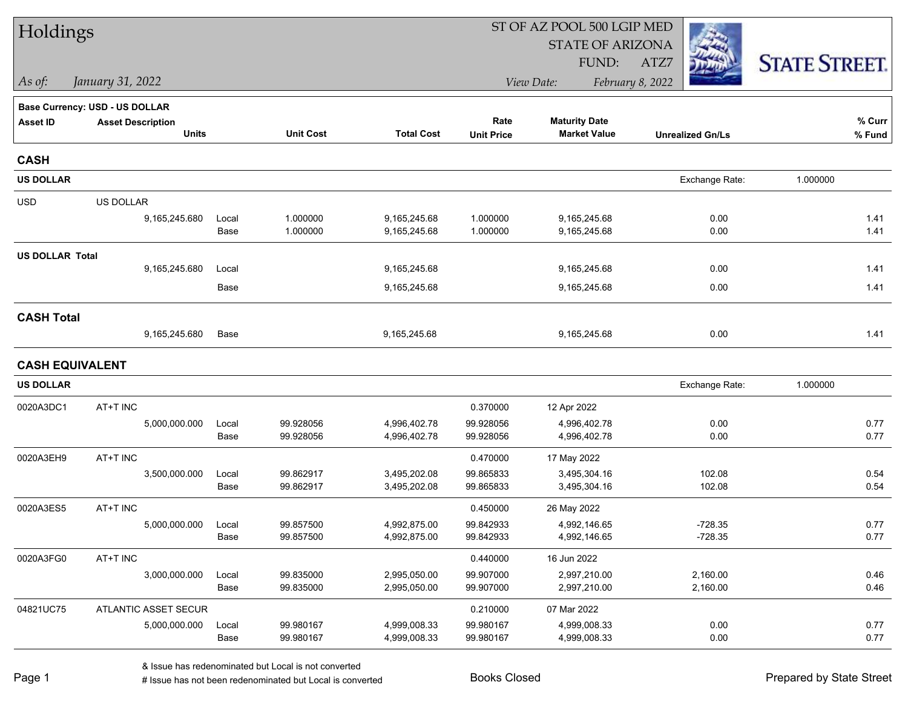| Holdings               |                                       |               |                        |                              |                        | ST OF AZ POOL 500 LGIP MED   |                         |                      |  |
|------------------------|---------------------------------------|---------------|------------------------|------------------------------|------------------------|------------------------------|-------------------------|----------------------|--|
|                        |                                       |               |                        |                              |                        | <b>STATE OF ARIZONA</b>      |                         |                      |  |
|                        |                                       |               |                        |                              |                        | FUND:                        | ATZ7                    | <b>STATE STREET.</b> |  |
| As of:                 | January 31, 2022                      |               |                        |                              |                        | View Date:                   | February 8, 2022        |                      |  |
|                        | <b>Base Currency: USD - US DOLLAR</b> |               |                        |                              |                        |                              |                         |                      |  |
| <b>Asset ID</b>        | <b>Asset Description</b>              |               |                        |                              | Rate                   | <b>Maturity Date</b>         |                         | % Curr               |  |
|                        | <b>Units</b>                          |               | <b>Unit Cost</b>       | <b>Total Cost</b>            | <b>Unit Price</b>      | <b>Market Value</b>          | <b>Unrealized Gn/Ls</b> | % Fund               |  |
| <b>CASH</b>            |                                       |               |                        |                              |                        |                              |                         |                      |  |
| <b>US DOLLAR</b>       |                                       |               |                        |                              |                        |                              | Exchange Rate:          | 1.000000             |  |
| <b>USD</b>             | US DOLLAR                             |               |                        |                              |                        |                              |                         |                      |  |
|                        | 9,165,245.680                         | Local         | 1.000000               | 9,165,245.68                 | 1.000000               | 9,165,245.68                 | 0.00                    | 1.41                 |  |
|                        |                                       | Base          | 1.000000               | 9,165,245.68                 | 1.000000               | 9,165,245.68                 | 0.00                    | 1.41                 |  |
| <b>US DOLLAR Total</b> |                                       |               |                        |                              |                        |                              |                         |                      |  |
|                        | 9,165,245.680                         | Local         |                        | 9,165,245.68                 |                        | 9,165,245.68                 | 0.00                    | 1.41                 |  |
|                        |                                       | Base          |                        | 9,165,245.68                 |                        | 9,165,245.68                 | 0.00                    | 1.41                 |  |
| <b>CASH Total</b>      |                                       |               |                        |                              |                        |                              |                         |                      |  |
|                        | 9,165,245.680                         | Base          |                        | 9,165,245.68                 |                        | 9,165,245.68                 | 0.00                    | 1.41                 |  |
| <b>CASH EQUIVALENT</b> |                                       |               |                        |                              |                        |                              |                         |                      |  |
| <b>US DOLLAR</b>       |                                       |               |                        |                              |                        |                              | Exchange Rate:          | 1.000000             |  |
| 0020A3DC1              | AT+T INC                              |               |                        |                              | 0.370000               | 12 Apr 2022                  |                         |                      |  |
|                        | 5,000,000.000                         | Local         | 99.928056              | 4,996,402.78                 | 99.928056              | 4,996,402.78                 | 0.00                    | 0.77                 |  |
|                        |                                       | Base          | 99.928056              | 4,996,402.78                 | 99.928056              | 4,996,402.78                 | 0.00                    | 0.77                 |  |
| 0020A3EH9              | AT+T INC                              |               |                        |                              | 0.470000               | 17 May 2022                  |                         |                      |  |
|                        | 3,500,000.000                         | Local         | 99.862917              | 3,495,202.08                 | 99.865833              | 3,495,304.16                 | 102.08                  | 0.54                 |  |
|                        |                                       | Base          | 99.862917              | 3,495,202.08                 | 99.865833              | 3,495,304.16                 | 102.08                  | 0.54                 |  |
| 0020A3ES5              | AT+T INC                              |               |                        |                              | 0.450000               | 26 May 2022                  |                         |                      |  |
|                        | 5,000,000.000                         | Local         | 99.857500              | 4,992,875.00                 | 99.842933              | 4,992,146.65                 | $-728.35$               | 0.77                 |  |
|                        |                                       | Base          | 99.857500              | 4,992,875.00                 | 99.842933              | 4,992,146.65                 | $-728.35$               | 0.77                 |  |
| 0020A3FG0              | AT+T INC                              |               |                        |                              | 0.440000               | 16 Jun 2022                  |                         |                      |  |
|                        | 3,000,000.000                         | Local<br>Base | 99.835000<br>99.835000 | 2,995,050.00<br>2,995,050.00 | 99.907000<br>99.907000 | 2,997,210.00<br>2,997,210.00 | 2,160.00<br>2,160.00    | 0.46<br>0.46         |  |
|                        |                                       |               |                        |                              |                        |                              |                         |                      |  |
| 04821UC75              | ATLANTIC ASSET SECUR                  |               |                        |                              | 0.210000               | 07 Mar 2022                  |                         |                      |  |
|                        | 5,000,000.000                         | Local<br>Base | 99.980167<br>99.980167 | 4,999,008.33<br>4,999,008.33 | 99.980167<br>99.980167 | 4,999,008.33<br>4,999,008.33 | 0.00<br>0.00            | 0.77<br>0.77         |  |
|                        |                                       |               |                        |                              |                        |                              |                         |                      |  |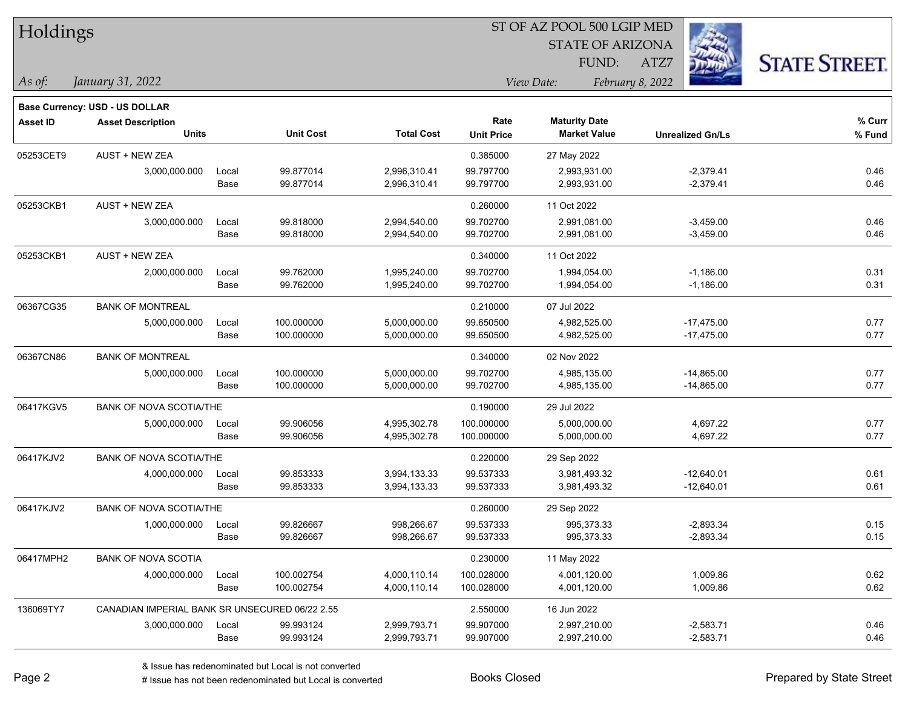| Holdings        |                                                |       |                  | ST OF AZ POOL 500 LGIP MED |                   |                         |                         |                      |  |  |
|-----------------|------------------------------------------------|-------|------------------|----------------------------|-------------------|-------------------------|-------------------------|----------------------|--|--|
|                 |                                                |       |                  |                            |                   | <b>STATE OF ARIZONA</b> |                         |                      |  |  |
|                 |                                                |       |                  |                            |                   | FUND:                   | ATZ7                    | <b>STATE STREET.</b> |  |  |
| As of:          | January 31, 2022                               |       |                  |                            |                   | View Date:              | February 8, 2022        |                      |  |  |
|                 | <b>Base Currency: USD - US DOLLAR</b>          |       |                  |                            |                   |                         |                         |                      |  |  |
| <b>Asset ID</b> | <b>Asset Description</b>                       |       |                  |                            | Rate              | <b>Maturity Date</b>    |                         | % Curr               |  |  |
|                 | <b>Units</b>                                   |       | <b>Unit Cost</b> | <b>Total Cost</b>          | <b>Unit Price</b> | <b>Market Value</b>     | <b>Unrealized Gn/Ls</b> | % Fund               |  |  |
| 05253CET9       | <b>AUST + NEW ZEA</b>                          |       |                  |                            | 0.385000          | 27 May 2022             |                         |                      |  |  |
|                 | 3,000,000.000                                  | Local | 99.877014        | 2,996,310.41               | 99.797700         | 2,993,931.00            | $-2,379.41$             | 0.46                 |  |  |
|                 |                                                | Base  | 99.877014        | 2,996,310.41               | 99.797700         | 2,993,931.00            | $-2,379.41$             | 0.46                 |  |  |
| 05253CKB1       | <b>AUST + NEW ZEA</b>                          |       |                  |                            | 0.260000          | 11 Oct 2022             |                         |                      |  |  |
|                 | 3,000,000.000                                  | Local | 99.818000        | 2,994,540.00               | 99.702700         | 2,991,081.00            | $-3,459.00$             | 0.46                 |  |  |
|                 |                                                | Base  | 99.818000        | 2,994,540.00               | 99.702700         | 2,991,081.00            | $-3,459.00$             | 0.46                 |  |  |
| 05253CKB1       | <b>AUST + NEW ZEA</b>                          |       |                  |                            | 0.340000          | 11 Oct 2022             |                         |                      |  |  |
|                 | 2,000,000.000                                  | Local | 99.762000        | 1,995,240.00               | 99.702700         | 1,994,054.00            | $-1,186.00$             | 0.31                 |  |  |
|                 |                                                | Base  | 99.762000        | 1,995,240.00               | 99.702700         | 1,994,054.00            | $-1,186.00$             | 0.31                 |  |  |
| 06367CG35       | <b>BANK OF MONTREAL</b>                        |       |                  |                            | 0.210000          | 07 Jul 2022             |                         |                      |  |  |
|                 | 5,000,000.000                                  | Local | 100.000000       | 5,000,000.00               | 99.650500         | 4,982,525.00            | $-17,475.00$            | 0.77                 |  |  |
|                 |                                                | Base  | 100.000000       | 5,000,000.00               | 99.650500         | 4,982,525.00            | $-17,475.00$            | 0.77                 |  |  |
| 06367CN86       | <b>BANK OF MONTREAL</b>                        |       |                  |                            | 0.340000          | 02 Nov 2022             |                         |                      |  |  |
|                 | 5,000,000.000                                  | Local | 100.000000       | 5,000,000.00               | 99.702700         | 4,985,135.00            | $-14,865.00$            | 0.77                 |  |  |
|                 |                                                | Base  | 100.000000       | 5,000,000.00               | 99.702700         | 4,985,135.00            | $-14,865.00$            | 0.77                 |  |  |
| 06417KGV5       | <b>BANK OF NOVA SCOTIA/THE</b>                 |       |                  |                            | 0.190000          | 29 Jul 2022             |                         |                      |  |  |
|                 | 5,000,000.000                                  | Local | 99.906056        | 4,995,302.78               | 100.000000        | 5,000,000.00            | 4,697.22                | 0.77                 |  |  |
|                 |                                                | Base  | 99.906056        | 4,995,302.78               | 100.000000        | 5,000,000.00            | 4,697.22                | 0.77                 |  |  |
| 06417KJV2       | <b>BANK OF NOVA SCOTIA/THE</b>                 |       |                  |                            | 0.220000          | 29 Sep 2022             |                         |                      |  |  |
|                 | 4,000,000.000                                  | Local | 99.853333        | 3,994,133.33               | 99.537333         | 3,981,493.32            | $-12,640.01$            | 0.61                 |  |  |
|                 |                                                | Base  | 99.853333        | 3,994,133.33               | 99.537333         | 3,981,493.32            | $-12,640.01$            | 0.61                 |  |  |
| 06417KJV2       | <b>BANK OF NOVA SCOTIA/THE</b>                 |       |                  |                            | 0.260000          | 29 Sep 2022             |                         |                      |  |  |
|                 | 1,000,000.000                                  | Local | 99.826667        | 998,266.67                 | 99.537333         | 995,373.33              | $-2,893.34$             | 0.15                 |  |  |
|                 |                                                | Base  | 99.826667        | 998,266.67                 | 99.537333         | 995,373.33              | $-2,893.34$             | 0.15                 |  |  |
| 06417MPH2       | <b>BANK OF NOVA SCOTIA</b>                     |       |                  |                            | 0.230000          | 11 May 2022             |                         |                      |  |  |
|                 | 4,000,000.000                                  | Local | 100.002754       | 4,000,110.14               | 100.028000        | 4,001,120.00            | 1,009.86                | 0.62                 |  |  |
|                 |                                                | Base  | 100.002754       | 4,000,110.14               | 100.028000        | 4,001,120.00            | 1,009.86                | 0.62                 |  |  |
| 136069TY7       | CANADIAN IMPERIAL BANK SR UNSECURED 06/22 2.55 |       |                  |                            | 2.550000          | 16 Jun 2022             |                         |                      |  |  |
|                 | 3,000,000.000                                  | Local | 99.993124        | 2,999,793.71               | 99.907000         | 2,997,210.00            | $-2,583.71$             | 0.46                 |  |  |
|                 |                                                | Base  | 99.993124        | 2,999,793.71               | 99.907000         | 2,997,210.00            | $-2,583.71$             | 0.46                 |  |  |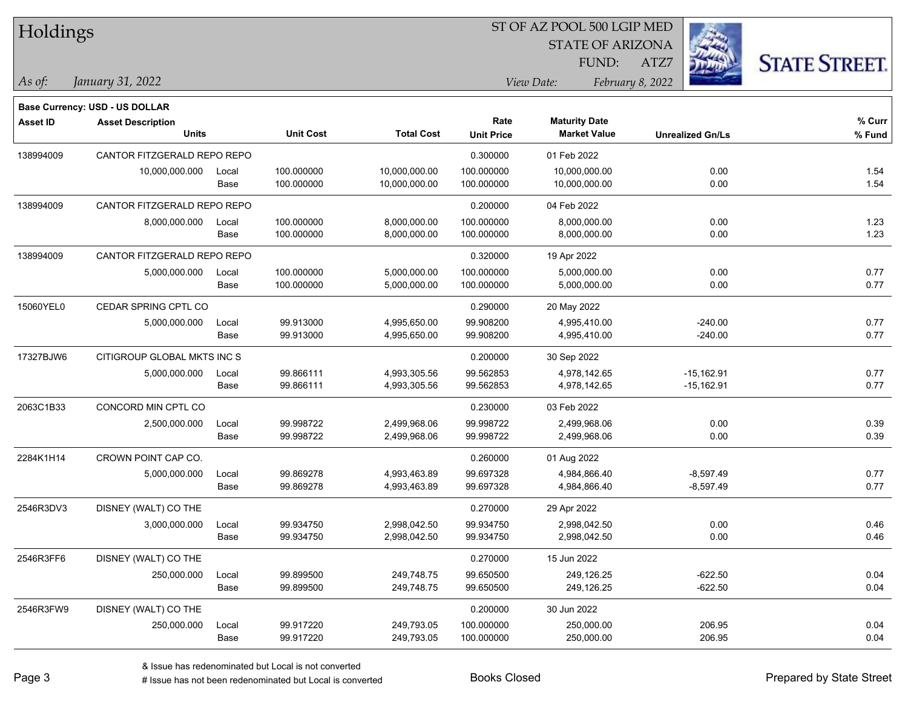| Holdings        |                                       |       |                  |                   | ST OF AZ POOL 500 LGIP MED |                         |                         |                      |  |  |  |
|-----------------|---------------------------------------|-------|------------------|-------------------|----------------------------|-------------------------|-------------------------|----------------------|--|--|--|
|                 |                                       |       |                  |                   |                            | <b>STATE OF ARIZONA</b> |                         |                      |  |  |  |
|                 |                                       |       |                  |                   |                            | FUND:                   | ATZ7                    | <b>STATE STREET.</b> |  |  |  |
| As of:          | January 31, 2022                      |       |                  |                   |                            | View Date:              | February 8, 2022        |                      |  |  |  |
|                 | <b>Base Currency: USD - US DOLLAR</b> |       |                  |                   |                            |                         |                         |                      |  |  |  |
| <b>Asset ID</b> | <b>Asset Description</b>              |       |                  |                   | Rate                       | <b>Maturity Date</b>    |                         | % Curr               |  |  |  |
|                 | <b>Units</b>                          |       | <b>Unit Cost</b> | <b>Total Cost</b> | <b>Unit Price</b>          | <b>Market Value</b>     | <b>Unrealized Gn/Ls</b> | % Fund               |  |  |  |
| 138994009       | CANTOR FITZGERALD REPO REPO           |       |                  |                   | 0.300000                   | 01 Feb 2022             |                         |                      |  |  |  |
|                 | 10,000,000.000                        | Local | 100.000000       | 10,000,000.00     | 100.000000                 | 10,000,000.00           | 0.00                    | 1.54                 |  |  |  |
|                 |                                       | Base  | 100.000000       | 10,000,000.00     | 100.000000                 | 10,000,000.00           | 0.00                    | 1.54                 |  |  |  |
| 138994009       | CANTOR FITZGERALD REPO REPO           |       |                  |                   | 0.200000                   | 04 Feb 2022             |                         |                      |  |  |  |
|                 | 8,000,000.000                         | Local | 100.000000       | 8,000,000.00      | 100.000000                 | 8,000,000.00            | 0.00                    | 1.23                 |  |  |  |
|                 |                                       | Base  | 100.000000       | 8,000,000.00      | 100.000000                 | 8,000,000.00            | 0.00                    | 1.23                 |  |  |  |
| 138994009       | CANTOR FITZGERALD REPO REPO           |       |                  |                   | 0.320000                   | 19 Apr 2022             |                         |                      |  |  |  |
|                 | 5,000,000.000                         | Local | 100.000000       | 5,000,000.00      | 100.000000                 | 5,000,000.00            | 0.00                    | 0.77                 |  |  |  |
|                 |                                       | Base  | 100.000000       | 5,000,000.00      | 100.000000                 | 5,000,000.00            | 0.00                    | 0.77                 |  |  |  |
| 15060YEL0       | CEDAR SPRING CPTL CO                  |       |                  |                   | 0.290000                   | 20 May 2022             |                         |                      |  |  |  |
|                 | 5,000,000.000                         | Local | 99.913000        | 4,995,650.00      | 99.908200                  | 4,995,410.00            | $-240.00$               | 0.77                 |  |  |  |
|                 |                                       | Base  | 99.913000        | 4,995,650.00      | 99.908200                  | 4,995,410.00            | $-240.00$               | 0.77                 |  |  |  |
| 17327BJW6       | CITIGROUP GLOBAL MKTS INC S           |       |                  |                   | 0.200000                   | 30 Sep 2022             |                         |                      |  |  |  |
|                 | 5,000,000.000                         | Local | 99.866111        | 4,993,305.56      | 99.562853                  | 4,978,142.65            | $-15,162.91$            | 0.77                 |  |  |  |
|                 |                                       | Base  | 99.866111        | 4,993,305.56      | 99.562853                  | 4,978,142.65            | $-15,162.91$            | 0.77                 |  |  |  |
| 2063C1B33       | CONCORD MIN CPTL CO                   |       |                  |                   | 0.230000                   | 03 Feb 2022             |                         |                      |  |  |  |
|                 | 2,500,000.000                         | Local | 99.998722        | 2,499,968.06      | 99.998722                  | 2,499,968.06            | 0.00                    | 0.39                 |  |  |  |
|                 |                                       | Base  | 99.998722        | 2,499,968.06      | 99.998722                  | 2,499,968.06            | 0.00                    | 0.39                 |  |  |  |
| 2284K1H14       | CROWN POINT CAP CO.                   |       |                  |                   | 0.260000                   | 01 Aug 2022             |                         |                      |  |  |  |
|                 | 5,000,000.000                         | Local | 99.869278        | 4,993,463.89      | 99.697328                  | 4,984,866.40            | $-8,597.49$             | 0.77                 |  |  |  |
|                 |                                       | Base  | 99.869278        | 4,993,463.89      | 99.697328                  | 4,984,866.40            | $-8,597.49$             | 0.77                 |  |  |  |
| 2546R3DV3       | DISNEY (WALT) CO THE                  |       |                  |                   | 0.270000                   | 29 Apr 2022             |                         |                      |  |  |  |
|                 | 3,000,000.000                         | Local | 99.934750        | 2,998,042.50      | 99.934750                  | 2,998,042.50            | 0.00                    | 0.46                 |  |  |  |
|                 |                                       | Base  | 99.934750        | 2,998,042.50      | 99.934750                  | 2,998,042.50            | 0.00                    | 0.46                 |  |  |  |
| 2546R3FF6       | DISNEY (WALT) CO THE                  |       |                  |                   | 0.270000                   | 15 Jun 2022             |                         |                      |  |  |  |
|                 | 250,000.000                           | Local | 99.899500        | 249,748.75        | 99.650500                  | 249,126.25              | $-622.50$               | 0.04                 |  |  |  |
|                 |                                       | Base  | 99.899500        | 249,748.75        | 99.650500                  | 249,126.25              | $-622.50$               | 0.04                 |  |  |  |
| 2546R3FW9       | DISNEY (WALT) CO THE                  |       |                  |                   | 0.200000                   | 30 Jun 2022             |                         |                      |  |  |  |
|                 | 250,000.000                           | Local | 99.917220        | 249,793.05        | 100.000000                 | 250,000.00              | 206.95                  | 0.04                 |  |  |  |
|                 |                                       | Base  | 99.917220        | 249,793.05        | 100.000000                 | 250,000.00              | 206.95                  | 0.04                 |  |  |  |

 $\overline{\phantom{a}}$ 

 $\overline{\phantom{0}}$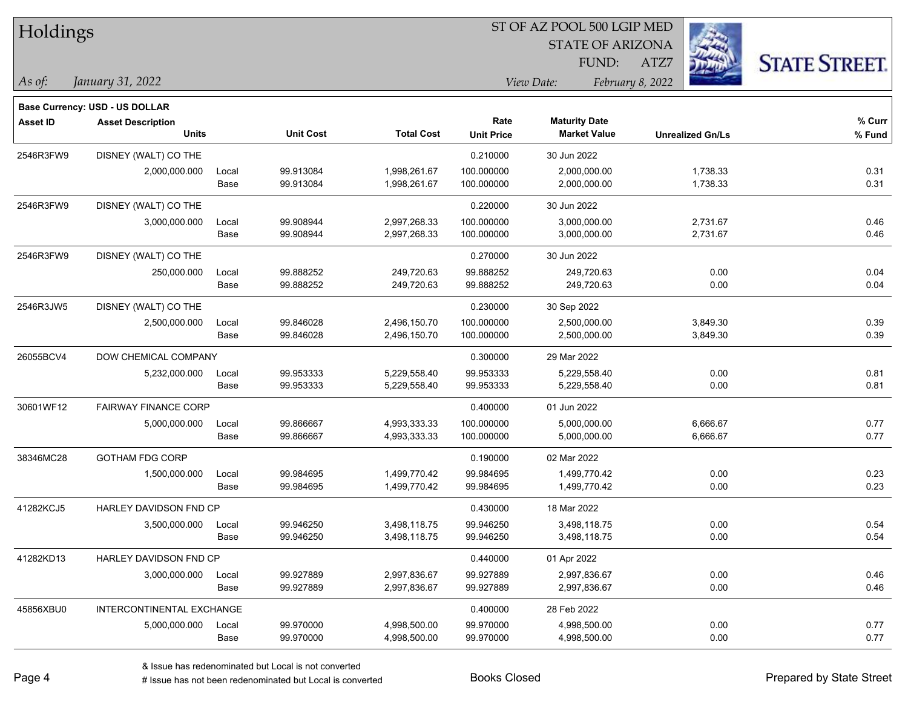| Holdings        |                                          |               |                        | ST OF AZ POOL 500 LGIP MED   |                           |                                             |                         |                      |  |  |
|-----------------|------------------------------------------|---------------|------------------------|------------------------------|---------------------------|---------------------------------------------|-------------------------|----------------------|--|--|
|                 |                                          |               |                        |                              |                           | <b>STATE OF ARIZONA</b>                     |                         |                      |  |  |
|                 |                                          |               |                        |                              |                           | FUND:                                       | ATZ7                    | <b>STATE STREET.</b> |  |  |
| As of:          | January 31, 2022                         |               |                        |                              |                           | View Date:                                  | February 8, 2022        |                      |  |  |
|                 |                                          |               |                        |                              |                           |                                             |                         |                      |  |  |
|                 | Base Currency: USD - US DOLLAR           |               |                        |                              |                           |                                             |                         |                      |  |  |
| <b>Asset ID</b> | <b>Asset Description</b><br><b>Units</b> |               | <b>Unit Cost</b>       | <b>Total Cost</b>            | Rate<br><b>Unit Price</b> | <b>Maturity Date</b><br><b>Market Value</b> | <b>Unrealized Gn/Ls</b> | % Curr<br>% Fund     |  |  |
|                 |                                          |               |                        |                              | 0.210000                  |                                             |                         |                      |  |  |
| 2546R3FW9       | DISNEY (WALT) CO THE                     |               |                        |                              |                           | 30 Jun 2022                                 |                         |                      |  |  |
|                 | 2,000,000.000                            | Local<br>Base | 99.913084<br>99.913084 | 1,998,261.67<br>1,998,261.67 | 100.000000<br>100.000000  | 2,000,000.00<br>2,000,000.00                | 1,738.33<br>1,738.33    | 0.31<br>0.31         |  |  |
|                 |                                          |               |                        |                              |                           |                                             |                         |                      |  |  |
| 2546R3FW9       | DISNEY (WALT) CO THE                     |               |                        |                              | 0.220000                  | 30 Jun 2022                                 |                         |                      |  |  |
|                 | 3,000,000.000                            | Local<br>Base | 99.908944<br>99.908944 | 2,997,268.33<br>2,997,268.33 | 100.000000<br>100.000000  | 3,000,000.00<br>3,000,000.00                | 2,731.67<br>2,731.67    | 0.46<br>0.46         |  |  |
|                 |                                          |               |                        |                              |                           |                                             |                         |                      |  |  |
| 2546R3FW9       | DISNEY (WALT) CO THE                     |               |                        |                              | 0.270000                  | 30 Jun 2022                                 |                         |                      |  |  |
|                 | 250,000.000                              | Local<br>Base | 99.888252<br>99.888252 | 249,720.63<br>249,720.63     | 99.888252<br>99.888252    | 249,720.63<br>249,720.63                    | 0.00<br>0.00            | 0.04<br>0.04         |  |  |
|                 |                                          |               |                        |                              |                           |                                             |                         |                      |  |  |
| 2546R3JW5       | DISNEY (WALT) CO THE                     |               |                        |                              | 0.230000                  | 30 Sep 2022                                 |                         |                      |  |  |
|                 | 2,500,000.000                            | Local<br>Base | 99.846028<br>99.846028 | 2,496,150.70<br>2,496,150.70 | 100.000000<br>100.000000  | 2,500,000.00<br>2,500,000.00                | 3,849.30<br>3,849.30    | 0.39<br>0.39         |  |  |
|                 |                                          |               |                        |                              |                           |                                             |                         |                      |  |  |
| 26055BCV4       | DOW CHEMICAL COMPANY                     |               |                        |                              | 0.300000                  | 29 Mar 2022                                 |                         |                      |  |  |
|                 | 5,232,000.000                            | Local<br>Base | 99.953333<br>99.953333 | 5,229,558.40<br>5,229,558.40 | 99.953333<br>99.953333    | 5,229,558.40<br>5,229,558.40                | 0.00<br>0.00            | 0.81<br>0.81         |  |  |
|                 |                                          |               |                        |                              |                           |                                             |                         |                      |  |  |
| 30601WF12       | <b>FAIRWAY FINANCE CORP</b>              |               |                        |                              | 0.400000                  | 01 Jun 2022                                 |                         |                      |  |  |
|                 | 5,000,000.000                            | Local<br>Base | 99.866667<br>99.866667 | 4,993,333.33<br>4,993,333.33 | 100.000000<br>100.000000  | 5,000,000.00<br>5,000,000.00                | 6,666.67<br>6,666.67    | 0.77<br>0.77         |  |  |
|                 |                                          |               |                        |                              |                           |                                             |                         |                      |  |  |
| 38346MC28       | <b>GOTHAM FDG CORP</b>                   |               |                        |                              | 0.190000                  | 02 Mar 2022                                 |                         |                      |  |  |
|                 | 1,500,000.000                            | Local<br>Base | 99.984695<br>99.984695 | 1,499,770.42<br>1,499,770.42 | 99.984695<br>99.984695    | 1,499,770.42<br>1,499,770.42                | 0.00<br>0.00            | 0.23<br>0.23         |  |  |
|                 |                                          |               |                        |                              |                           |                                             |                         |                      |  |  |
| 41282KCJ5       | HARLEY DAVIDSON FND CP                   |               |                        |                              | 0.430000                  | 18 Mar 2022                                 |                         |                      |  |  |
|                 | 3,500,000.000                            | Local         | 99.946250              | 3,498,118.75                 | 99.946250                 | 3,498,118.75                                | 0.00                    | 0.54<br>0.54         |  |  |
|                 |                                          | Base          | 99.946250              | 3,498,118.75                 | 99.946250                 | 3,498,118.75                                | 0.00                    |                      |  |  |
| 41282KD13       | HARLEY DAVIDSON FND CP                   |               |                        |                              | 0.440000                  | 01 Apr 2022                                 |                         |                      |  |  |
|                 | 3,000,000.000                            | Local         | 99.927889              | 2,997,836.67                 | 99.927889                 | 2,997,836.67                                | 0.00                    | 0.46                 |  |  |
|                 |                                          | Base          | 99.927889              | 2,997,836.67                 | 99.927889                 | 2,997,836.67                                | 0.00                    | 0.46                 |  |  |
| 45856XBU0       | INTERCONTINENTAL EXCHANGE                |               |                        |                              | 0.400000                  | 28 Feb 2022                                 |                         |                      |  |  |
|                 | 5,000,000.000                            | Local         | 99.970000              | 4,998,500.00                 | 99.970000                 | 4,998,500.00                                | 0.00                    | 0.77                 |  |  |
|                 |                                          | Base          | 99.970000              | 4,998,500.00                 | 99.970000                 | 4,998,500.00                                | 0.00                    | 0.77                 |  |  |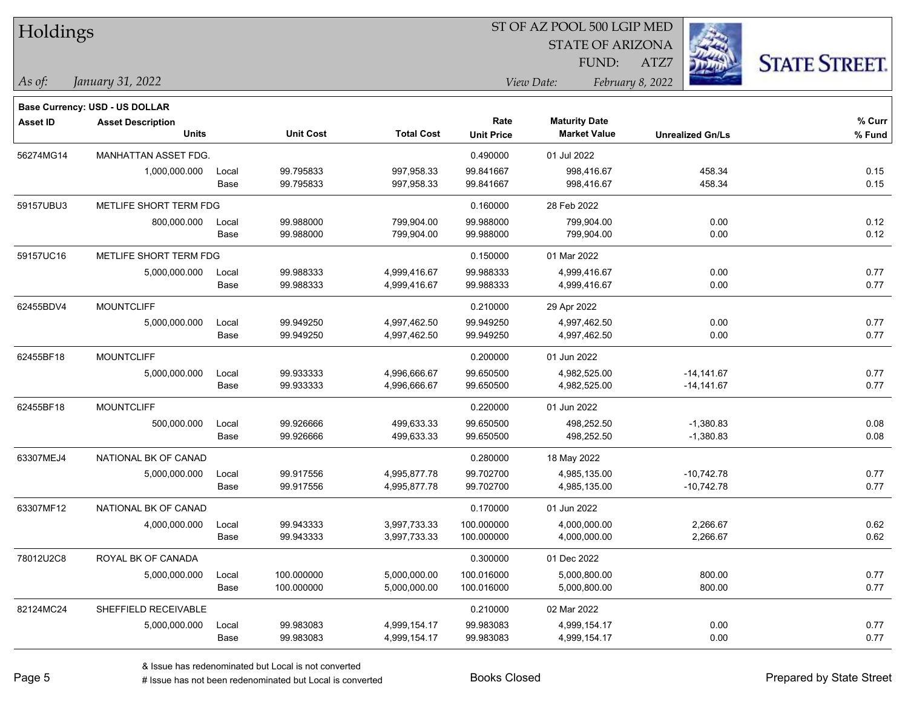| Holdings        |                                       |       |                  |                   | SI OF AZ POOL 500 LGIP MED<br>J. |                         |                         |                      |  |  |
|-----------------|---------------------------------------|-------|------------------|-------------------|----------------------------------|-------------------------|-------------------------|----------------------|--|--|
|                 |                                       |       |                  |                   |                                  | <b>STATE OF ARIZONA</b> |                         |                      |  |  |
|                 |                                       |       |                  |                   |                                  | FUND:                   | ATZ7                    | <b>STATE STREET.</b> |  |  |
| As of:          | January 31, 2022                      |       |                  |                   | February 8, 2022<br>View Date:   |                         |                         |                      |  |  |
|                 | <b>Base Currency: USD - US DOLLAR</b> |       |                  |                   |                                  |                         |                         |                      |  |  |
| <b>Asset ID</b> | <b>Asset Description</b>              |       |                  |                   | Rate                             | <b>Maturity Date</b>    |                         | % Curr               |  |  |
|                 | <b>Units</b>                          |       | <b>Unit Cost</b> | <b>Total Cost</b> | <b>Unit Price</b>                | <b>Market Value</b>     | <b>Unrealized Gn/Ls</b> | $%$ Fund             |  |  |
| 56274MG14       | MANHATTAN ASSET FDG.                  |       |                  |                   | 0.490000                         | 01 Jul 2022             |                         |                      |  |  |
|                 | 1,000,000.000                         | Local | 99.795833        | 997,958.33        | 99.841667                        | 998,416.67              | 458.34                  | 0.15                 |  |  |
|                 |                                       | Base  | 99.795833        | 997,958.33        | 99.841667                        | 998,416.67              | 458.34                  | 0.15                 |  |  |
| 59157UBU3       | METLIFE SHORT TERM FDG                |       |                  |                   | 0.160000                         | 28 Feb 2022             |                         |                      |  |  |
|                 | 800,000.000                           | Local | 99.988000        | 799,904.00        | 99.988000                        | 799,904.00              | 0.00                    | 0.12                 |  |  |
|                 |                                       | Base  | 99.988000        | 799,904.00        | 99.988000                        | 799,904.00              | 0.00                    | 0.12                 |  |  |
| 59157UC16       | METLIFE SHORT TERM FDG                |       |                  |                   | 0.150000                         | 01 Mar 2022             |                         |                      |  |  |
|                 | 5,000,000.000                         | Local | 99.988333        | 4,999,416.67      | 99.988333                        | 4,999,416.67            | 0.00                    | 0.77                 |  |  |
|                 |                                       | Base  | 99.988333        | 4,999,416.67      | 99.988333                        | 4,999,416.67            | 0.00                    | 0.77                 |  |  |
| 62455BDV4       | <b>MOUNTCLIFF</b>                     |       |                  |                   | 0.210000                         | 29 Apr 2022             |                         |                      |  |  |
|                 | 5,000,000.000                         | Local | 99.949250        | 4,997,462.50      | 99.949250                        | 4,997,462.50            | 0.00                    | 0.77                 |  |  |
|                 |                                       | Base  | 99.949250        | 4,997,462.50      | 99.949250                        | 4,997,462.50            | 0.00                    | 0.77                 |  |  |
| 62455BF18       | <b>MOUNTCLIFF</b>                     |       |                  |                   | 0.200000                         | 01 Jun 2022             |                         |                      |  |  |
|                 | 5,000,000.000                         | Local | 99.933333        | 4,996,666.67      | 99.650500                        | 4,982,525.00            | $-14,141.67$            | 0.77                 |  |  |
|                 |                                       | Base  | 99.933333        | 4,996,666.67      | 99.650500                        | 4,982,525.00            | $-14,141.67$            | 0.77                 |  |  |
| 62455BF18       | <b>MOUNTCLIFF</b>                     |       |                  |                   | 0.220000                         | 01 Jun 2022             |                         |                      |  |  |
|                 | 500,000.000                           | Local | 99.926666        | 499,633.33        | 99.650500                        | 498,252.50              | $-1,380.83$             | 0.08                 |  |  |
|                 |                                       | Base  | 99.926666        | 499,633.33        | 99.650500                        | 498,252.50              | $-1,380.83$             | 0.08                 |  |  |
| 63307MEJ4       | NATIONAL BK OF CANAD                  |       |                  |                   | 0.280000                         | 18 May 2022             |                         |                      |  |  |
|                 | 5,000,000.000                         | Local | 99.917556        | 4,995,877.78      | 99.702700                        | 4,985,135.00            | $-10,742.78$            | 0.77                 |  |  |
|                 |                                       | Base  | 99.917556        | 4,995,877.78      | 99.702700                        | 4,985,135.00            | $-10,742.78$            | 0.77                 |  |  |
| 63307MF12       | NATIONAL BK OF CANAD                  |       |                  |                   | 0.170000                         | 01 Jun 2022             |                         |                      |  |  |
|                 | 4,000,000.000                         | Local | 99.943333        | 3,997,733.33      | 100.000000                       | 4,000,000.00            | 2,266.67                | 0.62                 |  |  |
|                 |                                       | Base  | 99.943333        | 3,997,733.33      | 100.000000                       | 4,000,000.00            | 2,266.67                | 0.62                 |  |  |
| 78012U2C8       | ROYAL BK OF CANADA                    |       |                  |                   | 0.300000                         | 01 Dec 2022             |                         |                      |  |  |
|                 | 5,000,000.000                         | Local | 100.000000       | 5,000,000.00      | 100.016000                       | 5,000,800.00            | 800.00                  | 0.77                 |  |  |
|                 |                                       | Base  | 100.000000       | 5,000,000.00      | 100.016000                       | 5,000,800.00            | 800.00                  | 0.77                 |  |  |
| 82124MC24       | SHEFFIELD RECEIVABLE                  |       |                  |                   | 0.210000                         | 02 Mar 2022             |                         |                      |  |  |
|                 | 5,000,000.000                         | Local | 99.983083        | 4,999,154.17      | 99.983083                        | 4,999,154.17            | 0.00                    | 0.77                 |  |  |
|                 |                                       | Base  | 99.983083        | 4,999,154.17      | 99.983083                        | 4,999,154.17            | 0.00                    | 0.77                 |  |  |

 $\overline{\text{SP } \overline{\text{SP } \text{O}}$ 

# Issue has not been redenominated but Local is converted Books Closed Prepared by State Street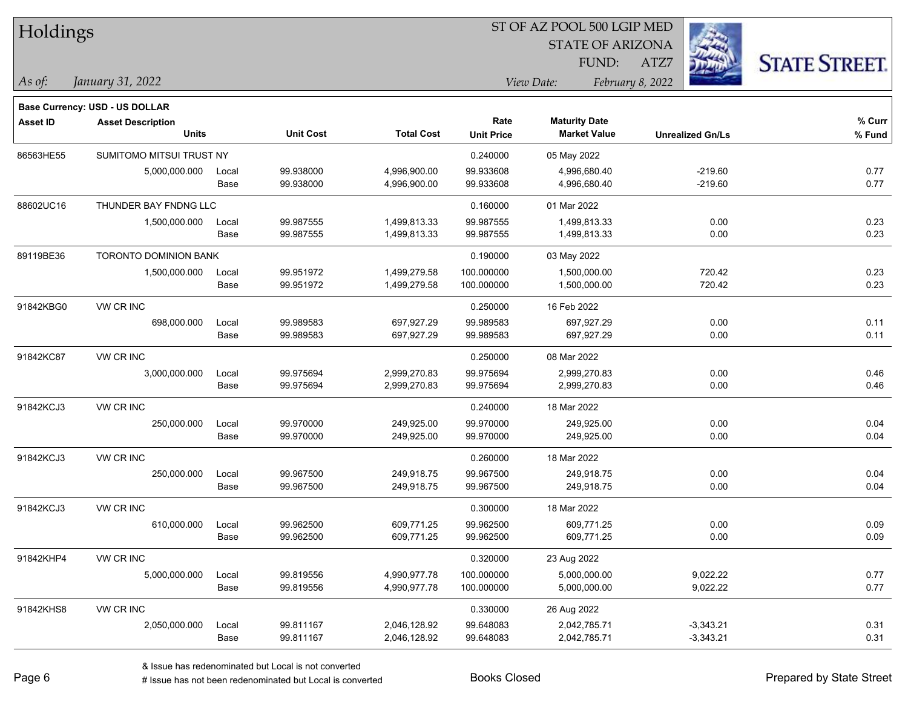| Holdings        |                                |       |                  |                   |                   | ST OF AZ POOL 500 LGIP MED     |                         |                      |
|-----------------|--------------------------------|-------|------------------|-------------------|-------------------|--------------------------------|-------------------------|----------------------|
|                 |                                |       |                  |                   |                   | <b>STATE OF ARIZONA</b>        |                         |                      |
|                 |                                |       |                  |                   |                   | FUND:                          | ATZ7                    | <b>STATE STREET.</b> |
| As of:          | January 31, 2022               |       |                  |                   |                   | View Date:<br>February 8, 2022 |                         |                      |
|                 | Base Currency: USD - US DOLLAR |       |                  |                   |                   |                                |                         |                      |
| <b>Asset ID</b> | <b>Asset Description</b>       |       |                  |                   | Rate              | <b>Maturity Date</b>           |                         | % Curr               |
|                 | <b>Units</b>                   |       | <b>Unit Cost</b> | <b>Total Cost</b> | <b>Unit Price</b> | <b>Market Value</b>            | <b>Unrealized Gn/Ls</b> | % Fund               |
| 86563HE55       | SUMITOMO MITSUI TRUST NY       |       |                  |                   | 0.240000          | 05 May 2022                    |                         |                      |
|                 | 5,000,000.000                  | Local | 99.938000        | 4,996,900.00      | 99.933608         | 4,996,680.40                   | $-219.60$               | 0.77                 |
|                 |                                | Base  | 99.938000        | 4,996,900.00      | 99.933608         | 4,996,680.40                   | $-219.60$               | 0.77                 |
| 88602UC16       | THUNDER BAY FNDNG LLC          |       |                  |                   | 0.160000          | 01 Mar 2022                    |                         |                      |
|                 | 1,500,000.000                  | Local | 99.987555        | 1,499,813.33      | 99.987555         | 1,499,813.33                   | 0.00                    | 0.23                 |
|                 |                                | Base  | 99.987555        | 1,499,813.33      | 99.987555         | 1,499,813.33                   | 0.00                    | 0.23                 |
| 89119BE36       | <b>TORONTO DOMINION BANK</b>   |       |                  |                   | 0.190000          | 03 May 2022                    |                         |                      |
|                 | 1,500,000.000                  | Local | 99.951972        | 1,499,279.58      | 100.000000        | 1,500,000.00                   | 720.42                  | 0.23                 |
|                 |                                | Base  | 99.951972        | 1,499,279.58      | 100.000000        | 1,500,000.00                   | 720.42                  | 0.23                 |
| 91842KBG0       | VW CR INC                      |       |                  |                   | 0.250000          | 16 Feb 2022                    |                         |                      |
|                 | 698,000.000                    | Local | 99.989583        | 697,927.29        | 99.989583         | 697,927.29                     | 0.00                    | 0.11                 |
|                 |                                | Base  | 99.989583        | 697,927.29        | 99.989583         | 697,927.29                     | 0.00                    | 0.11                 |
| 91842KC87       | VW CR INC                      |       |                  |                   | 0.250000          | 08 Mar 2022                    |                         |                      |
|                 | 3,000,000.000                  | Local | 99.975694        | 2,999,270.83      | 99.975694         | 2,999,270.83                   | 0.00                    | 0.46                 |
|                 |                                | Base  | 99.975694        | 2,999,270.83      | 99.975694         | 2,999,270.83                   | 0.00                    | 0.46                 |
| 91842KCJ3       | VW CR INC                      |       |                  |                   | 0.240000          | 18 Mar 2022                    |                         |                      |
|                 | 250,000.000                    | Local | 99.970000        | 249,925.00        | 99.970000         | 249,925.00                     | 0.00                    | 0.04                 |
|                 |                                | Base  | 99.970000        | 249,925.00        | 99.970000         | 249,925.00                     | 0.00                    | 0.04                 |
| 91842KCJ3       | VW CR INC                      |       |                  |                   | 0.260000          | 18 Mar 2022                    |                         |                      |
|                 | 250,000.000                    | Local | 99.967500        | 249,918.75        | 99.967500         | 249,918.75                     | 0.00                    | 0.04                 |
|                 |                                | Base  | 99.967500        | 249,918.75        | 99.967500         | 249,918.75                     | 0.00                    | 0.04                 |
| 91842KCJ3       | VW CR INC                      |       |                  |                   | 0.300000          | 18 Mar 2022                    |                         |                      |
|                 | 610,000.000                    | Local | 99.962500        | 609,771.25        | 99.962500         | 609,771.25                     | 0.00                    | 0.09                 |
|                 |                                | Base  | 99.962500        | 609,771.25        | 99.962500         | 609,771.25                     | 0.00                    | 0.09                 |
| 91842KHP4       | VW CR INC                      |       |                  |                   | 0.320000          | 23 Aug 2022                    |                         |                      |
|                 | 5,000,000.000                  | Local | 99.819556        | 4,990,977.78      | 100.000000        | 5,000,000.00                   | 9,022.22                | 0.77                 |
|                 |                                | Base  | 99.819556        | 4,990,977.78      | 100.000000        | 5,000,000.00                   | 9,022.22                | 0.77                 |
| 91842KHS8       | VW CR INC                      |       |                  |                   | 0.330000          | 26 Aug 2022                    |                         |                      |
|                 | 2,050,000.000                  | Local | 99.811167        | 2,046,128.92      | 99.648083         | 2,042,785.71                   | $-3,343.21$             | 0.31                 |
|                 |                                | Base  | 99.811167        | 2,046,128.92      | 99.648083         | 2,042,785.71                   | $-3,343.21$             | 0.31                 |

# Issue has not been redenominated but Local is converted Books Closed Prepared by State Street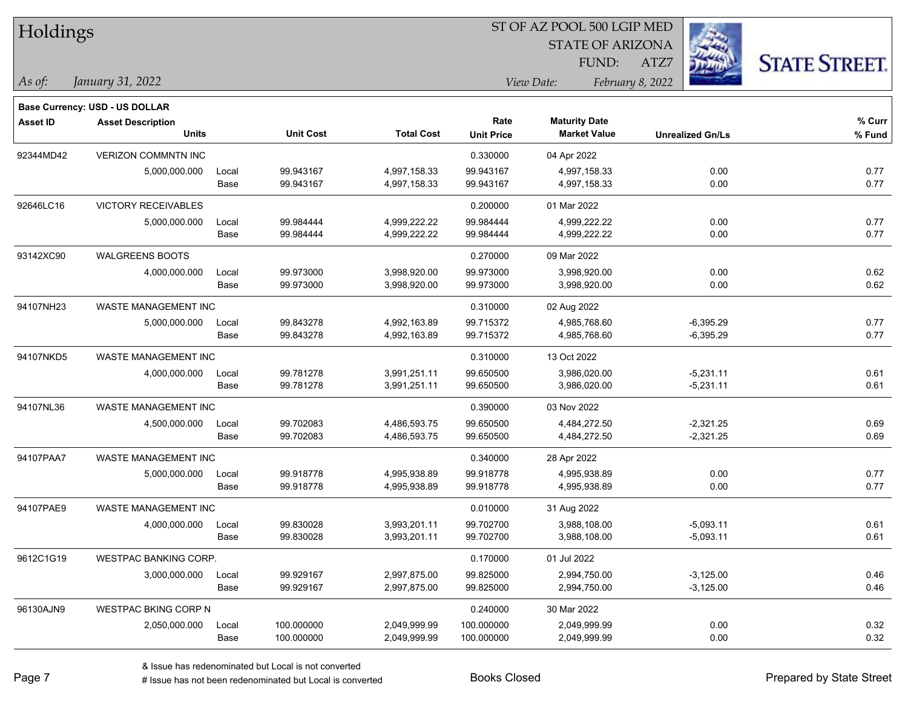| Holdings        |                                                            |       |                  |                   | ST OF AZ POOL 500 LGIP MED |                                |                         |                      |  |  |
|-----------------|------------------------------------------------------------|-------|------------------|-------------------|----------------------------|--------------------------------|-------------------------|----------------------|--|--|
|                 |                                                            |       |                  |                   |                            | <b>STATE OF ARIZONA</b>        |                         |                      |  |  |
|                 |                                                            |       |                  |                   |                            | FUND:                          | ATZ7                    | <b>STATE STREET.</b> |  |  |
| As of:          | January 31, 2022                                           |       |                  |                   |                            | View Date:<br>February 8, 2022 |                         |                      |  |  |
|                 |                                                            |       |                  |                   |                            |                                |                         |                      |  |  |
| <b>Asset ID</b> | Base Currency: USD - US DOLLAR<br><b>Asset Description</b> |       |                  |                   | Rate                       | <b>Maturity Date</b>           |                         | % Curr               |  |  |
|                 | <b>Units</b>                                               |       | <b>Unit Cost</b> | <b>Total Cost</b> | <b>Unit Price</b>          | <b>Market Value</b>            | <b>Unrealized Gn/Ls</b> | % Fund               |  |  |
| 92344MD42       | <b>VERIZON COMMNTN INC</b>                                 |       |                  |                   | 0.330000                   | 04 Apr 2022                    |                         |                      |  |  |
|                 | 5,000,000.000                                              | Local | 99.943167        | 4,997,158.33      | 99.943167                  | 4,997,158.33                   | 0.00                    | 0.77                 |  |  |
|                 |                                                            | Base  | 99.943167        | 4,997,158.33      | 99.943167                  | 4,997,158.33                   | 0.00                    | 0.77                 |  |  |
| 92646LC16       | <b>VICTORY RECEIVABLES</b>                                 |       |                  |                   | 0.200000                   | 01 Mar 2022                    |                         |                      |  |  |
|                 | 5,000,000.000                                              | Local | 99.984444        | 4,999,222.22      | 99.984444                  | 4,999,222.22                   | 0.00                    | 0.77                 |  |  |
|                 |                                                            | Base  | 99.984444        | 4,999,222.22      | 99.984444                  | 4,999,222.22                   | 0.00                    | 0.77                 |  |  |
| 93142XC90       | <b>WALGREENS BOOTS</b>                                     |       |                  |                   | 0.270000                   | 09 Mar 2022                    |                         |                      |  |  |
|                 | 4,000,000.000                                              | Local | 99.973000        | 3,998,920.00      | 99.973000                  | 3,998,920.00                   | 0.00                    | 0.62                 |  |  |
|                 |                                                            | Base  | 99.973000        | 3,998,920.00      | 99.973000                  | 3,998,920.00                   | 0.00                    | 0.62                 |  |  |
| 94107NH23       | WASTE MANAGEMENT INC                                       |       |                  |                   | 0.310000                   | 02 Aug 2022                    |                         |                      |  |  |
|                 | 5,000,000.000                                              | Local | 99.843278        | 4,992,163.89      | 99.715372                  | 4,985,768.60                   | $-6,395.29$             | 0.77                 |  |  |
|                 |                                                            | Base  | 99.843278        | 4,992,163.89      | 99.715372                  | 4,985,768.60                   | $-6,395.29$             | 0.77                 |  |  |
| 94107NKD5       | WASTE MANAGEMENT INC                                       |       |                  |                   | 0.310000                   | 13 Oct 2022                    |                         |                      |  |  |
|                 | 4,000,000.000                                              | Local | 99.781278        | 3,991,251.11      | 99.650500                  | 3,986,020.00                   | $-5,231.11$             | 0.61                 |  |  |
|                 |                                                            | Base  | 99.781278        | 3,991,251.11      | 99.650500                  | 3,986,020.00                   | $-5,231.11$             | 0.61                 |  |  |
| 94107NL36       | WASTE MANAGEMENT INC                                       |       |                  |                   | 0.390000                   | 03 Nov 2022                    |                         |                      |  |  |
|                 | 4,500,000.000                                              | Local | 99.702083        | 4,486,593.75      | 99.650500                  | 4,484,272.50                   | $-2,321.25$             | 0.69                 |  |  |
|                 |                                                            | Base  | 99.702083        | 4,486,593.75      | 99.650500                  | 4,484,272.50                   | $-2,321.25$             | 0.69                 |  |  |
| 94107PAA7       | WASTE MANAGEMENT INC                                       |       |                  |                   | 0.340000                   | 28 Apr 2022                    |                         |                      |  |  |
|                 | 5,000,000.000                                              | Local | 99.918778        | 4,995,938.89      | 99.918778                  | 4,995,938.89                   | 0.00                    | 0.77                 |  |  |
|                 |                                                            | Base  | 99.918778        | 4,995,938.89      | 99.918778                  | 4,995,938.89                   | 0.00                    | 0.77                 |  |  |
| 94107PAE9       | WASTE MANAGEMENT INC                                       |       |                  |                   | 0.010000                   | 31 Aug 2022                    |                         |                      |  |  |
|                 | 4,000,000.000                                              | Local | 99.830028        | 3,993,201.11      | 99.702700                  | 3,988,108.00                   | $-5,093.11$             | 0.61                 |  |  |
|                 |                                                            | Base  | 99.830028        | 3,993,201.11      | 99.702700                  | 3,988,108.00                   | $-5,093.11$             | 0.61                 |  |  |
| 9612C1G19       | WESTPAC BANKING CORP.                                      |       |                  |                   | 0.170000                   | 01 Jul 2022                    |                         |                      |  |  |
|                 | 3,000,000.000                                              | Local | 99.929167        | 2,997,875.00      | 99.825000                  | 2,994,750.00                   | $-3,125.00$             | 0.46                 |  |  |
|                 |                                                            | Base  | 99.929167        | 2,997,875.00      | 99.825000                  | 2,994,750.00                   | $-3,125.00$             | 0.46                 |  |  |
| 96130AJN9       | <b>WESTPAC BKING CORP N</b>                                |       |                  |                   | 0.240000                   | 30 Mar 2022                    |                         |                      |  |  |
|                 | 2,050,000.000                                              | Local | 100.000000       | 2,049,999.99      | 100.000000                 | 2,049,999.99                   | 0.00                    | 0.32                 |  |  |
|                 |                                                            | Base  | 100.000000       | 2,049,999.99      | 100.000000                 | 2,049,999.99                   | 0.00                    | 0.32                 |  |  |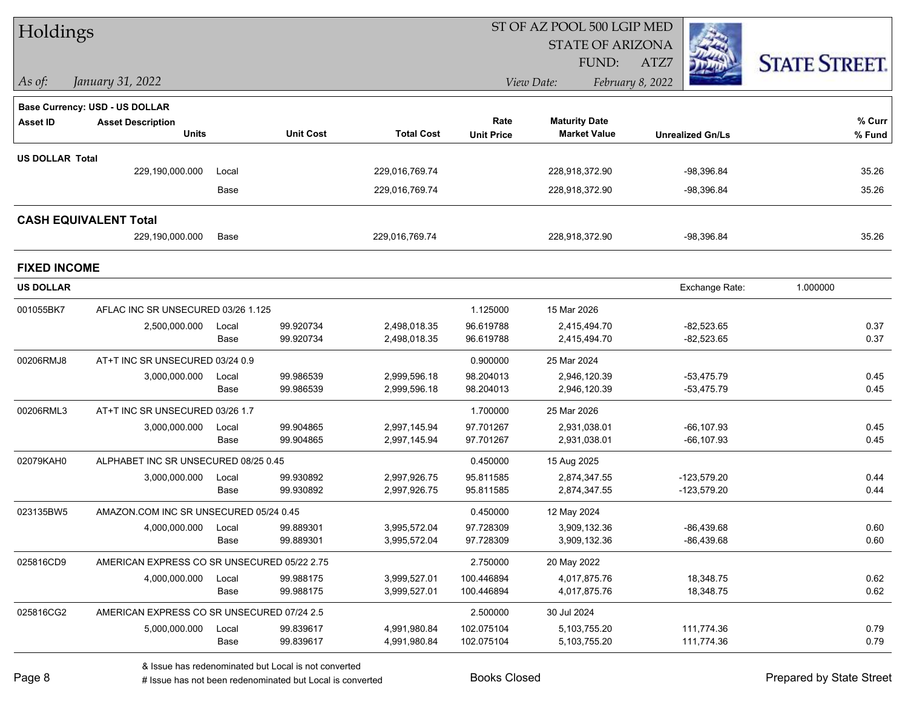| Holdings               |                                             |       |                        |                              |                          | ST OF AZ POOL 500 LGIP MED   |                              |                      |
|------------------------|---------------------------------------------|-------|------------------------|------------------------------|--------------------------|------------------------------|------------------------------|----------------------|
|                        |                                             |       |                        |                              |                          | <b>STATE OF ARIZONA</b>      |                              |                      |
|                        |                                             |       |                        |                              |                          | FUND:                        | ATZ7                         | <b>STATE STREET.</b> |
| $\vert$ As of:         | January 31, 2022                            |       |                        |                              |                          | View Date:                   | February 8, 2022             |                      |
|                        | <b>Base Currency: USD - US DOLLAR</b>       |       |                        |                              |                          |                              |                              |                      |
| <b>Asset ID</b>        | <b>Asset Description</b>                    |       |                        |                              | Rate                     | <b>Maturity Date</b>         |                              | % Curr               |
|                        | <b>Units</b>                                |       | <b>Unit Cost</b>       | <b>Total Cost</b>            | <b>Unit Price</b>        | <b>Market Value</b>          | <b>Unrealized Gn/Ls</b>      | % Fund               |
| <b>US DOLLAR Total</b> |                                             |       |                        |                              |                          |                              |                              |                      |
|                        | 229,190,000.000                             | Local |                        | 229,016,769.74               |                          | 228,918,372.90               | $-98,396.84$                 | 35.26                |
|                        |                                             | Base  |                        | 229,016,769.74               |                          | 228,918,372.90               | -98,396.84                   | 35.26                |
|                        | <b>CASH EQUIVALENT Total</b>                |       |                        |                              |                          |                              |                              |                      |
|                        | 229,190,000.000                             | Base  |                        | 229,016,769.74               |                          | 228,918,372.90               | $-98,396.84$                 | 35.26                |
| <b>FIXED INCOME</b>    |                                             |       |                        |                              |                          |                              |                              |                      |
| <b>US DOLLAR</b>       |                                             |       |                        |                              |                          |                              | Exchange Rate:               | 1.000000             |
| 001055BK7              | AFLAC INC SR UNSECURED 03/26 1.125          |       |                        |                              | 1.125000                 | 15 Mar 2026                  |                              |                      |
|                        | 2,500,000.000                               | Local | 99.920734              | 2,498,018.35                 | 96.619788                | 2,415,494.70                 | $-82,523.65$                 | 0.37                 |
|                        |                                             | Base  | 99.920734              | 2,498,018.35                 | 96.619788                | 2,415,494.70                 | $-82,523.65$                 | 0.37                 |
| 00206RMJ8              | AT+T INC SR UNSECURED 03/24 0.9             |       |                        |                              | 0.900000                 | 25 Mar 2024                  |                              |                      |
|                        | 3,000,000.000                               | Local | 99.986539              | 2,999,596.18                 | 98.204013                | 2,946,120.39                 | $-53,475.79$                 | 0.45                 |
|                        |                                             | Base  | 99.986539              | 2,999,596.18                 | 98.204013                | 2,946,120.39                 | $-53,475.79$                 | 0.45                 |
| 00206RML3              | AT+T INC SR UNSECURED 03/26 1.7             |       |                        |                              | 1.700000                 | 25 Mar 2026                  |                              |                      |
|                        | 3,000,000.000                               | Local | 99.904865              | 2,997,145.94                 | 97.701267                | 2,931,038.01                 | $-66, 107.93$                | 0.45                 |
|                        |                                             | Base  | 99.904865              | 2,997,145.94                 | 97.701267                | 2,931,038.01                 | -66,107.93                   | 0.45                 |
| 02079KAH0              | ALPHABET INC SR UNSECURED 08/25 0.45        |       |                        |                              | 0.450000                 | 15 Aug 2025                  |                              |                      |
|                        | 3,000,000.000                               | Local | 99.930892<br>99.930892 | 2,997,926.75                 | 95.811585                | 2,874,347.55                 | $-123,579.20$                | 0.44                 |
|                        |                                             | Base  |                        | 2,997,926.75                 | 95.811585                | 2,874,347.55                 | $-123,579.20$                | 0.44                 |
| 023135BW5              | AMAZON.COM INC SR UNSECURED 05/24 0.45      |       |                        |                              | 0.450000                 | 12 May 2024                  |                              |                      |
|                        | 4,000,000.000 Local                         | Base  | 99.889301<br>99.889301 | 3,995,572.04<br>3,995,572.04 | 97.728309<br>97.728309   | 3,909,132.36<br>3,909,132.36 | $-86,439.68$<br>$-86,439.68$ | 0.60<br>0.60         |
|                        |                                             |       |                        |                              |                          |                              |                              |                      |
| 025816CD9              | AMERICAN EXPRESS CO SR UNSECURED 05/22 2.75 |       |                        |                              | 2.750000                 | 20 May 2022                  |                              |                      |
|                        | 4,000,000.000                               | Local | 99.988175<br>99.988175 | 3,999,527.01<br>3,999,527.01 | 100.446894<br>100.446894 | 4,017,875.76<br>4,017,875.76 | 18,348.75<br>18,348.75       | 0.62<br>0.62         |
|                        |                                             | Base  |                        |                              |                          |                              |                              |                      |
| 025816CG2              | AMERICAN EXPRESS CO SR UNSECURED 07/24 2.5  |       |                        |                              | 2.500000                 | 30 Jul 2024                  |                              |                      |
|                        | 5,000,000.000                               | Local | 99.839617<br>99.839617 | 4,991,980.84                 | 102.075104<br>102.075104 | 5,103,755.20                 | 111,774.36                   | 0.79<br>0.79         |
|                        |                                             | Base  |                        | 4,991,980.84                 |                          | 5,103,755.20                 | 111,774.36                   |                      |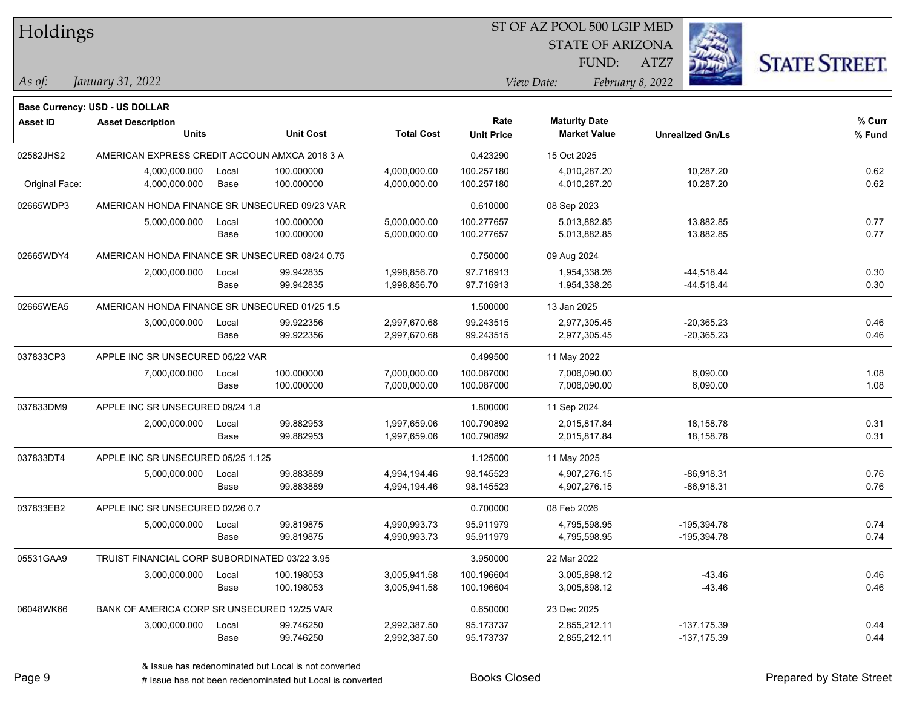| Holdings       |                                                |       |                  |                   |                   | 51 OF AZ POOL 500 LGIP MED |                  |                         |                      |
|----------------|------------------------------------------------|-------|------------------|-------------------|-------------------|----------------------------|------------------|-------------------------|----------------------|
|                |                                                |       |                  |                   |                   | <b>STATE OF ARIZONA</b>    |                  | Ż.                      |                      |
|                |                                                |       |                  |                   |                   | FUND:                      | ATZ7             |                         | <b>STATE STREET.</b> |
|                |                                                |       |                  |                   |                   |                            |                  |                         |                      |
| As of:         | January 31, 2022                               |       |                  |                   |                   | View Date:                 | February 8, 2022 |                         |                      |
|                | <b>Base Currency: USD - US DOLLAR</b>          |       |                  |                   |                   |                            |                  |                         |                      |
| Asset ID       | <b>Asset Description</b>                       |       |                  |                   | Rate              | <b>Maturity Date</b>       |                  |                         | % Curr               |
|                | <b>Units</b>                                   |       | <b>Unit Cost</b> | <b>Total Cost</b> | <b>Unit Price</b> | <b>Market Value</b>        |                  | <b>Unrealized Gn/Ls</b> | % Fund               |
| 02582JHS2      | AMERICAN EXPRESS CREDIT ACCOUN AMXCA 2018 3 A  |       |                  |                   | 0.423290          | 15 Oct 2025                |                  |                         |                      |
|                | 4,000,000.000                                  | Local | 100.000000       | 4,000,000.00      | 100.257180        | 4,010,287.20               |                  | 10,287.20               | 0.62                 |
| Original Face: | 4,000,000.000                                  | Base  | 100.000000       | 4,000,000.00      | 100.257180        | 4,010,287.20               |                  | 10,287.20               | 0.62                 |
| 02665WDP3      | AMERICAN HONDA FINANCE SR UNSECURED 09/23 VAR  |       |                  |                   | 0.610000          | 08 Sep 2023                |                  |                         |                      |
|                | 5,000,000.000                                  | Local | 100.000000       | 5,000,000.00      | 100.277657        | 5,013,882.85               |                  | 13,882.85               | 0.77                 |
|                |                                                | Base  | 100.000000       | 5,000,000.00      | 100.277657        | 5,013,882.85               |                  | 13,882.85               | 0.77                 |
| 02665WDY4      | AMERICAN HONDA FINANCE SR UNSECURED 08/24 0.75 |       |                  |                   | 0.750000          | 09 Aug 2024                |                  |                         |                      |
|                | 2,000,000.000                                  | Local | 99.942835        | 1,998,856.70      | 97.716913         | 1,954,338.26               |                  | $-44,518.44$            | 0.30                 |
|                |                                                | Base  | 99.942835        | 1,998,856.70      | 97.716913         | 1,954,338.26               |                  | $-44,518.44$            | 0.30                 |
| 02665WEA5      | AMERICAN HONDA FINANCE SR UNSECURED 01/25 1.5  |       |                  |                   | 1.500000          | 13 Jan 2025                |                  |                         |                      |
|                | 3,000,000.000                                  | Local | 99.922356        | 2,997,670.68      | 99.243515         | 2,977,305.45               |                  | $-20,365.23$            | 0.46                 |
|                |                                                | Base  | 99.922356        | 2,997,670.68      | 99.243515         | 2,977,305.45               |                  | $-20,365.23$            | 0.46                 |
| 037833CP3      | APPLE INC SR UNSECURED 05/22 VAR               |       |                  |                   | 0.499500          | 11 May 2022                |                  |                         |                      |
|                | 7,000,000.000                                  | Local | 100.000000       | 7,000,000.00      | 100.087000        | 7,006,090.00               |                  | 6,090.00                | 1.08                 |
|                |                                                | Base  | 100.000000       | 7,000,000.00      | 100.087000        | 7,006,090.00               |                  | 6,090.00                | 1.08                 |
| 037833DM9      | APPLE INC SR UNSECURED 09/24 1.8               |       |                  |                   | 1.800000          | 11 Sep 2024                |                  |                         |                      |
|                | 2,000,000.000                                  | Local | 99.882953        | 1,997,659.06      | 100.790892        | 2,015,817.84               |                  | 18,158.78               | 0.31                 |
|                |                                                | Base  | 99.882953        | 1,997,659.06      | 100.790892        | 2,015,817.84               |                  | 18,158.78               | 0.31                 |
| 037833DT4      | APPLE INC SR UNSECURED 05/25 1.125             |       |                  |                   | 1.125000          | 11 May 2025                |                  |                         |                      |
|                | 5,000,000.000                                  | Local | 99.883889        | 4,994,194.46      | 98.145523         | 4,907,276.15               |                  | $-86,918.31$            | 0.76                 |
|                |                                                | Base  | 99.883889        | 4,994,194.46      | 98.145523         | 4,907,276.15               |                  | $-86,918.31$            | 0.76                 |
| 037833EB2      | APPLE INC SR UNSECURED 02/26 0.7               |       |                  |                   | 0.700000          | 08 Feb 2026                |                  |                         |                      |
|                | 5,000,000.000                                  | Local | 99.819875        | 4,990,993.73      | 95.911979         | 4,795,598.95               |                  | $-195,394.78$           | 0.74                 |
|                |                                                | Base  | 99.819875        | 4,990,993.73      | 95.911979         | 4,795,598.95               |                  | -195,394.78             | 0.74                 |
| 05531GAA9      | TRUIST FINANCIAL CORP SUBORDINATED 03/22 3.95  |       |                  |                   | 3.950000          | 22 Mar 2022                |                  |                         |                      |
|                | 3,000,000.000                                  | Local | 100.198053       | 3,005,941.58      | 100.196604        | 3,005,898.12               |                  | $-43.46$                | 0.46                 |
|                |                                                | Base  | 100.198053       | 3,005,941.58      | 100.196604        | 3,005,898.12               |                  | $-43.46$                | 0.46                 |
| 06048WK66      | BANK OF AMERICA CORP SR UNSECURED 12/25 VAR    |       |                  |                   | 0.650000          | 23 Dec 2025                |                  |                         |                      |
|                | 3,000,000.000                                  | Local | 99.746250        | 2,992,387.50      | 95.173737         | 2,855,212.11               |                  | $-137, 175.39$          | 0.44                 |
|                |                                                | Base  | 99.746250        | 2,992,387.50      | 95.173737         | 2,855,212.11               |                  | $-137, 175.39$          | 0.44                 |

 $\overline{B}$   $\overline{B}$   $\overline{B}$   $\overline{B}$   $\overline{C}$   $\overline{D}$   $\overline{D}$   $\overline{D}$   $\overline{D}$   $\overline{D}$   $\overline{D}$   $\overline{D}$   $\overline{D}$   $\overline{D}$   $\overline{D}$   $\overline{D}$   $\overline{D}$   $\overline{D}$   $\overline{D}$   $\overline{D}$   $\overline{D}$   $\overline{D}$   $\overline{D}$   $\overline{D}$   $\overline{$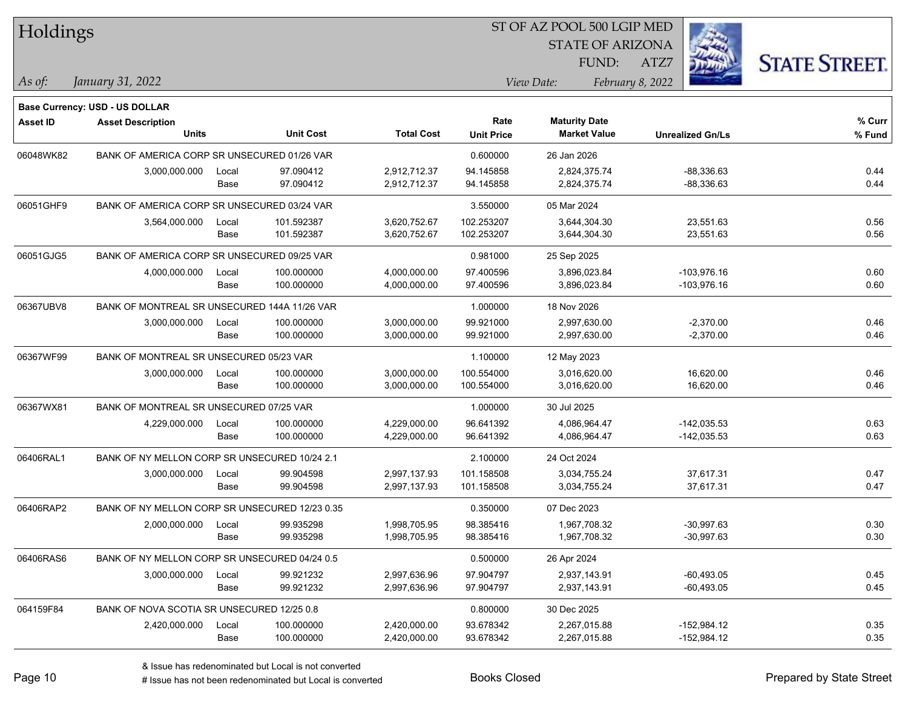| Holdings        |                                                |       |                  |                   | ST OF AZ POOL 500 LGIP MED |                         |                         |                      |
|-----------------|------------------------------------------------|-------|------------------|-------------------|----------------------------|-------------------------|-------------------------|----------------------|
|                 |                                                |       |                  |                   |                            | <b>STATE OF ARIZONA</b> |                         |                      |
|                 |                                                |       |                  |                   |                            | FUND:                   | ATZ7                    | <b>STATE STREET.</b> |
| As of:          | January 31, 2022                               |       |                  |                   |                            | View Date:              | February 8, 2022        |                      |
|                 | <b>Base Currency: USD - US DOLLAR</b>          |       |                  |                   |                            |                         |                         |                      |
| <b>Asset ID</b> | <b>Asset Description</b>                       |       |                  |                   | Rate                       | <b>Maturity Date</b>    |                         | % Curr               |
|                 | <b>Units</b>                                   |       | <b>Unit Cost</b> | <b>Total Cost</b> | <b>Unit Price</b>          | <b>Market Value</b>     | <b>Unrealized Gn/Ls</b> | % Fund               |
| 06048WK82       | BANK OF AMERICA CORP SR UNSECURED 01/26 VAR    |       |                  |                   | 0.600000                   | 26 Jan 2026             |                         |                      |
|                 | 3,000,000.000                                  | Local | 97.090412        | 2,912,712.37      | 94.145858                  | 2,824,375.74            | $-88,336.63$            | 0.44                 |
|                 |                                                | Base  | 97.090412        | 2,912,712.37      | 94.145858                  | 2,824,375.74            | $-88,336.63$            | 0.44                 |
| 06051GHF9       | BANK OF AMERICA CORP SR UNSECURED 03/24 VAR    |       |                  |                   | 3.550000                   | 05 Mar 2024             |                         |                      |
|                 | 3,564,000.000                                  | Local | 101.592387       | 3,620,752.67      | 102.253207                 | 3,644,304.30            | 23,551.63               | 0.56                 |
|                 |                                                | Base  | 101.592387       | 3,620,752.67      | 102.253207                 | 3,644,304.30            | 23,551.63               | 0.56                 |
| 06051GJG5       | BANK OF AMERICA CORP SR UNSECURED 09/25 VAR    |       |                  |                   | 0.981000                   | 25 Sep 2025             |                         |                      |
|                 | 4,000,000.000                                  | Local | 100.000000       | 4,000,000.00      | 97.400596                  | 3,896,023.84            | -103,976.16             | 0.60                 |
|                 |                                                | Base  | 100.000000       | 4,000,000.00      | 97.400596                  | 3,896,023.84            | $-103,976.16$           | 0.60                 |
| 06367UBV8       | BANK OF MONTREAL SR UNSECURED 144A 11/26 VAR   |       |                  |                   | 1.000000                   | 18 Nov 2026             |                         |                      |
|                 | 3,000,000.000                                  | Local | 100.000000       | 3,000,000.00      | 99.921000                  | 2,997,630.00            | $-2,370.00$             | 0.46                 |
|                 |                                                | Base  | 100.000000       | 3,000,000.00      | 99.921000                  | 2,997,630.00            | $-2,370.00$             | 0.46                 |
| 06367WF99       | BANK OF MONTREAL SR UNSECURED 05/23 VAR        |       |                  |                   | 1.100000                   | 12 May 2023             |                         |                      |
|                 | 3,000,000.000                                  | Local | 100.000000       | 3,000,000.00      | 100.554000                 | 3,016,620.00            | 16,620.00               | 0.46                 |
|                 |                                                | Base  | 100.000000       | 3,000,000.00      | 100.554000                 | 3,016,620.00            | 16,620.00               | 0.46                 |
| 06367WX81       | BANK OF MONTREAL SR UNSECURED 07/25 VAR        |       |                  |                   | 1.000000                   | 30 Jul 2025             |                         |                      |
|                 | 4,229,000.000                                  | Local | 100.000000       | 4,229,000.00      | 96.641392                  | 4,086,964.47            | -142,035.53             | 0.63                 |
|                 |                                                | Base  | 100.000000       | 4,229,000.00      | 96.641392                  | 4,086,964.47            | $-142,035.53$           | 0.63                 |
| 06406RAL1       | BANK OF NY MELLON CORP SR UNSECURED 10/24 2.1  |       |                  |                   | 2.100000                   | 24 Oct 2024             |                         |                      |
|                 | 3,000,000.000                                  | Local | 99.904598        | 2,997,137.93      | 101.158508                 | 3,034,755.24            | 37,617.31               | 0.47                 |
|                 |                                                | Base  | 99.904598        | 2,997,137.93      | 101.158508                 | 3,034,755.24            | 37,617.31               | 0.47                 |
| 06406RAP2       | BANK OF NY MELLON CORP SR UNSECURED 12/23 0.35 |       |                  |                   | 0.350000                   | 07 Dec 2023             |                         |                      |
|                 | 2,000,000.000                                  | Local | 99.935298        | 1,998,705.95      | 98.385416                  | 1,967,708.32            | $-30,997.63$            | 0.30                 |
|                 |                                                | Base  | 99.935298        | 1,998,705.95      | 98.385416                  | 1,967,708.32            | $-30,997.63$            | 0.30                 |
| 06406RAS6       | BANK OF NY MELLON CORP SR UNSECURED 04/24 0.5  |       |                  |                   | 0.500000                   | 26 Apr 2024             |                         |                      |
|                 | 3,000,000.000                                  | Local | 99.921232        | 2,997,636.96      | 97.904797                  | 2,937,143.91            | $-60,493.05$            | 0.45                 |
|                 |                                                | Base  | 99.921232        | 2,997,636.96      | 97.904797                  | 2,937,143.91            | $-60,493.05$            | 0.45                 |
| 064159F84       | BANK OF NOVA SCOTIA SR UNSECURED 12/25 0.8     |       |                  |                   | 0.800000                   | 30 Dec 2025             |                         |                      |
|                 | 2,420,000.000                                  | Local | 100.000000       | 2,420,000.00      | 93.678342                  | 2,267,015.88            | $-152,984.12$           | 0.35                 |
|                 |                                                | Base  | 100.000000       | 2,420,000.00      | 93.678342                  | 2,267,015.88            | -152,984.12             | 0.35                 |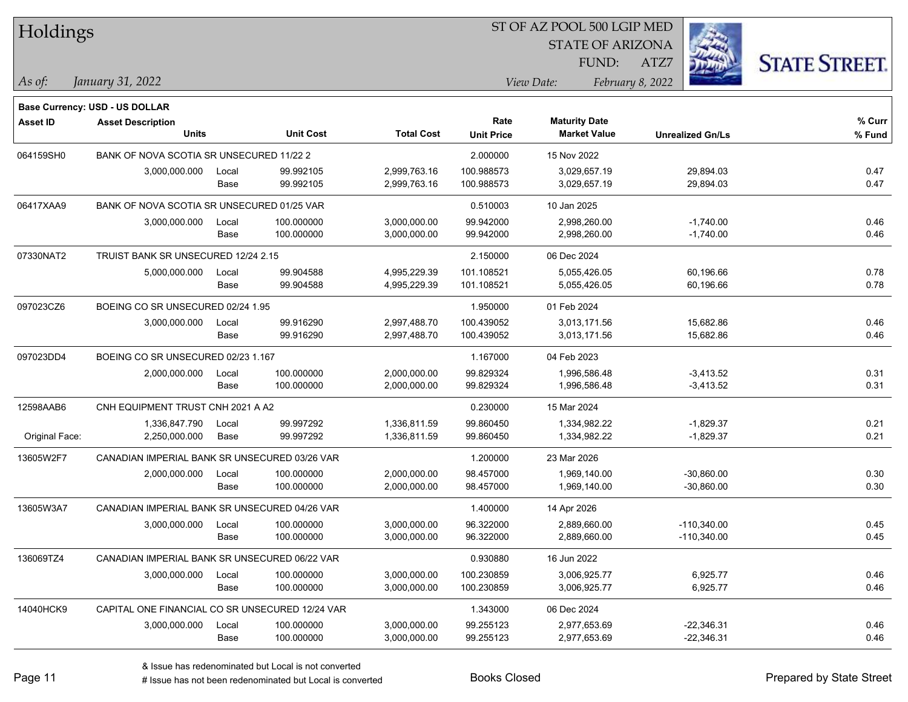| <b>Holdings</b> |                                                 |       |                  |                   |                   | 51 OF AZ POOL 500 LGIP MED |                  |                         |                      |
|-----------------|-------------------------------------------------|-------|------------------|-------------------|-------------------|----------------------------|------------------|-------------------------|----------------------|
|                 |                                                 |       |                  |                   |                   | <b>STATE OF ARIZONA</b>    |                  | Ź.                      |                      |
|                 |                                                 |       |                  |                   |                   | FUND:                      | ATZ7             |                         | <b>STATE STREET.</b> |
| As of:          | January 31, 2022                                |       |                  |                   |                   | View Date:                 | February 8, 2022 |                         |                      |
|                 |                                                 |       |                  |                   |                   |                            |                  |                         |                      |
|                 | <b>Base Currency: USD - US DOLLAR</b>           |       |                  |                   |                   |                            |                  |                         |                      |
| <b>Asset ID</b> | <b>Asset Description</b>                        |       |                  |                   | Rate              | <b>Maturity Date</b>       |                  |                         | % Curr               |
|                 | <b>Units</b>                                    |       | <b>Unit Cost</b> | <b>Total Cost</b> | <b>Unit Price</b> | <b>Market Value</b>        |                  | <b>Unrealized Gn/Ls</b> | % Fund               |
| 064159SH0       | BANK OF NOVA SCOTIA SR UNSECURED 11/22 2        |       |                  |                   | 2.000000          | 15 Nov 2022                |                  |                         |                      |
|                 | 3,000,000.000                                   | Local | 99.992105        | 2,999,763.16      | 100.988573        | 3,029,657.19               |                  | 29,894.03               | 0.47                 |
|                 |                                                 | Base  | 99.992105        | 2,999,763.16      | 100.988573        | 3,029,657.19               |                  | 29,894.03               | 0.47                 |
| 06417XAA9       | BANK OF NOVA SCOTIA SR UNSECURED 01/25 VAR      |       |                  |                   | 0.510003          | 10 Jan 2025                |                  |                         |                      |
|                 | 3,000,000.000                                   | Local | 100.000000       | 3,000,000.00      | 99.942000         | 2,998,260.00               |                  | $-1,740.00$             | 0.46                 |
|                 |                                                 | Base  | 100.000000       | 3,000,000.00      | 99.942000         | 2,998,260.00               |                  | $-1,740.00$             | 0.46                 |
| 07330NAT2       | TRUIST BANK SR UNSECURED 12/24 2.15             |       |                  |                   | 2.150000          | 06 Dec 2024                |                  |                         |                      |
|                 | 5,000,000.000                                   | Local | 99.904588        | 4,995,229.39      | 101.108521        | 5,055,426.05               |                  | 60,196.66               | 0.78                 |
|                 |                                                 | Base  | 99.904588        | 4,995,229.39      | 101.108521        | 5,055,426.05               |                  | 60,196.66               | 0.78                 |
| 097023CZ6       | BOEING CO SR UNSECURED 02/24 1.95               |       |                  |                   | 1.950000          | 01 Feb 2024                |                  |                         |                      |
|                 | 3,000,000.000                                   | Local | 99.916290        | 2,997,488.70      | 100.439052        | 3,013,171.56               |                  | 15,682.86               | 0.46                 |
|                 |                                                 | Base  | 99.916290        | 2,997,488.70      | 100.439052        | 3,013,171.56               |                  | 15,682.86               | 0.46                 |
| 097023DD4       | BOEING CO SR UNSECURED 02/23 1.167              |       |                  |                   | 1.167000          | 04 Feb 2023                |                  |                         |                      |
|                 | 2,000,000.000                                   | Local | 100.000000       | 2,000,000.00      | 99.829324         | 1,996,586.48               |                  | $-3,413.52$             | 0.31                 |
|                 |                                                 | Base  | 100.000000       | 2,000,000.00      | 99.829324         | 1,996,586.48               |                  | $-3,413.52$             | 0.31                 |
| 12598AAB6       | CNH EQUIPMENT TRUST CNH 2021 A A2               |       |                  |                   | 0.230000          | 15 Mar 2024                |                  |                         |                      |
|                 | 1,336,847.790                                   | Local | 99.997292        | 1,336,811.59      | 99.860450         | 1,334,982.22               |                  | $-1,829.37$             | 0.21                 |
| Original Face:  | 2,250,000.000                                   | Base  | 99.997292        | 1,336,811.59      | 99.860450         | 1,334,982.22               |                  | $-1,829.37$             | 0.21                 |
| 13605W2F7       | CANADIAN IMPERIAL BANK SR UNSECURED 03/26 VAR   |       |                  |                   | 1.200000          | 23 Mar 2026                |                  |                         |                      |
|                 | 2,000,000.000                                   | Local | 100.000000       | 2,000,000.00      | 98.457000         | 1,969,140.00               |                  | $-30,860.00$            | 0.30                 |
|                 |                                                 | Base  | 100.000000       | 2,000,000.00      | 98.457000         | 1,969,140.00               |                  | $-30,860.00$            | 0.30                 |
| 13605W3A7       | CANADIAN IMPERIAL BANK SR UNSECURED 04/26 VAR   |       |                  |                   | 1.400000          | 14 Apr 2026                |                  |                         |                      |
|                 | 3,000,000.000                                   | Local | 100.000000       | 3,000,000.00      | 96.322000         | 2,889,660.00               |                  | $-110,340.00$           | 0.45                 |
|                 |                                                 | Base  | 100.000000       | 3,000,000.00      | 96.322000         | 2,889,660.00               |                  | $-110,340.00$           | 0.45                 |
| 136069TZ4       | CANADIAN IMPERIAL BANK SR UNSECURED 06/22 VAR   |       |                  |                   | 0.930880          | 16 Jun 2022                |                  |                         |                      |
|                 | 3,000,000.000                                   | Local | 100.000000       | 3,000,000.00      | 100.230859        | 3,006,925.77               |                  | 6,925.77                | 0.46                 |
|                 |                                                 | Base  | 100.000000       | 3,000,000.00      | 100.230859        | 3,006,925.77               |                  | 6,925.77                | 0.46                 |
| 14040HCK9       | CAPITAL ONE FINANCIAL CO SR UNSECURED 12/24 VAR |       |                  |                   | 1.343000          | 06 Dec 2024                |                  |                         |                      |
|                 | 3,000,000.000                                   | Local | 100.000000       | 3,000,000.00      | 99.255123         | 2,977,653.69               |                  | $-22,346.31$            | 0.46                 |
|                 |                                                 | Base  | 100.000000       | 3,000,000.00      | 99.255123         | 2,977,653.69               |                  | $-22,346.31$            | 0.46                 |
|                 |                                                 |       |                  |                   |                   |                            |                  |                         |                      |

 $\overline{B}$   $\overline{B}$   $\overline{B}$   $\overline{B}$   $\overline{C}$   $\overline{D}$   $\overline{D}$   $\overline{D}$   $\overline{D}$   $\overline{D}$   $\overline{D}$   $\overline{D}$   $\overline{D}$   $\overline{D}$   $\overline{D}$   $\overline{D}$   $\overline{D}$   $\overline{D}$   $\overline{D}$   $\overline{D}$   $\overline{D}$   $\overline{D}$   $\overline{D}$   $\overline{D}$   $\overline{$ 

# Issue has not been redenominated but Local is converted Books Closed Prepared by State Street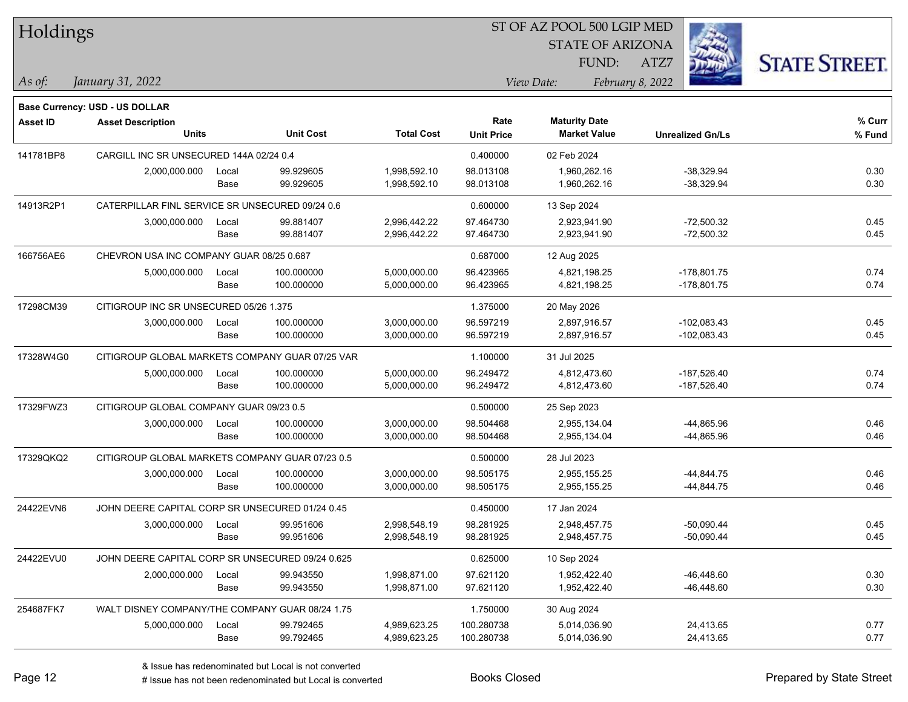| Holdings        |                                                  |       |                  |                   |                   | ST OF AZ POOL 500 LGIP MED |                         |                      |
|-----------------|--------------------------------------------------|-------|------------------|-------------------|-------------------|----------------------------|-------------------------|----------------------|
|                 |                                                  |       |                  |                   |                   | <b>STATE OF ARIZONA</b>    |                         |                      |
|                 |                                                  |       |                  |                   |                   | FUND:                      | ATZ7                    | <b>STATE STREET.</b> |
| As $of:$        | January 31, 2022                                 |       |                  |                   |                   | View Date:                 | February 8, 2022        |                      |
|                 |                                                  |       |                  |                   |                   |                            |                         |                      |
|                 | <b>Base Currency: USD - US DOLLAR</b>            |       |                  |                   | Rate              | <b>Maturity Date</b>       |                         | % Curr               |
| <b>Asset ID</b> | <b>Asset Description</b><br><b>Units</b>         |       | <b>Unit Cost</b> | <b>Total Cost</b> | <b>Unit Price</b> | <b>Market Value</b>        | <b>Unrealized Gn/Ls</b> | % Fund               |
| 141781BP8       | CARGILL INC SR UNSECURED 144A 02/24 0.4          |       |                  |                   | 0.400000          | 02 Feb 2024                |                         |                      |
|                 | 2,000,000.000                                    | Local | 99.929605        | 1,998,592.10      | 98.013108         | 1,960,262.16               | $-38,329.94$            | 0.30                 |
|                 |                                                  | Base  | 99.929605        | 1,998,592.10      | 98.013108         | 1,960,262.16               | $-38,329.94$            | 0.30                 |
| 14913R2P1       | CATERPILLAR FINL SERVICE SR UNSECURED 09/24 0.6  |       |                  |                   | 0.600000          | 13 Sep 2024                |                         |                      |
|                 | 3,000,000.000                                    | Local | 99.881407        | 2,996,442.22      | 97.464730         | 2,923,941.90               | $-72,500.32$            | 0.45                 |
|                 |                                                  | Base  | 99.881407        | 2,996,442.22      | 97.464730         | 2,923,941.90               | $-72,500.32$            | 0.45                 |
| 166756AE6       | CHEVRON USA INC COMPANY GUAR 08/25 0.687         |       |                  |                   | 0.687000          | 12 Aug 2025                |                         |                      |
|                 | 5,000,000.000                                    | Local | 100.000000       | 5,000,000.00      | 96.423965         | 4,821,198.25               | $-178,801.75$           | 0.74                 |
|                 |                                                  | Base  | 100.000000       | 5,000,000.00      | 96.423965         | 4,821,198.25               | -178,801.75             | 0.74                 |
| 17298CM39       | CITIGROUP INC SR UNSECURED 05/26 1.375           |       |                  |                   | 1.375000          | 20 May 2026                |                         |                      |
|                 | 3,000,000.000                                    | Local | 100.000000       | 3,000,000.00      | 96.597219         | 2,897,916.57               | $-102,083.43$           | 0.45                 |
|                 |                                                  | Base  | 100.000000       | 3,000,000.00      | 96.597219         | 2,897,916.57               | $-102,083.43$           | 0.45                 |
| 17328W4G0       | CITIGROUP GLOBAL MARKETS COMPANY GUAR 07/25 VAR  |       |                  |                   | 1.100000          | 31 Jul 2025                |                         |                      |
|                 | 5,000,000.000                                    | Local | 100.000000       | 5,000,000.00      | 96.249472         | 4,812,473.60               | -187,526.40             | 0.74                 |
|                 |                                                  | Base  | 100.000000       | 5,000,000.00      | 96.249472         | 4,812,473.60               | $-187,526.40$           | 0.74                 |
| 17329FWZ3       | CITIGROUP GLOBAL COMPANY GUAR 09/23 0.5          |       |                  |                   | 0.500000          | 25 Sep 2023                |                         |                      |
|                 | 3,000,000.000                                    | Local | 100.000000       | 3,000,000.00      | 98.504468         | 2,955,134.04               | -44,865.96              | 0.46                 |
|                 |                                                  | Base  | 100.000000       | 3,000,000.00      | 98.504468         | 2,955,134.04               | -44,865.96              | 0.46                 |
| 17329QKQ2       | CITIGROUP GLOBAL MARKETS COMPANY GUAR 07/23 0.5  |       |                  |                   | 0.500000          | 28 Jul 2023                |                         |                      |
|                 | 3,000,000.000                                    | Local | 100.000000       | 3,000,000.00      | 98.505175         | 2,955,155.25               | $-44,844.75$            | 0.46                 |
|                 |                                                  | Base  | 100.000000       | 3,000,000.00      | 98.505175         | 2,955,155.25               | -44,844.75              | 0.46                 |
| 24422EVN6       | JOHN DEERE CAPITAL CORP SR UNSECURED 01/24 0.45  |       |                  |                   | 0.450000          | 17 Jan 2024                |                         |                      |
|                 | 3,000,000.000                                    | Local | 99.951606        | 2,998,548.19      | 98.281925         | 2,948,457.75               | $-50,090.44$            | 0.45                 |
|                 |                                                  | Base  | 99.951606        | 2,998,548.19      | 98.281925         | 2,948,457.75               | $-50,090.44$            | 0.45                 |
| 24422EVU0       | JOHN DEERE CAPITAL CORP SR UNSECURED 09/24 0.625 |       |                  |                   | 0.625000          | 10 Sep 2024                |                         |                      |
|                 | 2,000,000.000                                    | Local | 99.943550        | 1,998,871.00      | 97.621120         | 1,952,422.40               | $-46,448.60$            | 0.30                 |
|                 |                                                  | Base  | 99.943550        | 1,998,871.00      | 97.621120         | 1,952,422.40               | $-46,448.60$            | 0.30                 |
| 254687FK7       | WALT DISNEY COMPANY/THE COMPANY GUAR 08/24 1.75  |       |                  |                   | 1.750000          | 30 Aug 2024                |                         |                      |
|                 | 5,000,000.000                                    | Local | 99.792465        | 4,989,623.25      | 100.280738        | 5,014,036.90               | 24,413.65               | 0.77                 |
|                 |                                                  | Base  | 99.792465        | 4,989,623.25      | 100.280738        | 5,014,036.90               | 24,413.65               | 0.77                 |
|                 |                                                  |       |                  |                   |                   |                            |                         |                      |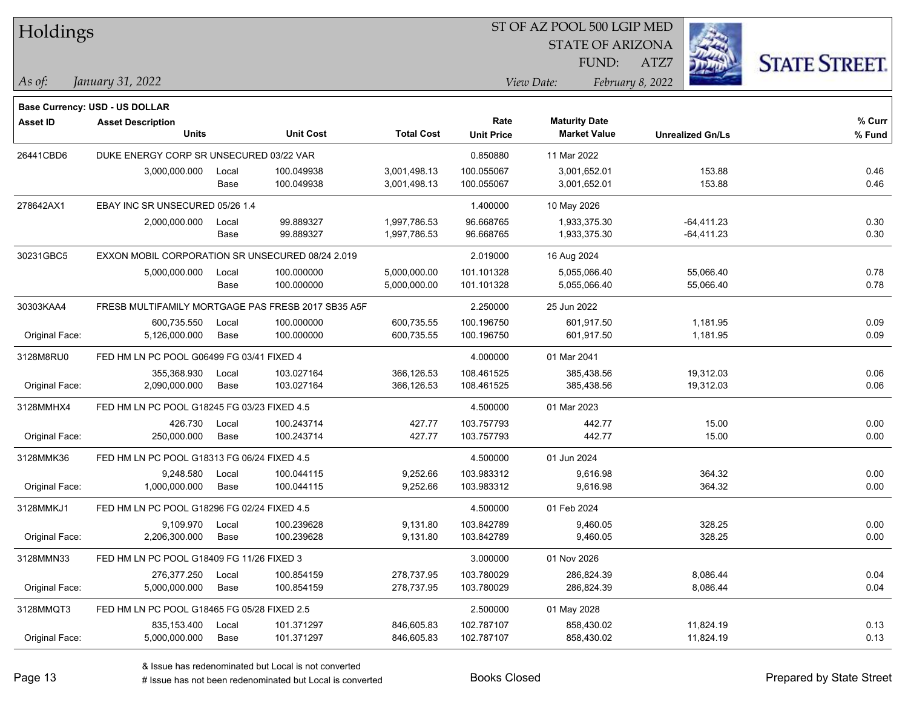| Holdings        |                                                    |       |                  |                   |                   | ST OF AZ POOL 500 LGIP MED |                         |                      |
|-----------------|----------------------------------------------------|-------|------------------|-------------------|-------------------|----------------------------|-------------------------|----------------------|
|                 |                                                    |       |                  |                   |                   | <b>STATE OF ARIZONA</b>    |                         |                      |
|                 |                                                    |       |                  |                   |                   | FUND:                      | ATZ7                    | <b>STATE STREET.</b> |
| $\vert$ As of:  | January 31, 2022                                   |       |                  |                   |                   | View Date:                 | February 8, 2022        |                      |
|                 | <b>Base Currency: USD - US DOLLAR</b>              |       |                  |                   |                   |                            |                         |                      |
| <b>Asset ID</b> | <b>Asset Description</b>                           |       |                  |                   | Rate              | <b>Maturity Date</b>       |                         | % Curr               |
|                 | <b>Units</b>                                       |       | <b>Unit Cost</b> | <b>Total Cost</b> | <b>Unit Price</b> | <b>Market Value</b>        | <b>Unrealized Gn/Ls</b> | % Fund               |
| 26441CBD6       | DUKE ENERGY CORP SR UNSECURED 03/22 VAR            |       |                  |                   | 0.850880          | 11 Mar 2022                |                         |                      |
|                 | 3,000,000.000                                      | Local | 100.049938       | 3,001,498.13      | 100.055067        | 3,001,652.01               | 153.88                  | 0.46                 |
|                 |                                                    | Base  | 100.049938       | 3,001,498.13      | 100.055067        | 3,001,652.01               | 153.88                  | 0.46                 |
| 278642AX1       | EBAY INC SR UNSECURED 05/26 1.4                    |       |                  |                   | 1.400000          | 10 May 2026                |                         |                      |
|                 | 2,000,000.000                                      | Local | 99.889327        | 1,997,786.53      | 96.668765         | 1,933,375.30               | $-64,411.23$            | 0.30                 |
|                 |                                                    | Base  | 99.889327        | 1,997,786.53      | 96.668765         | 1,933,375.30               | $-64,411.23$            | 0.30                 |
| 30231GBC5       | EXXON MOBIL CORPORATION SR UNSECURED 08/24 2.019   |       |                  |                   | 2.019000          | 16 Aug 2024                |                         |                      |
|                 | 5,000,000.000                                      | Local | 100.000000       | 5,000,000.00      | 101.101328        | 5,055,066.40               | 55,066.40               | 0.78                 |
|                 |                                                    | Base  | 100.000000       | 5,000,000.00      | 101.101328        | 5,055,066.40               | 55,066.40               | 0.78                 |
| 30303KAA4       | FRESB MULTIFAMILY MORTGAGE PAS FRESB 2017 SB35 A5F |       |                  |                   | 2.250000          | 25 Jun 2022                |                         |                      |
|                 | 600,735.550                                        | Local | 100.000000       | 600,735.55        | 100.196750        | 601,917.50                 | 1,181.95                | 0.09                 |
| Original Face:  | 5,126,000.000                                      | Base  | 100.000000       | 600,735.55        | 100.196750        | 601,917.50                 | 1,181.95                | 0.09                 |
| 3128M8RU0       | FED HM LN PC POOL G06499 FG 03/41 FIXED 4          |       |                  |                   | 4.000000          | 01 Mar 2041                |                         |                      |
|                 | 355,368.930                                        | Local | 103.027164       | 366,126.53        | 108.461525        | 385,438.56                 | 19,312.03               | 0.06                 |
| Original Face:  | 2,090,000.000                                      | Base  | 103.027164       | 366,126.53        | 108.461525        | 385,438.56                 | 19,312.03               | 0.06                 |
| 3128MMHX4       | FED HM LN PC POOL G18245 FG 03/23 FIXED 4.5        |       |                  |                   | 4.500000          | 01 Mar 2023                |                         |                      |
|                 | 426.730                                            | Local | 100.243714       | 427.77            | 103.757793        | 442.77                     | 15.00                   | 0.00                 |
| Original Face:  | 250,000.000                                        | Base  | 100.243714       | 427.77            | 103.757793        | 442.77                     | 15.00                   | 0.00                 |
| 3128MMK36       | FED HM LN PC POOL G18313 FG 06/24 FIXED 4.5        |       |                  |                   | 4.500000          | 01 Jun 2024                |                         |                      |
|                 | 9,248.580                                          | Local | 100.044115       | 9,252.66          | 103.983312        | 9,616.98                   | 364.32                  | 0.00                 |
| Original Face:  | 1,000,000.000                                      | Base  | 100.044115       | 9,252.66          | 103.983312        | 9,616.98                   | 364.32                  | 0.00                 |
| 3128MMKJ1       | FED HM LN PC POOL G18296 FG 02/24 FIXED 4.5        |       |                  |                   | 4.500000          | 01 Feb 2024                |                         |                      |
|                 | 9,109.970                                          | Local | 100.239628       | 9,131.80          | 103.842789        | 9,460.05                   | 328.25                  | 0.00                 |
| Original Face:  | 2,206,300.000                                      | Base  | 100.239628       | 9,131.80          | 103.842789        | 9,460.05                   | 328.25                  | 0.00                 |
| 3128MMN33       | FED HM LN PC POOL G18409 FG 11/26 FIXED 3          |       |                  |                   | 3.000000          | 01 Nov 2026                |                         |                      |
|                 | 276,377.250                                        | Local | 100.854159       | 278,737.95        | 103.780029        | 286,824.39                 | 8,086.44                | 0.04                 |
| Original Face:  | 5,000,000.000                                      | Base  | 100.854159       | 278,737.95        | 103.780029        | 286,824.39                 | 8,086.44                | 0.04                 |
| 3128MMQT3       | FED HM LN PC POOL G18465 FG 05/28 FIXED 2.5        |       |                  |                   | 2.500000          | 01 May 2028                |                         |                      |
|                 | 835,153.400                                        | Local | 101.371297       | 846,605.83        | 102.787107        | 858,430.02                 | 11,824.19               | 0.13                 |
| Original Face:  | 5,000,000.000                                      | Base  | 101.371297       | 846,605.83        | 102.787107        | 858,430.02                 | 11,824.19               | 0.13                 |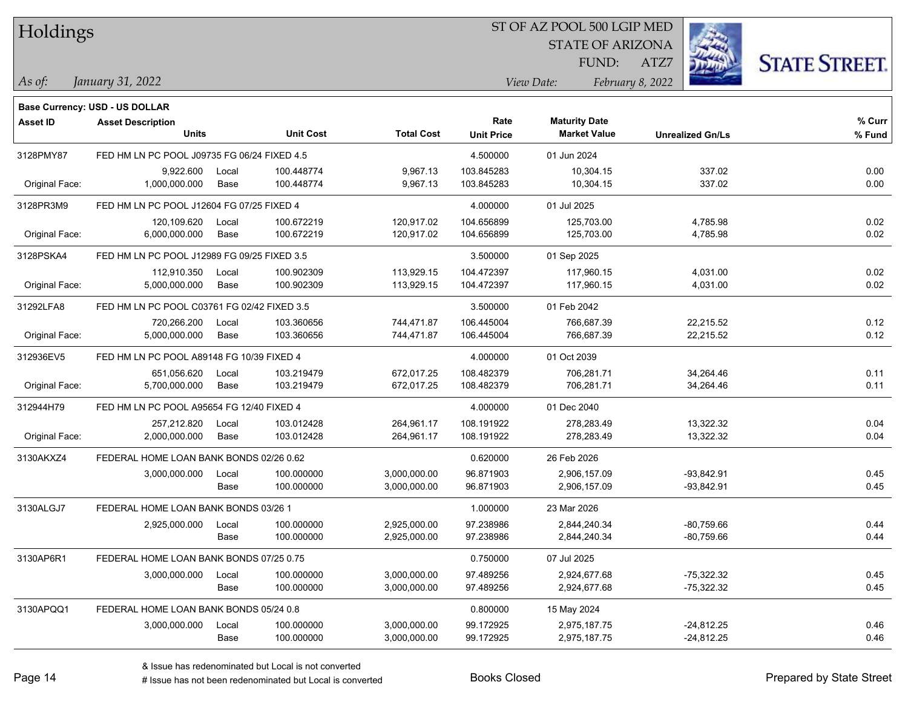| Holdings |  |
|----------|--|
|----------|--|

### ST OF AZ POOL 500 LGIP MED

STATE OF ARIZONA

ATZ7



*January 31, 2022 As of: View Date: February 8, 2022*

**Base Currency: USD - US DOLLAR**

FUND:

| <b>Asset ID</b> | <b>Asset Description</b><br><b>Units</b>    |       | <b>Unit Cost</b> | <b>Total Cost</b> | Rate<br><b>Unit Price</b> | <b>Maturity Date</b><br><b>Market Value</b> | <b>Unrealized Gn/Ls</b> | % Curr<br>% Fund |
|-----------------|---------------------------------------------|-------|------------------|-------------------|---------------------------|---------------------------------------------|-------------------------|------------------|
| 3128PMY87       | FED HM LN PC POOL J09735 FG 06/24 FIXED 4.5 |       |                  |                   | 4.500000                  | 01 Jun 2024                                 |                         |                  |
|                 | 9.922.600                                   | Local | 100.448774       | 9,967.13          | 103.845283                | 10.304.15                                   | 337.02                  | 0.00             |
| Original Face:  | 1,000,000.000                               | Base  | 100.448774       | 9,967.13          | 103.845283                | 10,304.15                                   | 337.02                  | 0.00             |
| 3128PR3M9       | FED HM LN PC POOL J12604 FG 07/25 FIXED 4   |       |                  |                   | 4.000000                  | 01 Jul 2025                                 |                         |                  |
|                 | 120,109.620                                 | Local | 100.672219       | 120,917.02        | 104.656899                | 125,703.00                                  | 4,785.98                | 0.02             |
| Original Face:  | 6,000,000.000                               | Base  | 100.672219       | 120,917.02        | 104.656899                | 125,703.00                                  | 4,785.98                | 0.02             |
| 3128PSKA4       | FED HM LN PC POOL J12989 FG 09/25 FIXED 3.5 |       |                  |                   | 3.500000                  | 01 Sep 2025                                 |                         |                  |
|                 | 112,910.350                                 | Local | 100.902309       | 113,929.15        | 104.472397                | 117,960.15                                  | 4,031.00                | 0.02             |
| Original Face:  | 5,000,000.000                               | Base  | 100.902309       | 113,929.15        | 104.472397                | 117,960.15                                  | 4,031.00                | 0.02             |
| 31292LFA8       | FED HM LN PC POOL C03761 FG 02/42 FIXED 3.5 |       |                  |                   | 3.500000                  | 01 Feb 2042                                 |                         |                  |
|                 | 720,266.200                                 | Local | 103.360656       | 744,471.87        | 106.445004                | 766,687.39                                  | 22,215.52               | 0.12             |
| Original Face:  | 5,000,000.000                               | Base  | 103.360656       | 744,471.87        | 106.445004                | 766,687.39                                  | 22,215.52               | 0.12             |
| 312936EV5       | FED HM LN PC POOL A89148 FG 10/39 FIXED 4   |       |                  |                   | 4.000000                  | 01 Oct 2039                                 |                         |                  |
|                 | 651,056.620                                 | Local | 103.219479       | 672,017.25        | 108.482379                | 706,281.71                                  | 34,264.46               | 0.11             |
| Original Face:  | 5,700,000.000                               | Base  | 103.219479       | 672,017.25        | 108.482379                | 706,281.71                                  | 34,264.46               | 0.11             |
| 312944H79       | FED HM LN PC POOL A95654 FG 12/40 FIXED 4   |       |                  | 4.000000          | 01 Dec 2040               |                                             |                         |                  |
|                 | 257,212.820                                 | Local | 103.012428       | 264,961.17        | 108.191922                | 278.283.49                                  | 13,322.32               | 0.04             |
| Original Face:  | 2,000,000.000                               | Base  | 103.012428       | 264,961.17        | 108.191922                | 278,283.49                                  | 13,322.32               | 0.04             |
| 3130AKXZ4       | FEDERAL HOME LOAN BANK BONDS 02/26 0.62     |       |                  |                   | 0.620000                  | 26 Feb 2026                                 |                         |                  |
|                 | 3,000,000.000                               | Local | 100.000000       | 3,000,000.00      | 96.871903                 | 2,906,157.09                                | $-93,842.91$            | 0.45             |
|                 |                                             | Base  | 100.000000       | 3,000,000.00      | 96.871903                 | 2,906,157.09                                | $-93,842.91$            | 0.45             |
| 3130ALGJ7       | FEDERAL HOME LOAN BANK BONDS 03/26 1        |       |                  |                   | 1.000000                  | 23 Mar 2026                                 |                         |                  |
|                 | 2,925,000.000                               | Local | 100.000000       | 2,925,000.00      | 97.238986                 | 2,844,240.34                                | $-80,759.66$            | 0.44             |
|                 |                                             | Base  | 100.000000       | 2,925,000.00      | 97.238986                 | 2,844,240.34                                | $-80,759.66$            | 0.44             |
| 3130AP6R1       | FEDERAL HOME LOAN BANK BONDS 07/25 0.75     |       |                  |                   | 0.750000                  | 07 Jul 2025                                 |                         |                  |
|                 | 3,000,000.000                               | Local | 100.000000       | 3,000,000.00      | 97.489256                 | 2,924,677.68                                | $-75,322.32$            | 0.45             |
|                 |                                             | Base  | 100.000000       | 3,000,000.00      | 97.489256                 | 2,924,677.68                                | $-75,322.32$            | 0.45             |
| 3130APQQ1       | FEDERAL HOME LOAN BANK BONDS 05/24 0.8      |       |                  |                   | 0.800000                  | 15 May 2024                                 |                         |                  |
|                 | 3,000,000.000                               | Local | 100.000000       | 3,000,000.00      | 99.172925                 | 2,975,187.75                                | $-24,812.25$            | 0.46             |
|                 |                                             | Base  | 100.000000       | 3,000,000.00      | 99.172925                 | 2,975,187.75                                | $-24,812.25$            | 0.46             |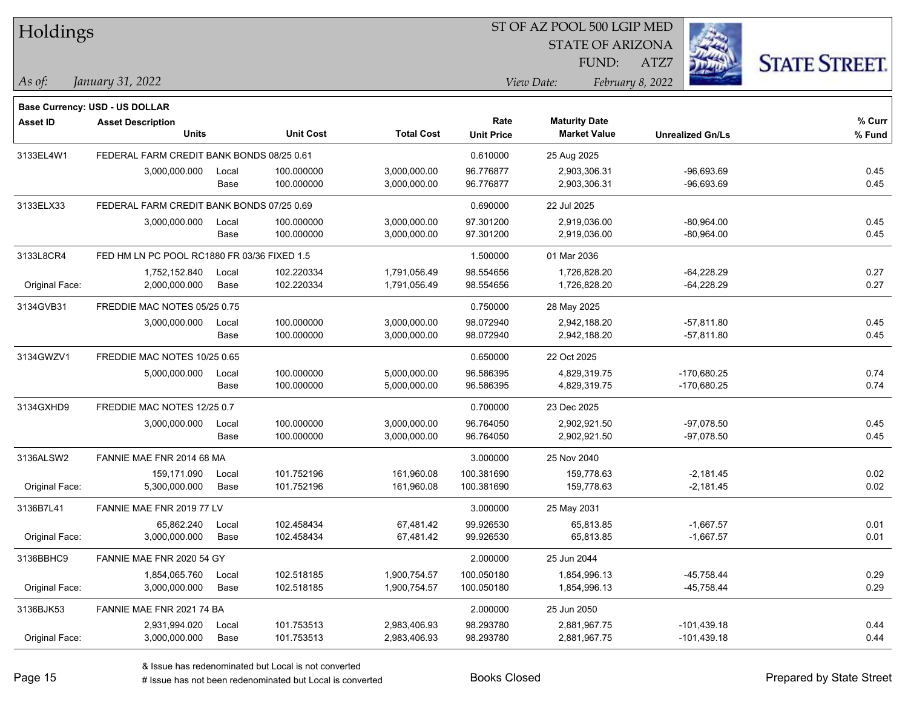| Holdings        |                                             |       |                  |                   |                   | ST OF AZ POOL 500 LGIP MED |                         |                      |
|-----------------|---------------------------------------------|-------|------------------|-------------------|-------------------|----------------------------|-------------------------|----------------------|
|                 |                                             |       |                  |                   |                   | <b>STATE OF ARIZONA</b>    |                         |                      |
|                 |                                             |       |                  |                   |                   | FUND:                      | ATZ7                    | <b>STATE STREET.</b> |
| As of:          | January 31, 2022                            |       |                  |                   |                   | View Date:                 | February 8, 2022        |                      |
|                 | <b>Base Currency: USD - US DOLLAR</b>       |       |                  |                   |                   |                            |                         |                      |
| <b>Asset ID</b> | <b>Asset Description</b>                    |       |                  |                   | Rate              | <b>Maturity Date</b>       |                         | % Curr               |
|                 | <b>Units</b>                                |       | <b>Unit Cost</b> | <b>Total Cost</b> | <b>Unit Price</b> | <b>Market Value</b>        | <b>Unrealized Gn/Ls</b> | % Fund               |
| 3133EL4W1       | FEDERAL FARM CREDIT BANK BONDS 08/25 0.61   |       |                  |                   | 0.610000          | 25 Aug 2025                |                         |                      |
|                 | 3,000,000.000                               | Local | 100.000000       | 3,000,000.00      | 96.776877         | 2,903,306.31               | $-96,693.69$            | 0.45                 |
|                 |                                             | Base  | 100.000000       | 3,000,000.00      | 96.776877         | 2,903,306.31               | $-96,693.69$            | 0.45                 |
| 3133ELX33       | FEDERAL FARM CREDIT BANK BONDS 07/25 0.69   |       |                  |                   | 0.690000          | 22 Jul 2025                |                         |                      |
|                 | 3,000,000.000                               | Local | 100.000000       | 3,000,000.00      | 97.301200         | 2,919,036.00               | $-80,964.00$            | 0.45                 |
|                 |                                             | Base  | 100.000000       | 3,000,000.00      | 97.301200         | 2,919,036.00               | $-80,964.00$            | 0.45                 |
| 3133L8CR4       | FED HM LN PC POOL RC1880 FR 03/36 FIXED 1.5 |       |                  |                   | 1.500000          | 01 Mar 2036                |                         |                      |
|                 | 1,752,152.840                               | Local | 102.220334       | 1,791,056.49      | 98.554656         | 1,726,828.20               | $-64,228.29$            | 0.27                 |
| Original Face:  | 2,000,000.000                               | Base  | 102.220334       | 1,791,056.49      | 98.554656         | 1,726,828.20               | $-64,228.29$            | 0.27                 |
| 3134GVB31       | FREDDIE MAC NOTES 05/25 0.75                |       |                  |                   | 0.750000          | 28 May 2025                |                         |                      |
|                 | 3,000,000.000                               | Local | 100.000000       | 3,000,000.00      | 98.072940         | 2,942,188.20               | $-57,811.80$            | 0.45                 |
|                 |                                             | Base  | 100.000000       | 3,000,000.00      | 98.072940         | 2,942,188.20               | $-57,811.80$            | 0.45                 |
| 3134GWZV1       | FREDDIE MAC NOTES 10/25 0.65                |       |                  |                   | 0.650000          | 22 Oct 2025                |                         |                      |
|                 | 5,000,000.000                               | Local | 100.000000       | 5,000,000.00      | 96.586395         | 4,829,319.75               | -170,680.25             | 0.74                 |
|                 |                                             | Base  | 100.000000       | 5,000,000.00      | 96.586395         | 4,829,319.75               | -170,680.25             | 0.74                 |
| 3134GXHD9       | FREDDIE MAC NOTES 12/25 0.7                 |       |                  |                   | 0.700000          | 23 Dec 2025                |                         |                      |
|                 | 3,000,000.000                               | Local | 100.000000       | 3,000,000.00      | 96.764050         | 2,902,921.50               | $-97,078.50$            | 0.45                 |
|                 |                                             | Base  | 100.000000       | 3,000,000.00      | 96.764050         | 2,902,921.50               | $-97,078.50$            | 0.45                 |
| 3136ALSW2       | FANNIE MAE FNR 2014 68 MA                   |       |                  |                   | 3.000000          | 25 Nov 2040                |                         |                      |
|                 | 159,171.090                                 | Local | 101.752196       | 161,960.08        | 100.381690        | 159,778.63                 | $-2,181.45$             | 0.02                 |
| Original Face:  | 5,300,000.000                               | Base  | 101.752196       | 161,960.08        | 100.381690        | 159,778.63                 | $-2,181.45$             | 0.02                 |
| 3136B7L41       | FANNIE MAE FNR 2019 77 LV                   |       |                  |                   | 3.000000          | 25 May 2031                |                         |                      |
|                 | 65,862.240                                  | Local | 102.458434       | 67,481.42         | 99.926530         | 65,813.85                  | $-1,667.57$             | 0.01                 |
| Original Face:  | 3,000,000.000                               | Base  | 102.458434       | 67,481.42         | 99.926530         | 65,813.85                  | $-1,667.57$             | 0.01                 |
| 3136BBHC9       | FANNIE MAE FNR 2020 54 GY                   |       |                  |                   | 2.000000          | 25 Jun 2044                |                         |                      |
|                 | 1,854,065.760                               | Local | 102.518185       | 1,900,754.57      | 100.050180        | 1,854,996.13               | $-45,758.44$            | 0.29                 |
| Original Face:  | 3,000,000.000                               | Base  | 102.518185       | 1,900,754.57      | 100.050180        | 1,854,996.13               | $-45,758.44$            | 0.29                 |
| 3136BJK53       | FANNIE MAE FNR 2021 74 BA                   |       |                  |                   | 2.000000          | 25 Jun 2050                |                         |                      |
|                 | 2,931,994.020                               | Local | 101.753513       | 2,983,406.93      | 98.293780         | 2,881,967.75               | $-101,439.18$           | 0.44                 |
| Original Face:  | 3,000,000.000                               | Base  | 101.753513       | 2,983,406.93      | 98.293780         | 2,881,967.75               | $-101,439.18$           | 0.44                 |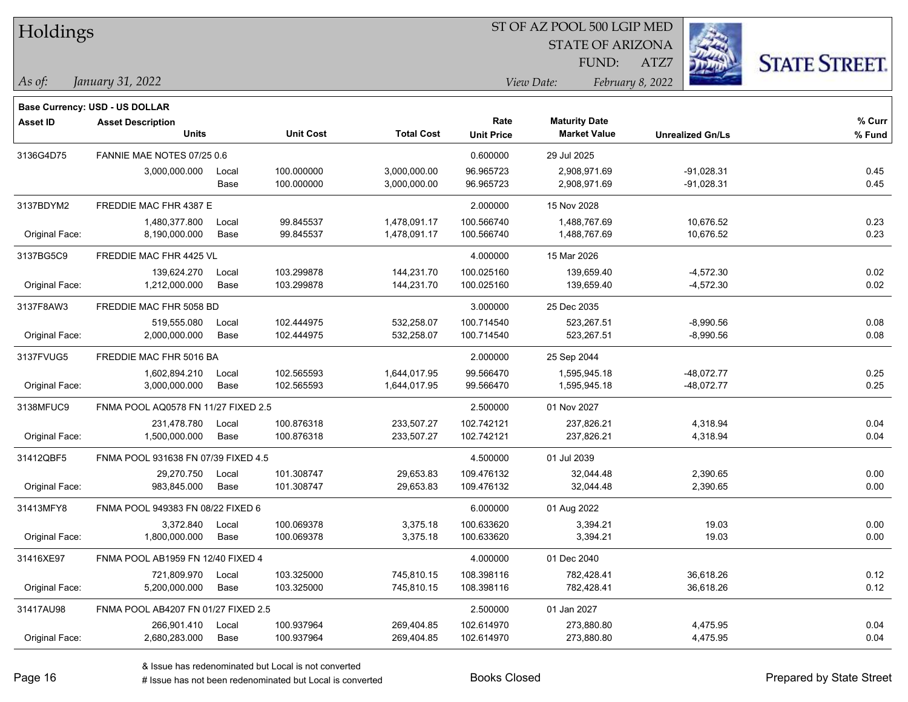| Holdings |  |
|----------|--|
|----------|--|

### ST OF AZ POOL 500 LGIP MED

STATE OF ARIZONA

ATZ7



*January 31, 2022 As of: View Date: February 8, 2022*

**Base Currency: USD - US DOLLAR**

FUND:

| <b>Asset ID</b> | <b>Asset Description</b>            |       |                  |                   | Rate              | <b>Maturity Date</b> |                         | % Curr |
|-----------------|-------------------------------------|-------|------------------|-------------------|-------------------|----------------------|-------------------------|--------|
|                 | <b>Units</b>                        |       | <b>Unit Cost</b> | <b>Total Cost</b> | <b>Unit Price</b> | <b>Market Value</b>  | <b>Unrealized Gn/Ls</b> | % Fund |
| 3136G4D75       | FANNIE MAE NOTES 07/25 0.6          |       |                  |                   | 0.600000          | 29 Jul 2025          |                         |        |
|                 | 3,000,000.000                       | Local | 100.000000       | 3,000,000.00      | 96.965723         | 2,908,971.69         | $-91,028.31$            | 0.45   |
|                 |                                     | Base  | 100.000000       | 3,000,000.00      | 96.965723         | 2,908,971.69         | $-91,028.31$            | 0.45   |
| 3137BDYM2       | FREDDIE MAC FHR 4387 E              |       |                  |                   | 2.000000          | 15 Nov 2028          |                         |        |
|                 | 1,480,377.800                       | Local | 99.845537        | 1,478,091.17      | 100.566740        | 1,488,767.69         | 10,676.52               | 0.23   |
| Original Face:  | 8,190,000.000                       | Base  | 99.845537        | 1,478,091.17      | 100.566740        | 1,488,767.69         | 10,676.52               | 0.23   |
| 3137BG5C9       | FREDDIE MAC FHR 4425 VL             |       |                  |                   | 4.000000          | 15 Mar 2026          |                         |        |
|                 | 139,624.270                         | Local | 103.299878       | 144,231.70        | 100.025160        | 139,659.40           | $-4,572.30$             | 0.02   |
| Original Face:  | 1,212,000.000                       | Base  | 103.299878       | 144,231.70        | 100.025160        | 139,659.40           | $-4,572.30$             | 0.02   |
| 3137F8AW3       | FREDDIE MAC FHR 5058 BD             |       |                  |                   | 3.000000          | 25 Dec 2035          |                         |        |
|                 | 519,555.080                         | Local | 102.444975       | 532,258.07        | 100.714540        | 523,267.51           | $-8,990.56$             | 0.08   |
| Original Face:  | 2,000,000.000                       | Base  | 102.444975       | 532,258.07        | 100.714540        | 523,267.51           | $-8,990.56$             | 0.08   |
| 3137FVUG5       | FREDDIE MAC FHR 5016 BA             |       |                  |                   | 2.000000          | 25 Sep 2044          |                         |        |
|                 | 1,602,894.210                       | Local | 102.565593       | 1,644,017.95      | 99.566470         | 1,595,945.18         | $-48,072.77$            | 0.25   |
| Original Face:  | 3,000,000.000                       | Base  | 102.565593       | 1,644,017.95      | 99.566470         | 1,595,945.18         | $-48,072.77$            | 0.25   |
| 3138MFUC9       | FNMA POOL AQ0578 FN 11/27 FIXED 2.5 |       |                  |                   | 2.500000          | 01 Nov 2027          |                         |        |
|                 | 231,478.780                         | Local | 100.876318       | 233,507.27        | 102.742121        | 237,826.21           | 4,318.94                | 0.04   |
| Original Face:  | 1,500,000.000                       | Base  | 100.876318       | 233,507.27        | 102.742121        | 237,826.21           | 4,318.94                | 0.04   |
| 31412QBF5       | FNMA POOL 931638 FN 07/39 FIXED 4.5 |       |                  |                   | 4.500000          | 01 Jul 2039          |                         |        |
|                 | 29,270.750                          | Local | 101.308747       | 29,653.83         | 109.476132        | 32,044.48            | 2,390.65                | 0.00   |
| Original Face:  | 983,845.000                         | Base  | 101.308747       | 29,653.83         | 109.476132        | 32,044.48            | 2,390.65                | 0.00   |
| 31413MFY8       | FNMA POOL 949383 FN 08/22 FIXED 6   |       |                  |                   | 6.000000          | 01 Aug 2022          |                         |        |
|                 | 3,372.840                           | Local | 100.069378       | 3,375.18          | 100.633620        | 3,394.21             | 19.03                   | 0.00   |
| Original Face:  | 1,800,000.000                       | Base  | 100.069378       | 3,375.18          | 100.633620        | 3,394.21             | 19.03                   | 0.00   |
| 31416XE97       | FNMA POOL AB1959 FN 12/40 FIXED 4   |       |                  |                   | 4.000000          | 01 Dec 2040          |                         |        |
|                 | 721,809.970                         | Local | 103.325000       | 745,810.15        | 108.398116        | 782,428.41           | 36,618.26               | 0.12   |
| Original Face:  | 5,200,000.000                       | Base  | 103.325000       | 745,810.15        | 108.398116        | 782,428.41           | 36,618.26               | 0.12   |
| 31417AU98       | FNMA POOL AB4207 FN 01/27 FIXED 2.5 |       |                  |                   | 2.500000          | 01 Jan 2027          |                         |        |
|                 | 266,901.410                         | Local | 100.937964       | 269,404.85        | 102.614970        | 273,880.80           | 4,475.95                | 0.04   |
| Original Face:  | 2,680,283.000                       | Base  | 100.937964       | 269,404.85        | 102.614970        | 273,880.80           | 4,475.95                | 0.04   |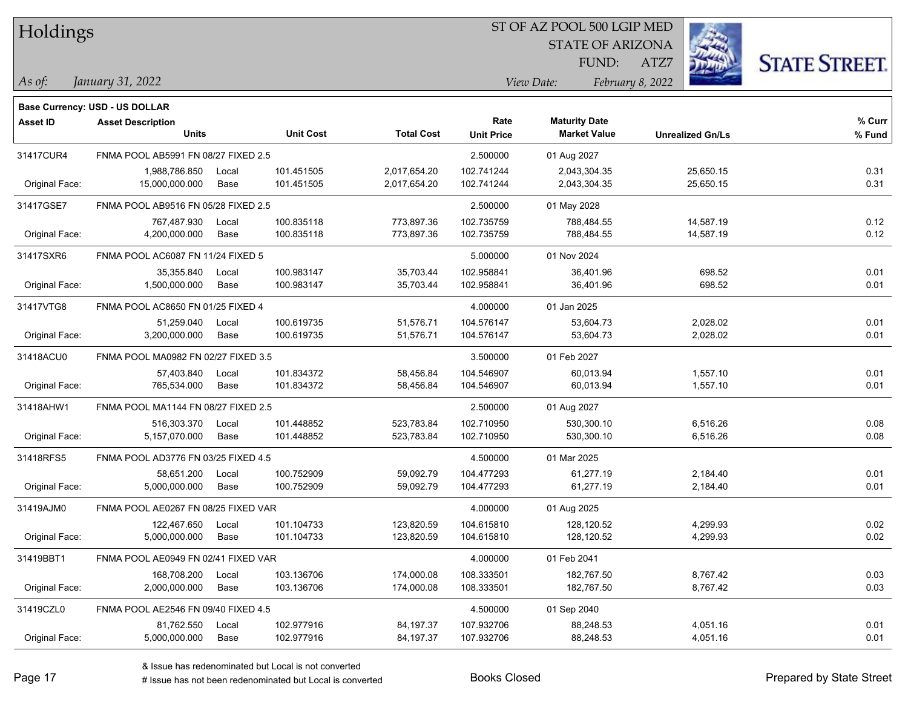| Holdings        |                                       |       |                  |                   |                   | 51 OF AZ POOL 500 LGIP MED |                         |                      |  |
|-----------------|---------------------------------------|-------|------------------|-------------------|-------------------|----------------------------|-------------------------|----------------------|--|
|                 |                                       |       |                  |                   |                   | <b>STATE OF ARIZONA</b>    |                         |                      |  |
|                 |                                       |       |                  |                   |                   | FUND:                      | ATZ7                    | <b>STATE STREET.</b> |  |
| As of:          | January 31, 2022                      |       |                  |                   |                   | View Date:                 | February 8, 2022        |                      |  |
|                 |                                       |       |                  |                   |                   |                            |                         |                      |  |
|                 | <b>Base Currency: USD - US DOLLAR</b> |       |                  |                   |                   |                            |                         |                      |  |
| <b>Asset ID</b> | <b>Asset Description</b>              |       |                  |                   | Rate              | <b>Maturity Date</b>       |                         | % Curr               |  |
|                 | <b>Units</b>                          |       | <b>Unit Cost</b> | <b>Total Cost</b> | <b>Unit Price</b> | <b>Market Value</b>        | <b>Unrealized Gn/Ls</b> | % Fund               |  |
| 31417CUR4       | FNMA POOL AB5991 FN 08/27 FIXED 2.5   |       |                  |                   | 2.500000          | 01 Aug 2027                |                         |                      |  |
|                 | 1,988,786.850                         | Local | 101.451505       | 2,017,654.20      | 102.741244        | 2,043,304.35               | 25,650.15               | 0.31                 |  |
| Original Face:  | 15,000,000.000                        | Base  | 101.451505       | 2,017,654.20      | 102.741244        | 2,043,304.35               | 25,650.15               | 0.31                 |  |
| 31417GSE7       | FNMA POOL AB9516 FN 05/28 FIXED 2.5   |       |                  |                   | 2.500000          | 01 May 2028                |                         |                      |  |
|                 | 767,487.930                           | Local | 100.835118       | 773,897.36        | 102.735759        | 788,484.55                 | 14,587.19               | 0.12                 |  |
| Original Face:  | 4,200,000.000                         | Base  | 100.835118       | 773,897.36        | 102.735759        | 788,484.55                 | 14,587.19               | 0.12                 |  |
| 31417SXR6       | FNMA POOL AC6087 FN 11/24 FIXED 5     |       |                  |                   | 5.000000          | 01 Nov 2024                |                         |                      |  |
|                 | 35,355.840                            | Local | 100.983147       | 35,703.44         | 102.958841        | 36,401.96                  | 698.52                  | 0.01                 |  |
| Original Face:  | 1,500,000.000                         | Base  | 100.983147       | 35,703.44         | 102.958841        | 36,401.96                  | 698.52                  | 0.01                 |  |
| 31417VTG8       | FNMA POOL AC8650 FN 01/25 FIXED 4     |       |                  |                   | 4.000000          | 01 Jan 2025                |                         |                      |  |
|                 | 51.259.040                            | Local | 100.619735       | 51,576.71         | 104.576147        | 53,604.73                  | 2,028.02                | 0.01                 |  |
| Original Face:  | 3,200,000.000                         | Base  | 100.619735       | 51,576.71         | 104.576147        | 53,604.73                  | 2,028.02                | 0.01                 |  |
| 31418ACU0       | FNMA POOL MA0982 FN 02/27 FIXED 3.5   |       |                  |                   | 3.500000          | 01 Feb 2027                |                         |                      |  |
|                 | 57,403.840                            | Local | 101.834372       | 58,456.84         | 104.546907        | 60,013.94                  | 1,557.10                | 0.01                 |  |
| Original Face:  | 765,534.000                           | Base  | 101.834372       | 58,456.84         | 104.546907        | 60,013.94                  | 1,557.10                | 0.01                 |  |
| 31418AHW1       | FNMA POOL MA1144 FN 08/27 FIXED 2.5   |       |                  |                   | 2.500000          | 01 Aug 2027                |                         |                      |  |
|                 | 516,303.370                           | Local | 101.448852       | 523,783.84        | 102.710950        | 530,300.10                 | 6,516.26                | 0.08                 |  |
| Original Face:  | 5,157,070.000                         | Base  | 101.448852       | 523,783.84        | 102.710950        | 530,300.10                 | 6,516.26                | 0.08                 |  |
| 31418RFS5       | FNMA POOL AD3776 FN 03/25 FIXED 4.5   |       |                  |                   | 4.500000          | 01 Mar 2025                |                         |                      |  |
|                 | 58,651.200                            | Local | 100.752909       | 59,092.79         | 104.477293        | 61,277.19                  | 2,184.40                | 0.01                 |  |
| Original Face:  | 5,000,000.000                         | Base  | 100.752909       | 59,092.79         | 104.477293        | 61,277.19                  | 2,184.40                | 0.01                 |  |
| 31419AJM0       | FNMA POOL AE0267 FN 08/25 FIXED VAR   |       |                  |                   | 4.000000          | 01 Aug 2025                |                         |                      |  |
|                 | 122,467.650                           | Local | 101.104733       | 123,820.59        | 104.615810        | 128,120.52                 | 4,299.93                | 0.02                 |  |
| Original Face:  | 5,000,000.000                         | Base  | 101.104733       | 123,820.59        | 104.615810        | 128,120.52                 | 4,299.93                | 0.02                 |  |
| 31419BBT1       | FNMA POOL AE0949 FN 02/41 FIXED VAR   |       |                  |                   | 4.000000          | 01 Feb 2041                |                         |                      |  |
|                 | 168,708.200                           | Local | 103.136706       | 174,000.08        | 108.333501        | 182,767.50                 | 8,767.42                | 0.03                 |  |
| Original Face:  | 2,000,000.000                         | Base  | 103.136706       | 174,000.08        | 108.333501        | 182,767.50                 | 8,767.42                | 0.03                 |  |
| 31419CZL0       | FNMA POOL AE2546 FN 09/40 FIXED 4.5   |       |                  |                   | 4.500000          | 01 Sep 2040                |                         |                      |  |
|                 | 81,762.550                            | Local | 102.977916       | 84,197.37         | 107.932706        | 88,248.53                  | 4,051.16                | 0.01                 |  |
| Original Face:  | 5,000,000.000                         | Base  | 102.977916       | 84,197.37         | 107.932706        | 88,248.53                  | 4,051.16                | 0.01                 |  |

 $\overline{\text{SP } \overline{\text{SP } \text{O}}$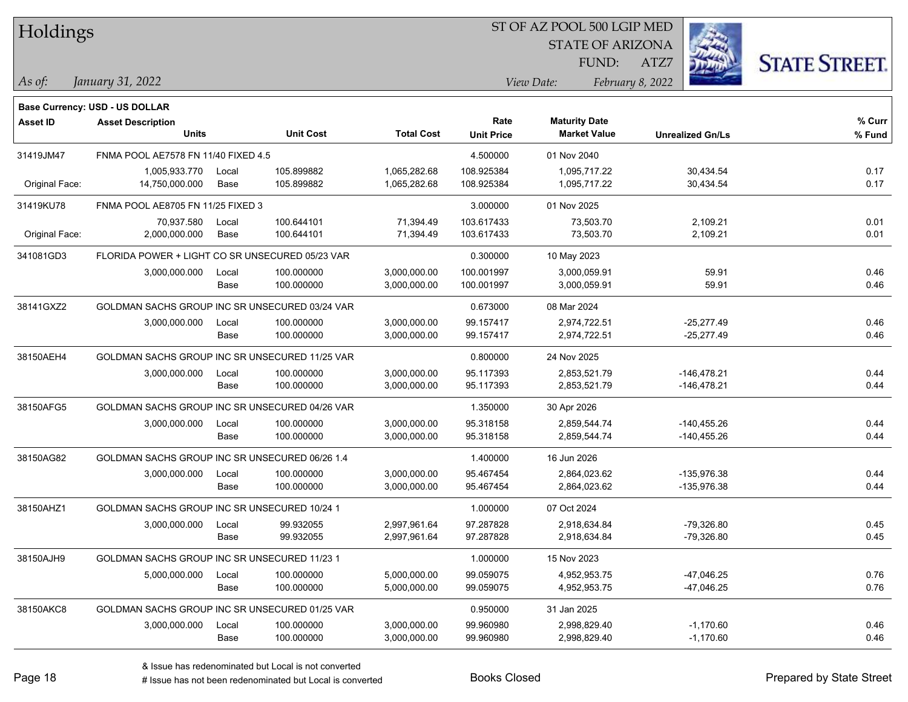| Holdings        |                                                 |       |                  |                   |                           | ST OF AZ POOL 500 LGIP MED                  |                         |                      |  |
|-----------------|-------------------------------------------------|-------|------------------|-------------------|---------------------------|---------------------------------------------|-------------------------|----------------------|--|
|                 |                                                 |       |                  |                   |                           | <b>STATE OF ARIZONA</b>                     |                         |                      |  |
|                 |                                                 |       |                  |                   |                           | FUND:                                       | ATZ7                    | <b>STATE STREET.</b> |  |
| $\vert$ As of:  | January 31, 2022                                |       |                  |                   |                           | View Date:                                  | February 8, 2022        |                      |  |
|                 |                                                 |       |                  |                   |                           |                                             |                         |                      |  |
|                 | <b>Base Currency: USD - US DOLLAR</b>           |       |                  |                   |                           |                                             |                         |                      |  |
| <b>Asset ID</b> | <b>Asset Description</b><br><b>Units</b>        |       | <b>Unit Cost</b> | <b>Total Cost</b> | Rate<br><b>Unit Price</b> | <b>Maturity Date</b><br><b>Market Value</b> | <b>Unrealized Gn/Ls</b> | % Curr<br>% Fund     |  |
|                 |                                                 |       |                  |                   |                           |                                             |                         |                      |  |
| 31419JM47       | FNMA POOL AE7578 FN 11/40 FIXED 4.5             |       |                  |                   | 4.500000                  | 01 Nov 2040                                 |                         |                      |  |
|                 | 1,005,933.770                                   | Local | 105.899882       | 1,065,282.68      | 108.925384                | 1,095,717.22<br>1,095,717.22                | 30,434.54               | 0.17                 |  |
| Original Face:  | 14,750,000.000                                  | Base  | 105.899882       | 1,065,282.68      | 108.925384                |                                             | 30,434.54               | 0.17                 |  |
| 31419KU78       | FNMA POOL AE8705 FN 11/25 FIXED 3               |       |                  |                   | 3.000000                  | 01 Nov 2025                                 |                         |                      |  |
|                 | 70,937.580                                      | Local | 100.644101       | 71,394.49         | 103.617433                | 73,503.70                                   | 2,109.21                | 0.01                 |  |
| Original Face:  | 2,000,000.000                                   | Base  | 100.644101       | 71,394.49         | 103.617433                | 73,503.70                                   | 2,109.21                | 0.01                 |  |
| 341081GD3       | FLORIDA POWER + LIGHT CO SR UNSECURED 05/23 VAR |       |                  |                   | 0.300000                  | 10 May 2023                                 |                         |                      |  |
|                 | 3,000,000.000                                   | Local | 100.000000       | 3,000,000.00      | 100.001997                | 3,000,059.91                                | 59.91                   | 0.46                 |  |
|                 |                                                 | Base  | 100.000000       | 3,000,000.00      | 100.001997                | 3,000,059.91                                | 59.91                   | 0.46                 |  |
| 38141GXZ2       | GOLDMAN SACHS GROUP INC SR UNSECURED 03/24 VAR  |       |                  |                   | 0.673000                  | 08 Mar 2024                                 |                         |                      |  |
|                 | 3,000,000.000                                   | Local | 100.000000       | 3,000,000.00      | 99.157417                 | 2,974,722.51                                | $-25,277.49$            | 0.46                 |  |
|                 |                                                 | Base  | 100.000000       | 3,000,000.00      | 99.157417                 | 2,974,722.51                                | $-25,277.49$            | 0.46                 |  |
| 38150AEH4       | GOLDMAN SACHS GROUP INC SR UNSECURED 11/25 VAR  |       |                  |                   | 0.800000                  | 24 Nov 2025                                 |                         |                      |  |
|                 | 3,000,000.000                                   | Local | 100.000000       | 3,000,000.00      | 95.117393                 | 2,853,521.79                                | $-146,478.21$           | 0.44                 |  |
|                 |                                                 | Base  | 100.000000       | 3,000,000.00      | 95.117393                 | 2,853,521.79                                | -146,478.21             | 0.44                 |  |
| 38150AFG5       | GOLDMAN SACHS GROUP INC SR UNSECURED 04/26 VAR  |       |                  |                   | 1.350000                  | 30 Apr 2026                                 |                         |                      |  |
|                 | 3,000,000.000                                   | Local | 100.000000       | 3,000,000.00      | 95.318158                 | 2,859,544.74                                | $-140,455.26$           | 0.44                 |  |
|                 |                                                 | Base  | 100.000000       | 3,000,000.00      | 95.318158                 | 2,859,544.74                                | $-140,455.26$           | 0.44                 |  |
| 38150AG82       | GOLDMAN SACHS GROUP INC SR UNSECURED 06/26 1.4  |       |                  |                   | 1.400000                  | 16 Jun 2026                                 |                         |                      |  |
|                 | 3,000,000.000                                   | Local | 100.000000       | 3,000,000.00      | 95.467454                 | 2,864,023.62                                | $-135,976.38$           | 0.44                 |  |
|                 |                                                 | Base  | 100.000000       | 3,000,000.00      | 95.467454                 | 2,864,023.62                                | $-135,976.38$           | 0.44                 |  |
| 38150AHZ1       | GOLDMAN SACHS GROUP INC SR UNSECURED 10/24 1    |       |                  |                   | 1.000000                  | 07 Oct 2024                                 |                         |                      |  |
|                 | 3,000,000.000                                   | Local | 99.932055        | 2,997,961.64      | 97.287828                 | 2,918,634.84                                | $-79,326.80$            | 0.45                 |  |
|                 |                                                 | Base  | 99.932055        | 2,997,961.64      | 97.287828                 | 2,918,634.84                                | -79,326.80              | 0.45                 |  |
| 38150AJH9       | GOLDMAN SACHS GROUP INC SR UNSECURED 11/23 1    |       |                  |                   | 1.000000                  | 15 Nov 2023                                 |                         |                      |  |
|                 | 5,000,000.000                                   | Local | 100.000000       | 5,000,000.00      | 99.059075                 | 4,952,953.75                                | $-47,046.25$            | 0.76                 |  |
|                 |                                                 | Base  | 100.000000       | 5,000,000.00      | 99.059075                 | 4,952,953.75                                | $-47,046.25$            | 0.76                 |  |
| 38150AKC8       | GOLDMAN SACHS GROUP INC SR UNSECURED 01/25 VAR  |       |                  |                   | 0.950000                  | 31 Jan 2025                                 |                         |                      |  |
|                 | 3,000,000.000                                   | Local | 100.000000       | 3,000,000.00      | 99.960980                 | 2,998,829.40                                | $-1,170.60$             | 0.46                 |  |
|                 |                                                 | Base  | 100.000000       | 3,000,000.00      | 99.960980                 | 2,998,829.40                                | $-1,170.60$             | 0.46                 |  |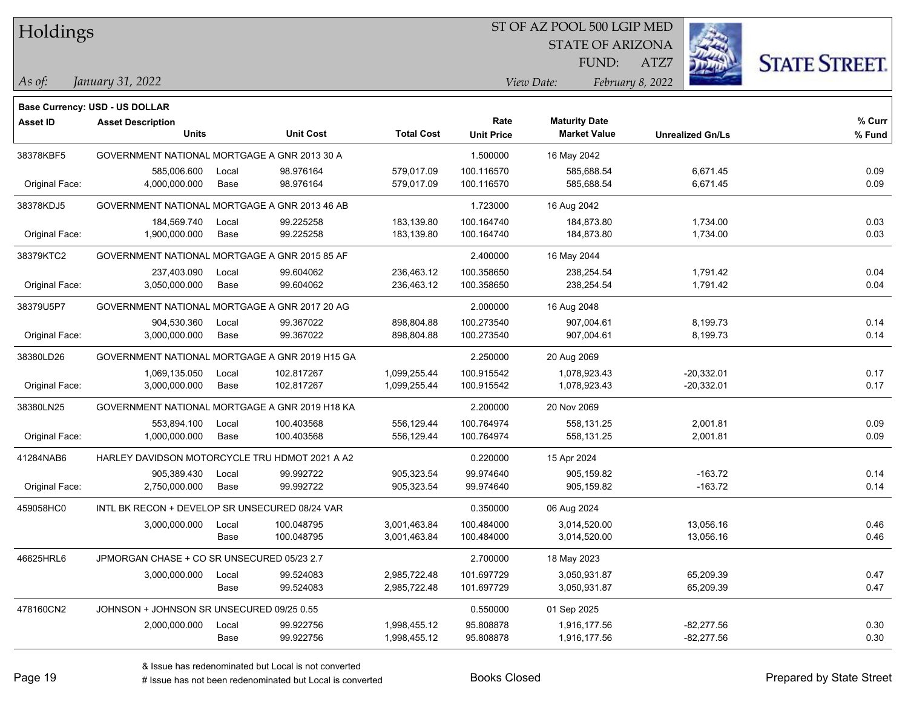| Holdings |
|----------|
|          |

### ST OF AZ POOL 500 LGIP MED

STATE OF ARIZONA

ATZ7



*January 31, 2022 As of: View Date: February 8, 2022*

FUND:

|                 | <b>Base Currency: USD - US DOLLAR</b>          |       |                  |                   |                   |                      |                         |        |
|-----------------|------------------------------------------------|-------|------------------|-------------------|-------------------|----------------------|-------------------------|--------|
| <b>Asset ID</b> | <b>Asset Description</b>                       |       |                  |                   | Rate              | <b>Maturity Date</b> |                         | % Curr |
|                 | <b>Units</b>                                   |       | <b>Unit Cost</b> | <b>Total Cost</b> | <b>Unit Price</b> | <b>Market Value</b>  | <b>Unrealized Gn/Ls</b> | % Fund |
| 38378KBF5       | GOVERNMENT NATIONAL MORTGAGE A GNR 2013 30 A   |       |                  |                   | 1.500000          | 16 May 2042          |                         |        |
|                 | 585,006.600                                    | Local | 98.976164        | 579,017.09        | 100.116570        | 585,688.54           | 6,671.45                | 0.09   |
| Original Face:  | 4,000,000.000                                  | Base  | 98.976164        | 579,017.09        | 100.116570        | 585,688.54           | 6,671.45                | 0.09   |
| 38378KDJ5       | GOVERNMENT NATIONAL MORTGAGE A GNR 2013 46 AB  |       |                  |                   | 1.723000          | 16 Aug 2042          |                         |        |
|                 | 184,569.740                                    | Local | 99.225258        | 183,139.80        | 100.164740        | 184,873.80           | 1,734.00                | 0.03   |
| Original Face:  | 1,900,000.000                                  | Base  | 99.225258        | 183,139.80        | 100.164740        | 184,873.80           | 1,734.00                | 0.03   |
| 38379KTC2       | GOVERNMENT NATIONAL MORTGAGE A GNR 2015 85 AF  |       |                  |                   | 2.400000          | 16 May 2044          |                         |        |
|                 | 237,403.090                                    | Local | 99.604062        | 236,463.12        | 100.358650        | 238,254.54           | 1,791.42                | 0.04   |
| Original Face:  | 3,050,000.000                                  | Base  | 99.604062        | 236,463.12        | 100.358650        | 238,254.54           | 1,791.42                | 0.04   |
| 38379U5P7       | GOVERNMENT NATIONAL MORTGAGE A GNR 2017 20 AG  |       |                  |                   | 2.000000          | 16 Aug 2048          |                         |        |
|                 | 904,530.360                                    | Local | 99.367022        | 898,804.88        | 100.273540        | 907,004.61           | 8,199.73                | 0.14   |
| Original Face:  | 3,000,000.000                                  | Base  | 99.367022        | 898,804.88        | 100.273540        | 907,004.61           | 8,199.73                | 0.14   |
| 38380LD26       | GOVERNMENT NATIONAL MORTGAGE A GNR 2019 H15 GA |       |                  |                   | 2.250000          | 20 Aug 2069          |                         |        |
|                 | 1,069,135.050                                  | Local | 102.817267       | 1,099,255.44      | 100.915542        | 1,078,923.43         | $-20,332.01$            | 0.17   |
| Original Face:  | 3,000,000.000                                  | Base  | 102.817267       | 1,099,255.44      | 100.915542        | 1,078,923.43         | $-20,332.01$            | 0.17   |
| 38380LN25       | GOVERNMENT NATIONAL MORTGAGE A GNR 2019 H18 KA |       |                  |                   | 2.200000          | 20 Nov 2069          |                         |        |
|                 | 553,894.100                                    | Local | 100.403568       | 556,129.44        | 100.764974        | 558,131.25           | 2,001.81                | 0.09   |
| Original Face:  | 1,000,000.000                                  | Base  | 100.403568       | 556,129.44        | 100.764974        | 558,131.25           | 2,001.81                | 0.09   |
| 41284NAB6       | HARLEY DAVIDSON MOTORCYCLE TRU HDMOT 2021 A A2 |       |                  |                   | 0.220000          | 15 Apr 2024          |                         |        |
|                 | 905,389.430                                    | Local | 99.992722        | 905,323.54        | 99.974640         | 905,159.82           | $-163.72$               | 0.14   |
| Original Face:  | 2,750,000.000                                  | Base  | 99.992722        | 905,323.54        | 99.974640         | 905,159.82           | $-163.72$               | 0.14   |
| 459058HC0       | INTL BK RECON + DEVELOP SR UNSECURED 08/24 VAR |       |                  |                   | 0.350000          | 06 Aug 2024          |                         |        |
|                 | 3,000,000.000                                  | Local | 100.048795       | 3,001,463.84      | 100.484000        | 3,014,520.00         | 13,056.16               | 0.46   |
|                 |                                                | Base  | 100.048795       | 3,001,463.84      | 100.484000        | 3,014,520.00         | 13,056.16               | 0.46   |
| 46625HRL6       | JPMORGAN CHASE + CO SR UNSECURED 05/23 2.7     |       |                  |                   | 2.700000          | 18 May 2023          |                         |        |
|                 | 3,000,000.000                                  | Local | 99.524083        | 2,985,722.48      | 101.697729        | 3,050,931.87         | 65,209.39               | 0.47   |
|                 |                                                | Base  | 99.524083        | 2,985,722.48      | 101.697729        | 3,050,931.87         | 65,209.39               | 0.47   |
| 478160CN2       | JOHNSON + JOHNSON SR UNSECURED 09/25 0.55      |       |                  |                   | 0.550000          | 01 Sep 2025          |                         |        |
|                 | 2,000,000.000                                  | Local | 99.922756        | 1,998,455.12      | 95.808878         | 1,916,177.56         | $-82,277.56$            | 0.30   |
|                 |                                                | Base  | 99.922756        | 1,998,455.12      | 95.808878         | 1,916,177.56         | $-82,277.56$            | 0.30   |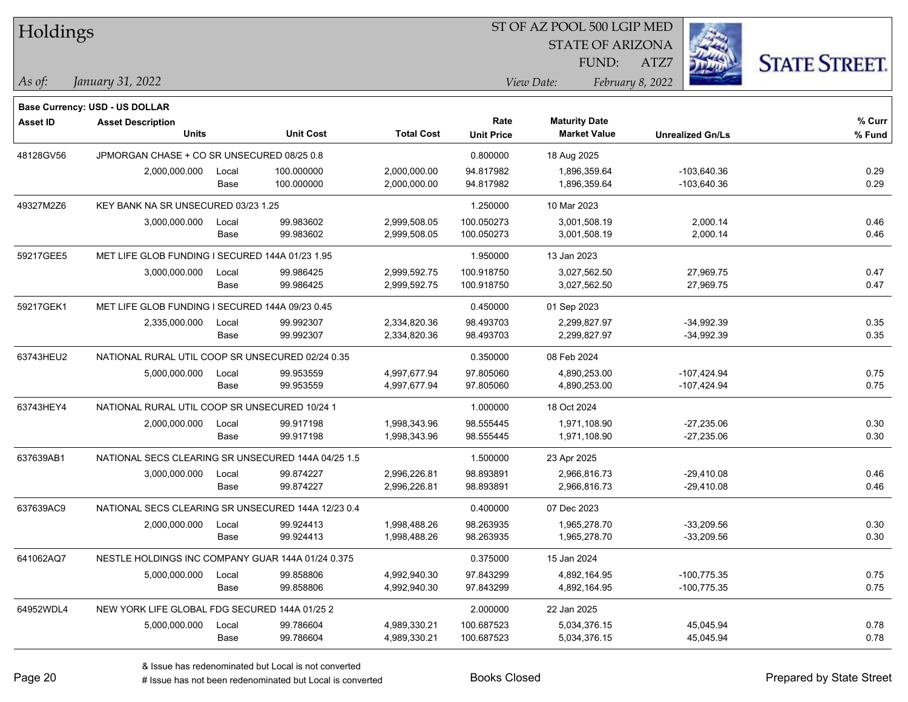| Holdings        |                                                            |       |                  |                   |                   | ST OF AZ POOL 500 LGIP MED |                         |                      |
|-----------------|------------------------------------------------------------|-------|------------------|-------------------|-------------------|----------------------------|-------------------------|----------------------|
|                 |                                                            |       |                  |                   |                   | <b>STATE OF ARIZONA</b>    |                         |                      |
|                 |                                                            |       |                  |                   |                   | FUND:                      | ATZ7                    | <b>STATE STREET.</b> |
| $\vert$ As of:  | January 31, 2022                                           |       |                  |                   |                   | View Date:                 | February 8, 2022        |                      |
|                 |                                                            |       |                  |                   |                   |                            |                         |                      |
| <b>Asset ID</b> | Base Currency: USD - US DOLLAR<br><b>Asset Description</b> |       |                  |                   | Rate              | <b>Maturity Date</b>       |                         | $%$ Curr             |
|                 | <b>Units</b>                                               |       | <b>Unit Cost</b> | <b>Total Cost</b> | <b>Unit Price</b> | <b>Market Value</b>        | <b>Unrealized Gn/Ls</b> | % Fund               |
| 48128GV56       | JPMORGAN CHASE + CO SR UNSECURED 08/25 0.8                 |       |                  |                   | 0.800000          | 18 Aug 2025                |                         |                      |
|                 | 2,000,000.000                                              | Local | 100.000000       | 2.000.000.00      | 94.817982         | 1,896,359.64               | $-103.640.36$           | 0.29                 |
|                 |                                                            | Base  | 100.000000       | 2,000,000.00      | 94.817982         | 1,896,359.64               | $-103,640.36$           | 0.29                 |
| 49327M2Z6       | KEY BANK NA SR UNSECURED 03/23 1.25                        |       |                  |                   | 1.250000          | 10 Mar 2023                |                         |                      |
|                 | 3,000,000.000                                              | Local | 99.983602        | 2,999,508.05      | 100.050273        | 3,001,508.19               | 2,000.14                | 0.46                 |
|                 |                                                            | Base  | 99.983602        | 2,999,508.05      | 100.050273        | 3,001,508.19               | 2,000.14                | 0.46                 |
| 59217GEE5       | MET LIFE GLOB FUNDING I SECURED 144A 01/23 1.95            |       |                  |                   | 1.950000          | 13 Jan 2023                |                         |                      |
|                 | 3,000,000.000                                              | Local | 99.986425        | 2,999,592.75      | 100.918750        | 3,027,562.50               | 27,969.75               | 0.47                 |
|                 |                                                            | Base  | 99.986425        | 2,999,592.75      | 100.918750        | 3,027,562.50               | 27,969.75               | 0.47                 |
| 59217GEK1       | MET LIFE GLOB FUNDING I SECURED 144A 09/23 0.45            |       |                  |                   | 0.450000          | 01 Sep 2023                |                         |                      |
|                 | 2,335,000.000                                              | Local | 99.992307        | 2,334,820.36      | 98.493703         | 2,299,827.97               | $-34,992.39$            | 0.35                 |
|                 |                                                            | Base  | 99.992307        | 2,334,820.36      | 98.493703         | 2,299,827.97               | $-34,992.39$            | 0.35                 |
| 63743HEU2       | NATIONAL RURAL UTIL COOP SR UNSECURED 02/24 0.35           |       |                  |                   | 0.350000          | 08 Feb 2024                |                         |                      |
|                 | 5,000,000.000                                              | Local | 99.953559        | 4,997,677.94      | 97.805060         | 4,890,253.00               | $-107,424.94$           | 0.75                 |
|                 |                                                            | Base  | 99.953559        | 4,997,677.94      | 97.805060         | 4,890,253.00               | $-107,424.94$           | 0.75                 |
| 63743HEY4       | NATIONAL RURAL UTIL COOP SR UNSECURED 10/24 1              |       |                  |                   | 1.000000          | 18 Oct 2024                |                         |                      |
|                 | 2,000,000.000                                              | Local | 99.917198        | 1,998,343.96      | 98.555445         | 1,971,108.90               | $-27,235.06$            | 0.30                 |
|                 |                                                            | Base  | 99.917198        | 1,998,343.96      | 98.555445         | 1,971,108.90               | $-27,235.06$            | 0.30                 |
| 637639AB1       | NATIONAL SECS CLEARING SR UNSECURED 144A 04/25 1.5         |       |                  |                   | 1.500000          | 23 Apr 2025                |                         |                      |
|                 | 3,000,000.000                                              | Local | 99.874227        | 2,996,226.81      | 98.893891         | 2,966,816.73               | $-29,410.08$            | 0.46                 |
|                 |                                                            | Base  | 99.874227        | 2,996,226.81      | 98.893891         | 2,966,816.73               | $-29,410.08$            | 0.46                 |
| 637639AC9       | NATIONAL SECS CLEARING SR UNSECURED 144A 12/23 0.4         |       |                  |                   | 0.400000          | 07 Dec 2023                |                         |                      |
|                 | 2,000,000.000                                              | Local | 99.924413        | 1,998,488.26      | 98.263935         | 1,965,278.70               | $-33,209.56$            | 0.30                 |
|                 |                                                            | Base  | 99.924413        | 1,998,488.26      | 98.263935         | 1,965,278.70               | $-33,209.56$            | 0.30                 |
| 641062AQ7       | NESTLE HOLDINGS INC COMPANY GUAR 144A 01/24 0.375          |       |                  |                   | 0.375000          | 15 Jan 2024                |                         |                      |
|                 | 5,000,000.000                                              | Local | 99.858806        | 4,992,940.30      | 97.843299         | 4,892,164.95               | $-100,775.35$           | 0.75                 |
|                 |                                                            | Base  | 99.858806        | 4,992,940.30      | 97.843299         | 4,892,164.95               | $-100,775.35$           | 0.75                 |
| 64952WDL4       | NEW YORK LIFE GLOBAL FDG SECURED 144A 01/25 2              |       |                  |                   | 2.000000          | 22 Jan 2025                |                         |                      |
|                 | 5,000,000.000                                              | Local | 99.786604        | 4,989,330.21      | 100.687523        | 5,034,376.15               | 45,045.94               | 0.78                 |
|                 |                                                            | Base  | 99.786604        | 4,989,330.21      | 100.687523        | 5,034,376.15               | 45,045.94               | 0.78                 |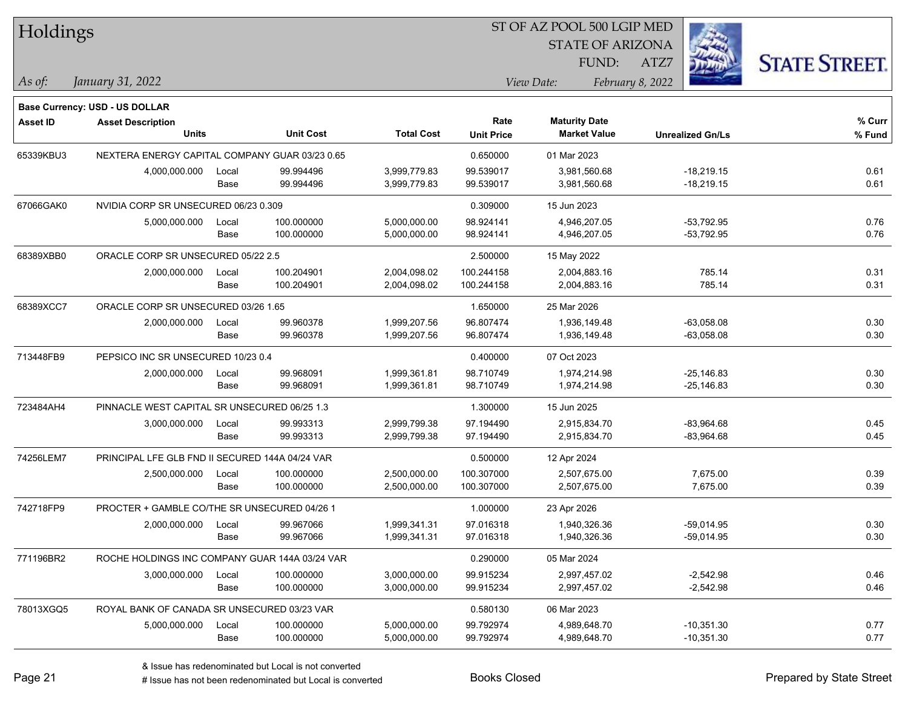| Holdings        |                                                 |       |                  |                   |                   | ST OF AZ POOL 500 LGIP MED |                         |                      |
|-----------------|-------------------------------------------------|-------|------------------|-------------------|-------------------|----------------------------|-------------------------|----------------------|
|                 |                                                 |       |                  |                   |                   | <b>STATE OF ARIZONA</b>    |                         |                      |
|                 |                                                 |       |                  |                   |                   | FUND:                      | ATZ7                    | <b>STATE STREET.</b> |
| As of:          | January 31, 2022                                |       |                  |                   |                   | View Date:                 | February 8, 2022        |                      |
|                 |                                                 |       |                  |                   |                   |                            |                         |                      |
|                 | Base Currency: USD - US DOLLAR                  |       |                  |                   | Rate              | <b>Maturity Date</b>       |                         | % Curr               |
| <b>Asset ID</b> | <b>Asset Description</b><br><b>Units</b>        |       | <b>Unit Cost</b> | <b>Total Cost</b> | <b>Unit Price</b> | <b>Market Value</b>        | <b>Unrealized Gn/Ls</b> | % Fund               |
| 65339KBU3       | NEXTERA ENERGY CAPITAL COMPANY GUAR 03/23 0.65  |       |                  |                   | 0.650000          | 01 Mar 2023                |                         |                      |
|                 | 4,000,000.000                                   | Local | 99.994496        | 3,999,779.83      | 99.539017         | 3,981,560.68               | $-18,219.15$            | 0.61                 |
|                 |                                                 | Base  | 99.994496        | 3,999,779.83      | 99.539017         | 3,981,560.68               | $-18,219.15$            | 0.61                 |
| 67066GAK0       | NVIDIA CORP SR UNSECURED 06/23 0.309            |       |                  |                   | 0.309000          | 15 Jun 2023                |                         |                      |
|                 | 5,000,000.000                                   | Local | 100.000000       | 5,000,000.00      | 98.924141         | 4,946,207.05               | $-53,792.95$            | 0.76                 |
|                 |                                                 | Base  | 100.000000       | 5,000,000.00      | 98.924141         | 4,946,207.05               | $-53,792.95$            | 0.76                 |
| 68389XBB0       | ORACLE CORP SR UNSECURED 05/22 2.5              |       |                  |                   | 2.500000          | 15 May 2022                |                         |                      |
|                 | 2,000,000.000                                   | Local | 100.204901       | 2,004,098.02      | 100.244158        | 2,004,883.16               | 785.14                  | 0.31                 |
|                 |                                                 | Base  | 100.204901       | 2,004,098.02      | 100.244158        | 2,004,883.16               | 785.14                  | 0.31                 |
| 68389XCC7       | ORACLE CORP SR UNSECURED 03/26 1.65             |       |                  |                   | 1.650000          | 25 Mar 2026                |                         |                      |
|                 | 2,000,000.000                                   | Local | 99.960378        | 1,999,207.56      | 96.807474         | 1,936,149.48               | $-63,058.08$            | 0.30                 |
|                 |                                                 | Base  | 99.960378        | 1,999,207.56      | 96.807474         | 1,936,149.48               | $-63,058.08$            | 0.30                 |
| 713448FB9       | PEPSICO INC SR UNSECURED 10/23 0.4              |       |                  |                   | 0.400000          | 07 Oct 2023                |                         |                      |
|                 | 2,000,000.000                                   | Local | 99.968091        | 1,999,361.81      | 98.710749         | 1,974,214.98               | $-25,146.83$            | 0.30                 |
|                 |                                                 | Base  | 99.968091        | 1,999,361.81      | 98.710749         | 1,974,214.98               | $-25,146.83$            | 0.30                 |
| 723484AH4       | PINNACLE WEST CAPITAL SR UNSECURED 06/25 1.3    |       |                  |                   | 1.300000          | 15 Jun 2025                |                         |                      |
|                 | 3,000,000.000                                   | Local | 99.993313        | 2,999,799.38      | 97.194490         | 2,915,834.70               | $-83,964.68$            | 0.45                 |
|                 |                                                 | Base  | 99.993313        | 2,999,799.38      | 97.194490         | 2,915,834.70               | $-83,964.68$            | 0.45                 |
| 74256LEM7       | PRINCIPAL LFE GLB FND II SECURED 144A 04/24 VAR |       |                  |                   | 0.500000          | 12 Apr 2024                |                         |                      |
|                 | 2,500,000.000                                   | Local | 100.000000       | 2,500,000.00      | 100.307000        | 2,507,675.00               | 7,675.00                | 0.39                 |
|                 |                                                 | Base  | 100.000000       | 2,500,000.00      | 100.307000        | 2,507,675.00               | 7,675.00                | 0.39                 |
| 742718FP9       | PROCTER + GAMBLE CO/THE SR UNSECURED 04/26 1    |       |                  |                   | 1.000000          | 23 Apr 2026                |                         |                      |
|                 | 2,000,000.000                                   | Local | 99.967066        | 1,999,341.31      | 97.016318         | 1,940,326.36               | -59,014.95              | 0.30                 |
|                 |                                                 | Base  | 99.967066        | 1,999,341.31      | 97.016318         | 1,940,326.36               | $-59,014.95$            | 0.30                 |
| 771196BR2       | ROCHE HOLDINGS INC COMPANY GUAR 144A 03/24 VAR  |       |                  |                   | 0.290000          | 05 Mar 2024                |                         |                      |
|                 | 3,000,000.000                                   | Local | 100.000000       | 3,000,000.00      | 99.915234         | 2,997,457.02               | $-2,542.98$             | 0.46                 |
|                 |                                                 | Base  | 100.000000       | 3,000,000.00      | 99.915234         | 2,997,457.02               | $-2,542.98$             | 0.46                 |
| 78013XGQ5       | ROYAL BANK OF CANADA SR UNSECURED 03/23 VAR     |       |                  |                   | 0.580130          | 06 Mar 2023                |                         |                      |
|                 | 5,000,000.000                                   | Local | 100.000000       | 5,000,000.00      | 99.792974         | 4,989,648.70               | $-10,351.30$            | 0.77                 |
|                 |                                                 | Base  | 100.000000       | 5,000,000.00      | 99.792974         | 4,989,648.70               | $-10,351.30$            | 0.77                 |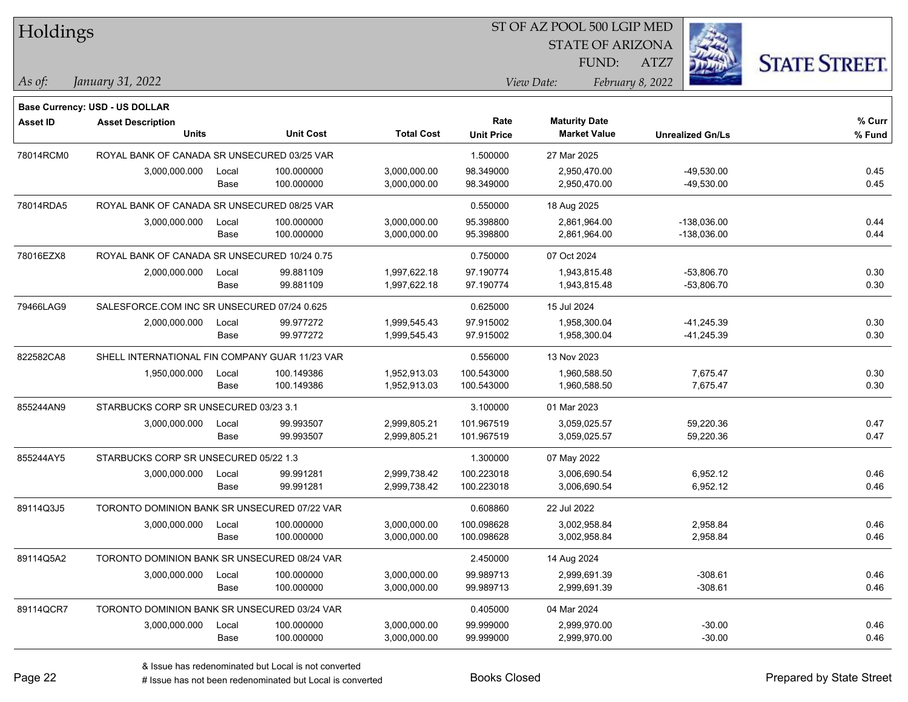| Holdings        |                                                |       |                  |                   |                   | ST OF AZ POOL 500 LGIP MED |                         |                      |
|-----------------|------------------------------------------------|-------|------------------|-------------------|-------------------|----------------------------|-------------------------|----------------------|
|                 |                                                |       |                  |                   |                   | <b>STATE OF ARIZONA</b>    |                         |                      |
|                 |                                                |       |                  |                   |                   | FUND:                      | ATZ7                    | <b>STATE STREET.</b> |
| As of:          | January 31, 2022                               |       |                  |                   |                   | View Date:                 | February 8, 2022        |                      |
|                 | <b>Base Currency: USD - US DOLLAR</b>          |       |                  |                   |                   |                            |                         |                      |
| <b>Asset ID</b> | <b>Asset Description</b>                       |       |                  |                   | Rate              | <b>Maturity Date</b>       |                         | % Curr               |
|                 | <b>Units</b>                                   |       | <b>Unit Cost</b> | <b>Total Cost</b> | <b>Unit Price</b> | <b>Market Value</b>        | <b>Unrealized Gn/Ls</b> | % Fund               |
| 78014RCM0       | ROYAL BANK OF CANADA SR UNSECURED 03/25 VAR    |       |                  |                   | 1.500000          | 27 Mar 2025                |                         |                      |
|                 | 3,000,000.000                                  | Local | 100.000000       | 3,000,000.00      | 98.349000         | 2,950,470.00               | $-49,530.00$            | 0.45                 |
|                 |                                                | Base  | 100.000000       | 3,000,000.00      | 98.349000         | 2,950,470.00               | -49,530.00              | 0.45                 |
| 78014RDA5       | ROYAL BANK OF CANADA SR UNSECURED 08/25 VAR    |       |                  |                   | 0.550000          | 18 Aug 2025                |                         |                      |
|                 | 3,000,000.000                                  | Local | 100.000000       | 3,000,000.00      | 95.398800         | 2,861,964.00               | $-138,036.00$           | 0.44                 |
|                 |                                                | Base  | 100.000000       | 3,000,000.00      | 95.398800         | 2,861,964.00               | $-138,036.00$           | 0.44                 |
| 78016EZX8       | ROYAL BANK OF CANADA SR UNSECURED 10/24 0.75   |       |                  |                   | 0.750000          | 07 Oct 2024                |                         |                      |
|                 | 2,000,000.000                                  | Local | 99.881109        | 1,997,622.18      | 97.190774         | 1,943,815.48               | $-53,806.70$            | 0.30                 |
|                 |                                                | Base  | 99.881109        | 1,997,622.18      | 97.190774         | 1,943,815.48               | $-53,806.70$            | 0.30                 |
| 79466LAG9       | SALESFORCE.COM INC SR UNSECURED 07/24 0.625    |       |                  |                   | 0.625000          | 15 Jul 2024                |                         |                      |
|                 | 2,000,000.000                                  | Local | 99.977272        | 1,999,545.43      | 97.915002         | 1,958,300.04               | $-41,245.39$            | 0.30                 |
|                 |                                                | Base  | 99.977272        | 1,999,545.43      | 97.915002         | 1,958,300.04               | $-41,245.39$            | 0.30                 |
| 822582CA8       | SHELL INTERNATIONAL FIN COMPANY GUAR 11/23 VAR |       |                  |                   | 0.556000          | 13 Nov 2023                |                         |                      |
|                 | 1,950,000.000                                  | Local | 100.149386       | 1,952,913.03      | 100.543000        | 1,960,588.50               | 7,675.47                | 0.30                 |
|                 |                                                | Base  | 100.149386       | 1,952,913.03      | 100.543000        | 1,960,588.50               | 7,675.47                | 0.30                 |
| 855244AN9       | STARBUCKS CORP SR UNSECURED 03/23 3.1          |       |                  |                   | 3.100000          | 01 Mar 2023                |                         |                      |
|                 | 3,000,000.000                                  | Local | 99.993507        | 2,999,805.21      | 101.967519        | 3,059,025.57               | 59,220.36               | 0.47                 |
|                 |                                                | Base  | 99.993507        | 2,999,805.21      | 101.967519        | 3,059,025.57               | 59,220.36               | 0.47                 |
| 855244AY5       | STARBUCKS CORP SR UNSECURED 05/22 1.3          |       |                  |                   | 1.300000          | 07 May 2022                |                         |                      |
|                 | 3,000,000.000                                  | Local | 99.991281        | 2,999,738.42      | 100.223018        | 3,006,690.54               | 6,952.12                | 0.46                 |
|                 |                                                | Base  | 99.991281        | 2,999,738.42      | 100.223018        | 3,006,690.54               | 6,952.12                | 0.46                 |
| 89114Q3J5       | TORONTO DOMINION BANK SR UNSECURED 07/22 VAR   |       |                  |                   | 0.608860          | 22 Jul 2022                |                         |                      |
|                 | 3,000,000.000                                  | Local | 100.000000       | 3,000,000.00      | 100.098628        | 3,002,958.84               | 2,958.84                | 0.46                 |
|                 |                                                | Base  | 100.000000       | 3,000,000.00      | 100.098628        | 3,002,958.84               | 2,958.84                | 0.46                 |
| 89114Q5A2       | TORONTO DOMINION BANK SR UNSECURED 08/24 VAR   |       |                  |                   | 2.450000          | 14 Aug 2024                |                         |                      |
|                 | 3,000,000.000                                  | Local | 100.000000       | 3,000,000.00      | 99.989713         | 2,999,691.39               | $-308.61$               | 0.46                 |
|                 |                                                | Base  | 100.000000       | 3,000,000.00      | 99.989713         | 2,999,691.39               | $-308.61$               | 0.46                 |
| 89114QCR7       | TORONTO DOMINION BANK SR UNSECURED 03/24 VAR   |       |                  |                   | 0.405000          | 04 Mar 2024                |                         |                      |
|                 | 3,000,000.000                                  | Local | 100.000000       | 3,000,000.00      | 99.999000         | 2,999,970.00               | $-30.00$                | 0.46                 |
|                 |                                                | Base  | 100.000000       | 3,000,000.00      | 99.999000         | 2,999,970.00               | $-30.00$                | 0.46                 |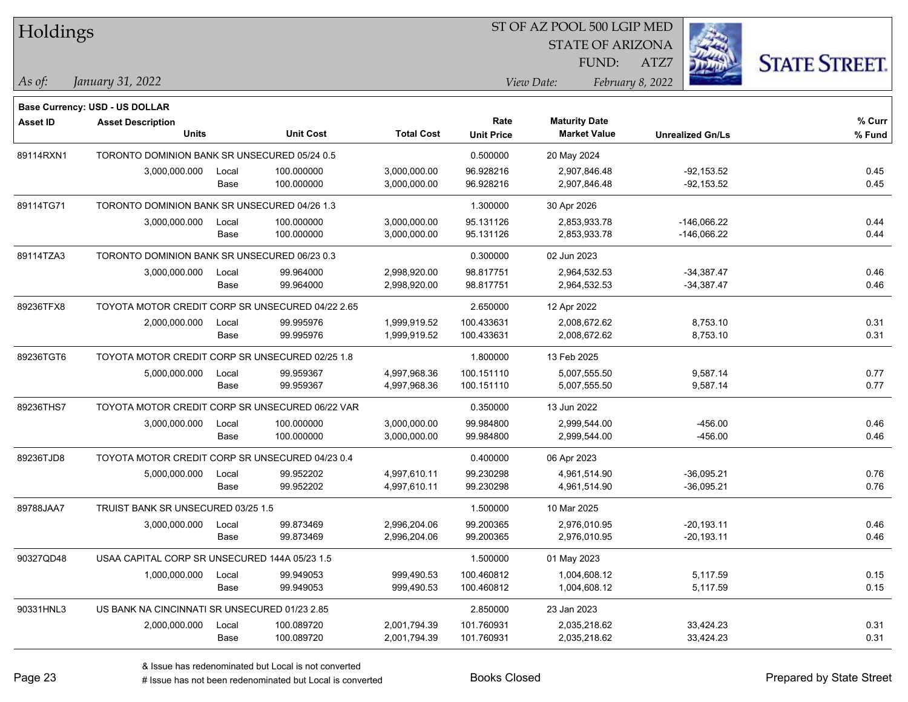| Holdings  |                                                  |       |                  |                   |                   | ST OF AZ POOL 500 LGIP MED |                         |                      |
|-----------|--------------------------------------------------|-------|------------------|-------------------|-------------------|----------------------------|-------------------------|----------------------|
|           |                                                  |       |                  |                   |                   | <b>STATE OF ARIZONA</b>    |                         |                      |
|           |                                                  |       |                  |                   |                   | FUND:                      | ATZ7                    | <b>STATE STREET.</b> |
| As of:    | January 31, 2022                                 |       |                  |                   |                   | View Date:                 | February 8, 2022        |                      |
|           | <b>Base Currency: USD - US DOLLAR</b>            |       |                  |                   |                   |                            |                         |                      |
| Asset ID  | <b>Asset Description</b>                         |       |                  |                   | Rate              | <b>Maturity Date</b>       |                         | % Curr               |
|           | <b>Units</b>                                     |       | <b>Unit Cost</b> | <b>Total Cost</b> | <b>Unit Price</b> | <b>Market Value</b>        | <b>Unrealized Gn/Ls</b> | % Fund               |
| 89114RXN1 | TORONTO DOMINION BANK SR UNSECURED 05/24 0.5     |       |                  |                   | 0.500000          | 20 May 2024                |                         |                      |
|           | 3,000,000.000                                    | Local | 100.000000       | 3,000,000.00      | 96.928216         | 2,907,846.48               | $-92,153.52$            | 0.45                 |
|           |                                                  | Base  | 100.000000       | 3,000,000.00      | 96.928216         | 2,907,846.48               | $-92,153.52$            | 0.45                 |
| 89114TG71 | TORONTO DOMINION BANK SR UNSECURED 04/26 1.3     |       |                  |                   | 1.300000          | 30 Apr 2026                |                         |                      |
|           | 3,000,000.000                                    | Local | 100.000000       | 3,000,000.00      | 95.131126         | 2,853,933.78               | $-146,066.22$           | 0.44                 |
|           |                                                  | Base  | 100.000000       | 3,000,000.00      | 95.131126         | 2,853,933.78               | $-146,066.22$           | 0.44                 |
| 89114TZA3 | TORONTO DOMINION BANK SR UNSECURED 06/23 0.3     |       |                  |                   | 0.300000          | 02 Jun 2023                |                         |                      |
|           | 3,000,000.000                                    | Local | 99.964000        | 2,998,920.00      | 98.817751         | 2,964,532.53               | $-34,387.47$            | 0.46                 |
|           |                                                  | Base  | 99.964000        | 2,998,920.00      | 98.817751         | 2,964,532.53               | $-34,387.47$            | 0.46                 |
| 89236TFX8 | TOYOTA MOTOR CREDIT CORP SR UNSECURED 04/22 2.65 |       |                  |                   | 2.650000          | 12 Apr 2022                |                         |                      |
|           | 2,000,000.000                                    | Local | 99.995976        | 1,999,919.52      | 100.433631        | 2,008,672.62               | 8,753.10                | 0.31                 |
|           |                                                  | Base  | 99.995976        | 1,999,919.52      | 100.433631        | 2,008,672.62               | 8,753.10                | 0.31                 |
| 89236TGT6 | TOYOTA MOTOR CREDIT CORP SR UNSECURED 02/25 1.8  |       |                  |                   | 1.800000          | 13 Feb 2025                |                         |                      |
|           | 5,000,000.000                                    | Local | 99.959367        | 4,997,968.36      | 100.151110        | 5,007,555.50               | 9,587.14                | 0.77                 |
|           |                                                  | Base  | 99.959367        | 4,997,968.36      | 100.151110        | 5,007,555.50               | 9,587.14                | 0.77                 |
| 89236THS7 | TOYOTA MOTOR CREDIT CORP SR UNSECURED 06/22 VAR  |       |                  |                   | 0.350000          | 13 Jun 2022                |                         |                      |
|           | 3,000,000.000                                    | Local | 100.000000       | 3,000,000.00      | 99.984800         | 2,999,544.00               | -456.00                 | 0.46                 |
|           |                                                  | Base  | 100.000000       | 3,000,000.00      | 99.984800         | 2,999,544.00               | $-456.00$               | 0.46                 |
| 89236TJD8 | TOYOTA MOTOR CREDIT CORP SR UNSECURED 04/23 0.4  |       |                  |                   | 0.400000          | 06 Apr 2023                |                         |                      |
|           | 5,000,000.000                                    | Local | 99.952202        | 4,997,610.11      | 99.230298         | 4,961,514.90               | $-36,095.21$            | 0.76                 |
|           |                                                  | Base  | 99.952202        | 4,997,610.11      | 99.230298         | 4,961,514.90               | $-36,095.21$            | 0.76                 |
| 89788JAA7 | TRUIST BANK SR UNSECURED 03/25 1.5               |       |                  |                   | 1.500000          | 10 Mar 2025                |                         |                      |
|           | 3,000,000.000                                    | Local | 99.873469        | 2,996,204.06      | 99.200365         | 2,976,010.95               | $-20,193.11$            | 0.46                 |
|           |                                                  | Base  | 99.873469        | 2,996,204.06      | 99.200365         | 2,976,010.95               | $-20,193.11$            | 0.46                 |
| 90327QD48 | USAA CAPITAL CORP SR UNSECURED 144A 05/23 1.5    |       |                  |                   | 1.500000          | 01 May 2023                |                         |                      |
|           | 1,000,000.000                                    | Local | 99.949053        | 999,490.53        | 100.460812        | 1,004,608.12               | 5,117.59                | 0.15                 |
|           |                                                  | Base  | 99.949053        | 999,490.53        | 100.460812        | 1,004,608.12               | 5,117.59                | 0.15                 |
| 90331HNL3 | US BANK NA CINCINNATI SR UNSECURED 01/23 2.85    |       |                  |                   | 2.850000          | 23 Jan 2023                |                         |                      |
|           | 2,000,000.000                                    | Local | 100.089720       | 2,001,794.39      | 101.760931        | 2,035,218.62               | 33,424.23               | 0.31                 |
|           |                                                  | Base  | 100.089720       | 2,001,794.39      | 101.760931        | 2,035,218.62               | 33,424.23               | 0.31                 |
|           |                                                  |       |                  |                   |                   |                            |                         |                      |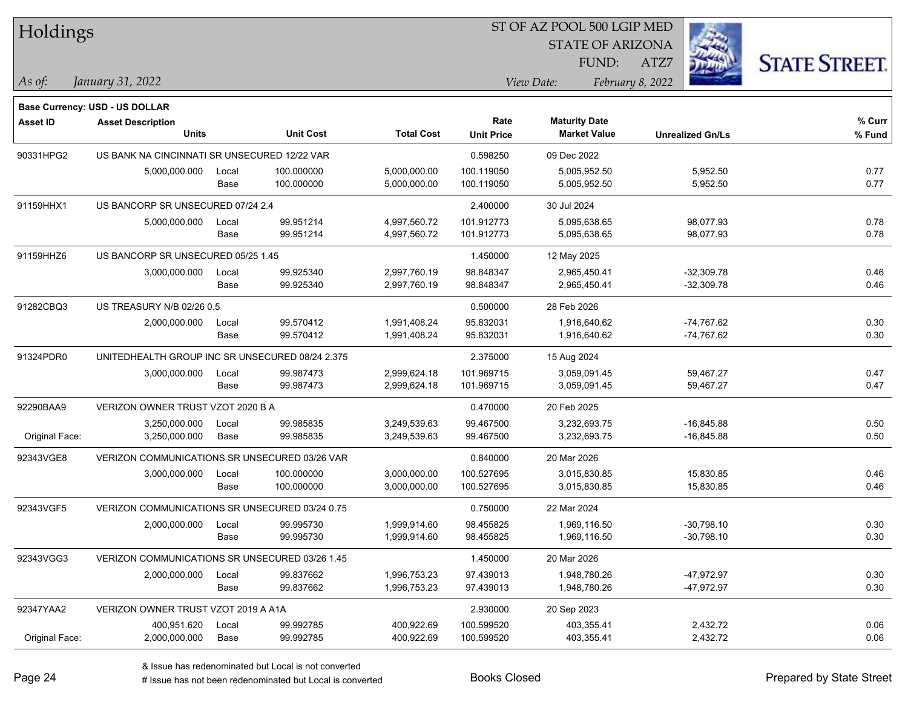| Holdings        |                                                 |       |                  | 51 OF AZ POOL 500 LGIP MED |                   |                         |                  |                         |                      |
|-----------------|-------------------------------------------------|-------|------------------|----------------------------|-------------------|-------------------------|------------------|-------------------------|----------------------|
|                 |                                                 |       |                  |                            |                   | <b>STATE OF ARIZONA</b> |                  | i.                      |                      |
|                 |                                                 |       |                  |                            |                   | FUND:                   | ATZ7             |                         | <b>STATE STREET.</b> |
| As of:          | January 31, 2022                                |       |                  |                            |                   | View Date:              | February 8, 2022 |                         |                      |
|                 | <b>Base Currency: USD - US DOLLAR</b>           |       |                  |                            |                   |                         |                  |                         |                      |
| <b>Asset ID</b> | <b>Asset Description</b>                        |       |                  |                            | Rate              | <b>Maturity Date</b>    |                  |                         | % Curr               |
|                 | <b>Units</b>                                    |       | <b>Unit Cost</b> | <b>Total Cost</b>          | <b>Unit Price</b> | <b>Market Value</b>     |                  | <b>Unrealized Gn/Ls</b> | % Fund               |
| 90331HPG2       | US BANK NA CINCINNATI SR UNSECURED 12/22 VAR    |       |                  |                            | 0.598250          | 09 Dec 2022             |                  |                         |                      |
|                 | 5,000,000.000                                   | Local | 100.000000       | 5,000,000.00               | 100.119050        | 5,005,952.50            |                  | 5,952.50                | 0.77                 |
|                 |                                                 | Base  | 100.000000       | 5,000,000.00               | 100.119050        | 5,005,952.50            |                  | 5,952.50                | 0.77                 |
| 91159HHX1       | US BANCORP SR UNSECURED 07/24 2.4               |       |                  |                            | 2.400000          | 30 Jul 2024             |                  |                         |                      |
|                 | 5,000,000.000                                   | Local | 99.951214        | 4,997,560.72               | 101.912773        | 5,095,638.65            |                  | 98,077.93               | 0.78                 |
|                 |                                                 | Base  | 99.951214        | 4,997,560.72               | 101.912773        | 5,095,638.65            |                  | 98,077.93               | 0.78                 |
| 91159HHZ6       | US BANCORP SR UNSECURED 05/25 1.45              |       |                  |                            | 1.450000          | 12 May 2025             |                  |                         |                      |
|                 | 3,000,000.000                                   | Local | 99.925340        | 2,997,760.19               | 98.848347         | 2,965,450.41            |                  | $-32,309.78$            | 0.46                 |
|                 |                                                 | Base  | 99.925340        | 2,997,760.19               | 98.848347         | 2,965,450.41            |                  | $-32,309.78$            | 0.46                 |
| 91282CBQ3       | US TREASURY N/B 02/26 0.5                       |       |                  |                            | 0.500000          | 28 Feb 2026             |                  |                         |                      |
|                 | 2,000,000.000                                   | Local | 99.570412        | 1,991,408.24               | 95.832031         | 1,916,640.62            |                  | $-74,767.62$            | 0.30                 |
|                 |                                                 | Base  | 99.570412        | 1,991,408.24               | 95.832031         | 1,916,640.62            |                  | $-74,767.62$            | 0.30                 |
| 91324PDR0       | UNITEDHEALTH GROUP INC SR UNSECURED 08/24 2.375 |       |                  |                            | 2.375000          | 15 Aug 2024             |                  |                         |                      |
|                 | 3,000,000.000                                   | Local | 99.987473        | 2,999,624.18               | 101.969715        | 3,059,091.45            |                  | 59,467.27               | 0.47                 |
|                 |                                                 | Base  | 99.987473        | 2,999,624.18               | 101.969715        | 3,059,091.45            |                  | 59,467.27               | 0.47                 |
| 92290BAA9       | VERIZON OWNER TRUST VZOT 2020 B A               |       |                  |                            | 0.470000          | 20 Feb 2025             |                  |                         |                      |
|                 | 3,250,000.000                                   | Local | 99.985835        | 3,249,539.63               | 99.467500         | 3,232,693.75            |                  | $-16,845.88$            | 0.50                 |
| Original Face:  | 3,250,000.000                                   | Base  | 99.985835        | 3,249,539.63               | 99.467500         | 3,232,693.75            |                  | $-16,845.88$            | 0.50                 |
| 92343VGE8       | VERIZON COMMUNICATIONS SR UNSECURED 03/26 VAR   |       |                  |                            | 0.840000          | 20 Mar 2026             |                  |                         |                      |
|                 | 3,000,000.000                                   | Local | 100.000000       | 3,000,000.00               | 100.527695        | 3,015,830.85            |                  | 15,830.85               | 0.46                 |
|                 |                                                 | Base  | 100.000000       | 3,000,000.00               | 100.527695        | 3,015,830.85            |                  | 15,830.85               | 0.46                 |
| 92343VGF5       | VERIZON COMMUNICATIONS SR UNSECURED 03/24 0.75  |       |                  |                            | 0.750000          | 22 Mar 2024             |                  |                         |                      |
|                 | 2,000,000.000                                   | Local | 99.995730        | 1,999,914.60               | 98.455825         | 1,969,116.50            |                  | $-30.798.10$            | 0.30                 |
|                 |                                                 | Base  | 99.995730        | 1,999,914.60               | 98.455825         | 1,969,116.50            |                  | $-30,798.10$            | 0.30                 |
| 92343VGG3       | VERIZON COMMUNICATIONS SR UNSECURED 03/26 1.45  |       |                  |                            | 1.450000          | 20 Mar 2026             |                  |                         |                      |
|                 | 2,000,000.000                                   | Local | 99.837662        | 1,996,753.23               | 97.439013         | 1,948,780.26            |                  | -47,972.97              | 0.30                 |
|                 |                                                 | Base  | 99.837662        | 1,996,753.23               | 97.439013         | 1,948,780.26            |                  | -47,972.97              | 0.30                 |
| 92347YAA2       | VERIZON OWNER TRUST VZOT 2019 A A1A             |       |                  |                            | 2.930000          | 20 Sep 2023             |                  |                         |                      |
|                 | 400,951.620                                     | Local | 99.992785        | 400,922.69                 | 100.599520        | 403,355.41              |                  | 2,432.72                | 0.06                 |
| Original Face:  | 2,000,000.000                                   | Base  | 99.992785        | 400,922.69                 | 100.599520        | 403,355.41              |                  | 2,432.72                | 0.06                 |

 $\overline{\text{SD} + \text{F} \text{PQQI}}$  500 LGID MED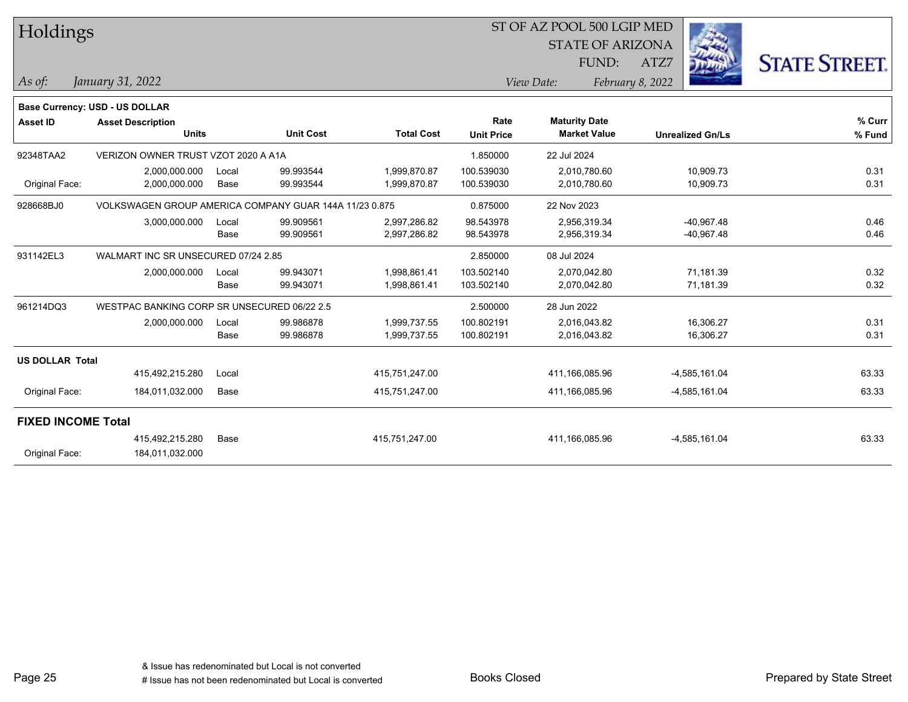| Holdings                  |                                                        |       |                  |                   | ST OF AZ POOL 500 LGIP MED |                         |                         |                      |  |
|---------------------------|--------------------------------------------------------|-------|------------------|-------------------|----------------------------|-------------------------|-------------------------|----------------------|--|
|                           |                                                        |       |                  |                   |                            | <b>STATE OF ARIZONA</b> |                         |                      |  |
|                           |                                                        |       |                  |                   |                            | FUND:                   | ATZ7                    | <b>STATE STREET.</b> |  |
| As of:                    | January 31, 2022                                       |       |                  |                   |                            | View Date:              | February 8, 2022        |                      |  |
|                           | Base Currency: USD - US DOLLAR                         |       |                  |                   |                            |                         |                         |                      |  |
| <b>Asset ID</b>           | <b>Asset Description</b>                               |       |                  |                   | Rate                       | <b>Maturity Date</b>    |                         | % Curr               |  |
|                           | <b>Units</b>                                           |       | <b>Unit Cost</b> | <b>Total Cost</b> | <b>Unit Price</b>          | <b>Market Value</b>     | <b>Unrealized Gn/Ls</b> | % Fund               |  |
| 92348TAA2                 | VERIZON OWNER TRUST VZOT 2020 A A1A                    |       |                  |                   | 1.850000                   | 22 Jul 2024             |                         |                      |  |
|                           | 2,000,000.000                                          | Local | 99.993544        | 1,999,870.87      | 100.539030                 | 2,010,780.60            | 10,909.73               | 0.31                 |  |
| Original Face:            | 2,000,000.000                                          | Base  | 99.993544        | 1,999,870.87      | 100.539030                 | 2,010,780.60            | 10,909.73               | 0.31                 |  |
| 928668BJ0                 | VOLKSWAGEN GROUP AMERICA COMPANY GUAR 144A 11/23 0.875 |       |                  |                   | 0.875000                   | 22 Nov 2023             |                         |                      |  |
|                           | 3,000,000.000                                          | Local | 99.909561        | 2,997,286.82      | 98.543978                  | 2,956,319.34            | $-40,967.48$            | 0.46                 |  |
|                           |                                                        | Base  | 99.909561        | 2,997,286.82      | 98.543978                  | 2,956,319.34            | $-40,967.48$            | 0.46                 |  |
| 931142EL3                 | WALMART INC SR UNSECURED 07/24 2.85                    |       |                  |                   | 2.850000                   | 08 Jul 2024             |                         |                      |  |
|                           | 2,000,000.000                                          | Local | 99.943071        | 1,998,861.41      | 103.502140                 | 2,070,042.80            | 71,181.39               | 0.32                 |  |
|                           |                                                        | Base  | 99.943071        | 1,998,861.41      | 103.502140                 | 2,070,042.80            | 71,181.39               | 0.32                 |  |
| 961214DQ3                 | WESTPAC BANKING CORP SR UNSECURED 06/22 2.5            |       |                  |                   | 2.500000                   | 28 Jun 2022             |                         |                      |  |
|                           | 2,000,000.000                                          | Local | 99.986878        | 1,999,737.55      | 100.802191                 | 2,016,043.82            | 16,306.27               | 0.31                 |  |
|                           |                                                        | Base  | 99.986878        | 1,999,737.55      | 100.802191                 | 2,016,043.82            | 16,306.27               | 0.31                 |  |
| <b>US DOLLAR Total</b>    |                                                        |       |                  |                   |                            |                         |                         |                      |  |
|                           | 415,492,215.280                                        | Local |                  | 415,751,247.00    |                            | 411,166,085.96          | $-4,585,161.04$         | 63.33                |  |
| Original Face:            | 184,011,032.000                                        | Base  |                  | 415,751,247.00    |                            | 411,166,085.96          | $-4,585,161.04$         | 63.33                |  |
| <b>FIXED INCOME Total</b> |                                                        |       |                  |                   |                            |                         |                         |                      |  |
|                           | 415,492,215.280                                        | Base  |                  | 415,751,247.00    |                            | 411,166,085.96          | -4,585,161.04           | 63.33                |  |
| Original Face:            | 184,011,032.000                                        |       |                  |                   |                            |                         |                         |                      |  |
|                           |                                                        |       |                  |                   |                            |                         |                         |                      |  |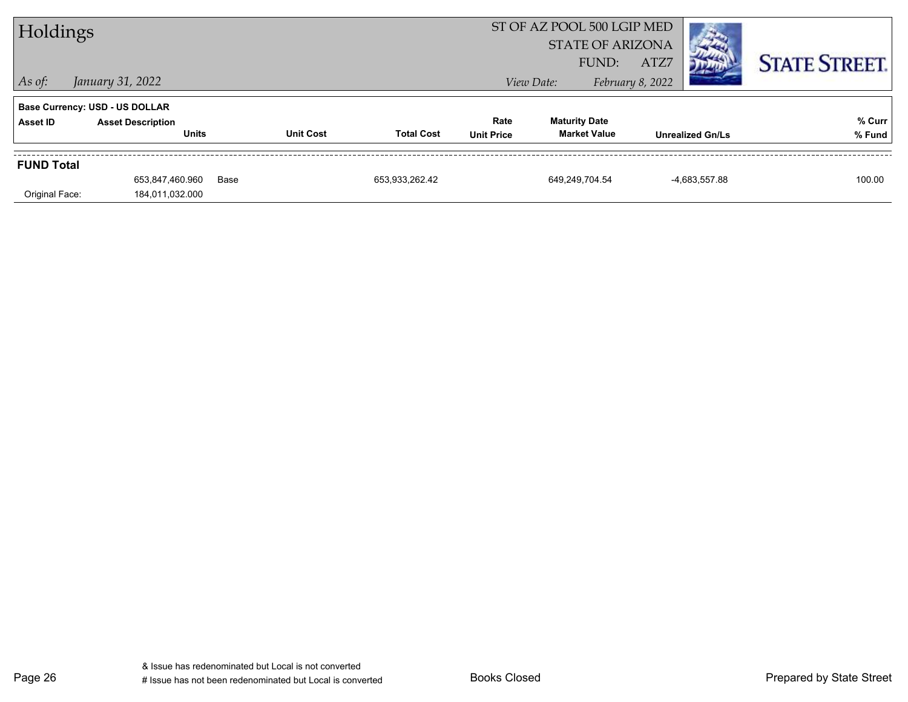| Holdings          |                                          |      |                  |                   |                           | ST OF AZ POOL 500 LGIP MED<br><b>STATE OF ARIZONA</b><br>ATZ7<br>FUND: |                  |                         | <b>STATE STREET.</b> |
|-------------------|------------------------------------------|------|------------------|-------------------|---------------------------|------------------------------------------------------------------------|------------------|-------------------------|----------------------|
| $ $ As of:        | January 31, 2022                         |      |                  |                   |                           | View Date:                                                             | February 8, 2022 |                         |                      |
|                   | <b>Base Currency: USD - US DOLLAR</b>    |      |                  |                   |                           |                                                                        |                  |                         |                      |
| Asset ID          | <b>Asset Description</b><br><b>Units</b> |      | <b>Unit Cost</b> | <b>Total Cost</b> | Rate<br><b>Unit Price</b> | <b>Maturity Date</b><br><b>Market Value</b>                            |                  | <b>Unrealized Gn/Ls</b> | % Curr<br>% Fund     |
| <b>FUND Total</b> |                                          |      |                  |                   |                           |                                                                        |                  |                         |                      |
| Original Face:    | 653,847,460.960<br>184,011,032.000       | Base |                  | 653,933,262.42    |                           | 649.249.704.54                                                         |                  | -4,683,557.88           | 100.00               |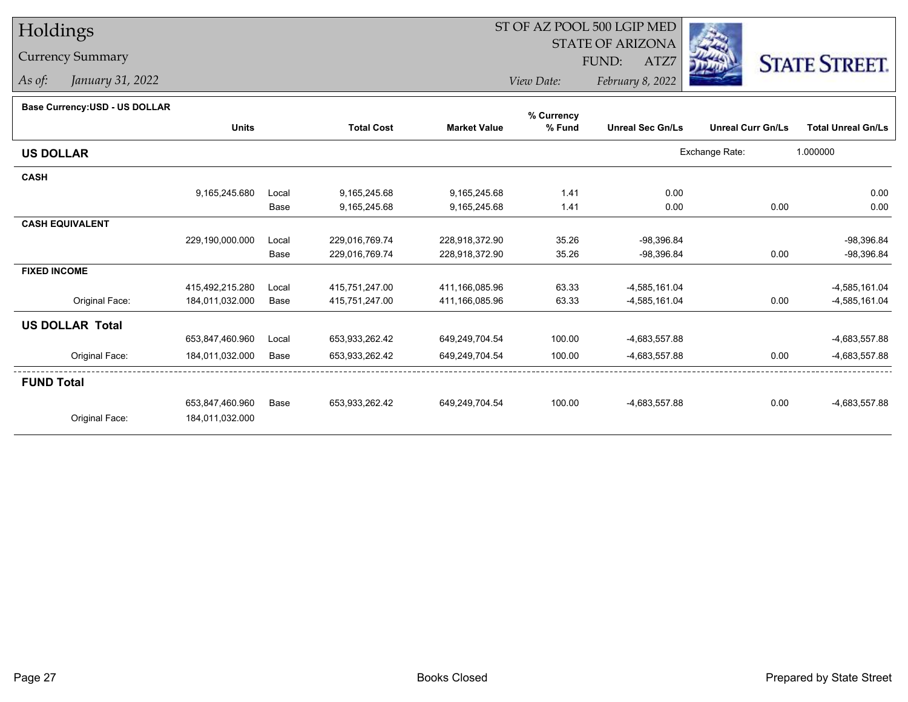# Holdings

### Currency Summary

*As of: January 31, 2022*

## ST OF AZ POOL 500 LGIP MED

 STATE OF ARIZONAFUND:

ATZ7



*View Date:February 8, 2022*

#### **Base Currency:USD - US DOLLAR**

|                        |                 |       |                   |                     | % Currency |                         |                          |                           |
|------------------------|-----------------|-------|-------------------|---------------------|------------|-------------------------|--------------------------|---------------------------|
|                        | <b>Units</b>    |       | <b>Total Cost</b> | <b>Market Value</b> | % Fund     | <b>Unreal Sec Gn/Ls</b> | <b>Unreal Curr Gn/Ls</b> | <b>Total Unreal Gn/Ls</b> |
| <b>US DOLLAR</b>       |                 |       |                   |                     |            |                         | Exchange Rate:           | 1.000000                  |
| <b>CASH</b>            |                 |       |                   |                     |            |                         |                          |                           |
|                        | 9,165,245.680   | Local | 9,165,245.68      | 9,165,245.68        | 1.41       | 0.00                    |                          | 0.00                      |
|                        |                 | Base  | 9,165,245.68      | 9,165,245.68        | 1.41       | 0.00                    | 0.00                     | 0.00                      |
| <b>CASH EQUIVALENT</b> |                 |       |                   |                     |            |                         |                          |                           |
|                        | 229,190,000.000 | Local | 229,016,769.74    | 228,918,372.90      | 35.26      | $-98,396.84$            |                          | -98,396.84                |
|                        |                 | Base  | 229,016,769.74    | 228,918,372.90      | 35.26      | $-98,396.84$            | 0.00                     | -98,396.84                |
| <b>FIXED INCOME</b>    |                 |       |                   |                     |            |                         |                          |                           |
|                        | 415,492,215.280 | Local | 415,751,247.00    | 411,166,085.96      | 63.33      | $-4,585,161.04$         |                          | -4,585,161.04             |
| Original Face:         | 184,011,032.000 | Base  | 415,751,247.00    | 411,166,085.96      | 63.33      | -4,585,161.04           | 0.00                     | -4,585,161.04             |
| <b>US DOLLAR Total</b> |                 |       |                   |                     |            |                         |                          |                           |
|                        | 653,847,460.960 | Local | 653,933,262.42    | 649,249,704.54      | 100.00     | -4,683,557.88           |                          | -4,683,557.88             |
| Original Face:         | 184,011,032.000 | Base  | 653,933,262.42    | 649,249,704.54      | 100.00     | -4,683,557.88           | 0.00                     | -4,683,557.88             |
| <b>FUND Total</b>      |                 |       |                   |                     |            |                         |                          |                           |
|                        | 653,847,460.960 | Base  | 653,933,262.42    | 649,249,704.54      | 100.00     | -4,683,557.88           | 0.00                     | -4,683,557.88             |
| Original Face:         | 184,011,032.000 |       |                   |                     |            |                         |                          |                           |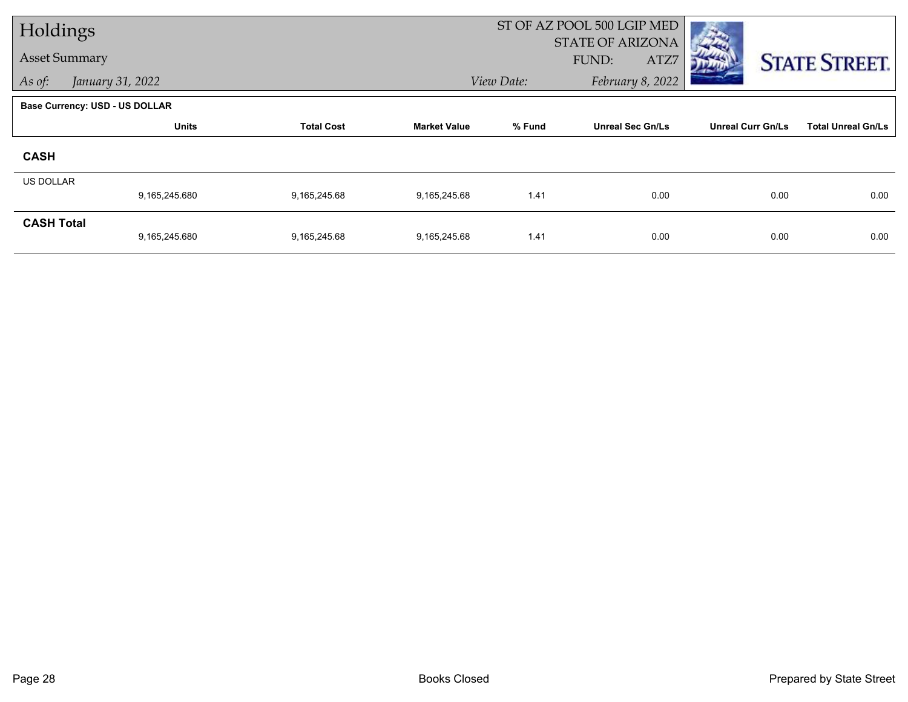| Holdings             |                                |                   |                     | ST OF AZ POOL 500 LGIP MED |                         |                          |                           |
|----------------------|--------------------------------|-------------------|---------------------|----------------------------|-------------------------|--------------------------|---------------------------|
| <b>Asset Summary</b> |                                |                   |                     |                            | <b>STATE OF ARIZONA</b> |                          |                           |
|                      |                                |                   |                     |                            | FUND:<br>ATZ7           |                          | <b>STATE STREET.</b>      |
| As of:               | January 31, 2022               |                   |                     | View Date:                 | February 8, 2022        |                          |                           |
|                      | Base Currency: USD - US DOLLAR |                   |                     |                            |                         |                          |                           |
|                      | <b>Units</b>                   | <b>Total Cost</b> | <b>Market Value</b> | % Fund                     | <b>Unreal Sec Gn/Ls</b> | <b>Unreal Curr Gn/Ls</b> | <b>Total Unreal Gn/Ls</b> |
| <b>CASH</b>          |                                |                   |                     |                            |                         |                          |                           |
| <b>US DOLLAR</b>     |                                |                   |                     |                            |                         |                          |                           |
|                      | 9,165,245.680                  | 9,165,245.68      | 9,165,245.68        | 1.41                       | 0.00                    | 0.00                     | 0.00                      |
| <b>CASH Total</b>    |                                |                   |                     |                            |                         |                          |                           |
|                      | 9,165,245.680                  | 9,165,245.68      | 9,165,245.68        | 1.41                       | 0.00                    | 0.00                     | 0.00                      |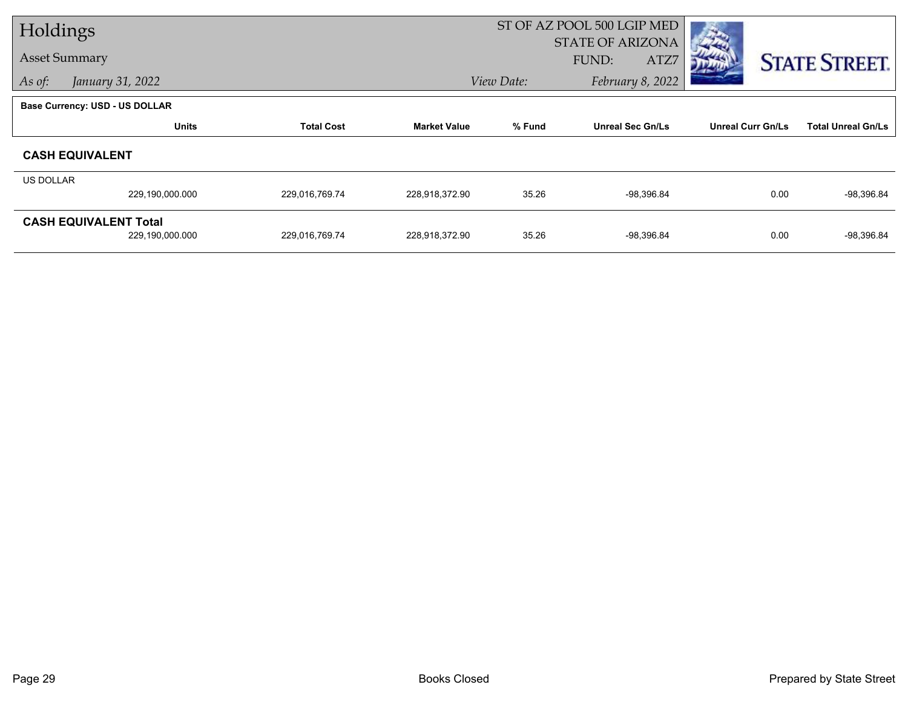| Holdings         |                                       |                   |                     | ST OF AZ POOL 500 LGIP MED |                         |                          |                           |
|------------------|---------------------------------------|-------------------|---------------------|----------------------------|-------------------------|--------------------------|---------------------------|
|                  |                                       |                   |                     |                            | <b>STATE OF ARIZONA</b> |                          |                           |
|                  | <b>Asset Summary</b>                  |                   |                     |                            | FUND:<br>ATZ7           |                          | <b>STATE STREET.</b>      |
| As of:           | January 31, 2022                      |                   |                     | View Date:                 | February 8, 2022        |                          |                           |
|                  | <b>Base Currency: USD - US DOLLAR</b> |                   |                     |                            |                         |                          |                           |
|                  | <b>Units</b>                          | <b>Total Cost</b> | <b>Market Value</b> | % Fund                     | <b>Unreal Sec Gn/Ls</b> | <b>Unreal Curr Gn/Ls</b> | <b>Total Unreal Gn/Ls</b> |
|                  | <b>CASH EQUIVALENT</b>                |                   |                     |                            |                         |                          |                           |
| <b>US DOLLAR</b> |                                       |                   |                     |                            |                         |                          |                           |
|                  | 229,190,000.000                       | 229,016,769.74    | 228,918,372.90      | 35.26                      | -98,396.84              | 0.00                     | $-98,396.84$              |
|                  | <b>CASH EQUIVALENT Total</b>          |                   |                     |                            |                         |                          |                           |
|                  | 229,190,000.000                       | 229,016,769.74    | 228,918,372.90      | 35.26                      | $-98,396.84$            | 0.00                     | -98,396.84                |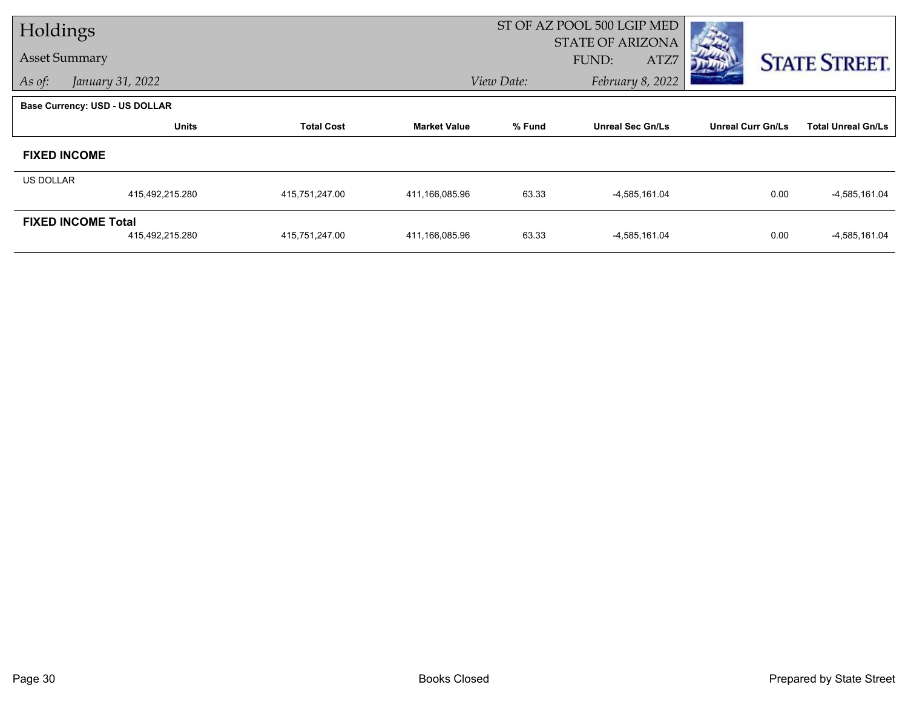| Holdings             |                                       |                   |                     | ST OF AZ POOL 500 LGIP MED |                         |                          |                           |  |
|----------------------|---------------------------------------|-------------------|---------------------|----------------------------|-------------------------|--------------------------|---------------------------|--|
|                      |                                       |                   |                     |                            | STATE OF ARIZONA        |                          |                           |  |
| <b>Asset Summary</b> |                                       |                   |                     |                            | FUND:<br>ATZ7           |                          | <b>STATE STREET.</b>      |  |
| As of:               | January 31, 2022                      |                   |                     | View Date:                 | February 8, 2022        |                          |                           |  |
|                      | <b>Base Currency: USD - US DOLLAR</b> |                   |                     |                            |                         |                          |                           |  |
|                      | <b>Units</b>                          | <b>Total Cost</b> | <b>Market Value</b> | % Fund                     | <b>Unreal Sec Gn/Ls</b> | <b>Unreal Curr Gn/Ls</b> | <b>Total Unreal Gn/Ls</b> |  |
| <b>FIXED INCOME</b>  |                                       |                   |                     |                            |                         |                          |                           |  |
| <b>US DOLLAR</b>     |                                       |                   |                     |                            |                         |                          |                           |  |
|                      | 415,492,215.280                       | 415,751,247.00    | 411,166,085.96      | 63.33                      | -4,585,161.04           | 0.00                     | $-4,585,161.04$           |  |
|                      | <b>FIXED INCOME Total</b>             |                   |                     |                            |                         |                          |                           |  |
|                      | 415,492,215.280                       | 415,751,247.00    | 411,166,085.96      | 63.33                      | -4,585,161.04           | 0.00                     | $-4,585,161.04$           |  |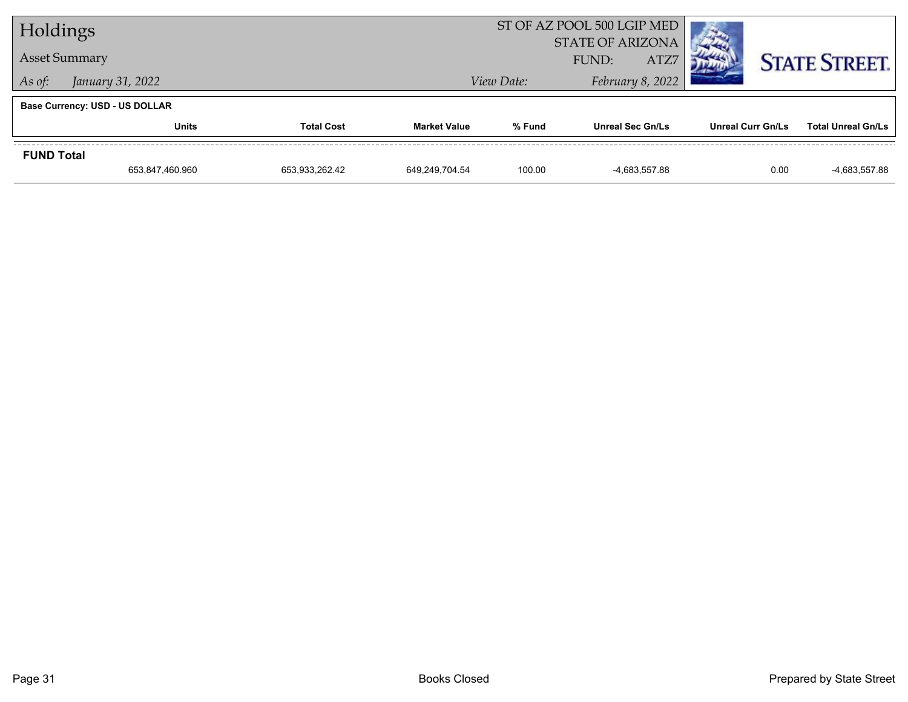| Holdings             |                                |                   |                     | ST OF AZ POOL 500 LGIP MED               |                         |                   |                           |
|----------------------|--------------------------------|-------------------|---------------------|------------------------------------------|-------------------------|-------------------|---------------------------|
| <b>Asset Summary</b> |                                |                   |                     | <b>STATE OF ARIZONA</b><br>ATZ7<br>FUND: |                         |                   |                           |
| As of:               | January 31, 2022               |                   |                     | View Date:                               | February 8, 2022        |                   | <b>STATE STREET.</b>      |
|                      |                                |                   |                     |                                          |                         |                   |                           |
|                      | Base Currency: USD - US DOLLAR |                   |                     |                                          |                         |                   |                           |
|                      | Units                          | <b>Total Cost</b> | <b>Market Value</b> | % Fund                                   | <b>Unreal Sec Gn/Ls</b> | Unreal Curr Gn/Ls | <b>Total Unreal Gn/Ls</b> |
| <b>FUND Total</b>    |                                |                   |                     |                                          |                         |                   |                           |
|                      | 653,847,460.960                | 653,933,262.42    | 649.249.704.54      | 100.00                                   | -4,683,557.88           | 0.00              | -4,683,557.88             |